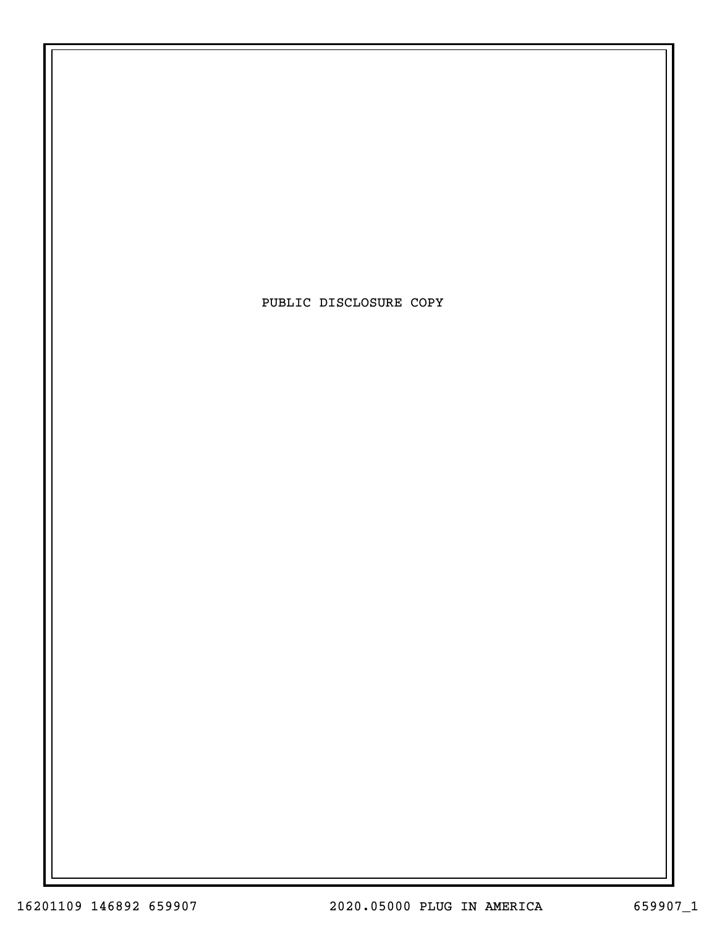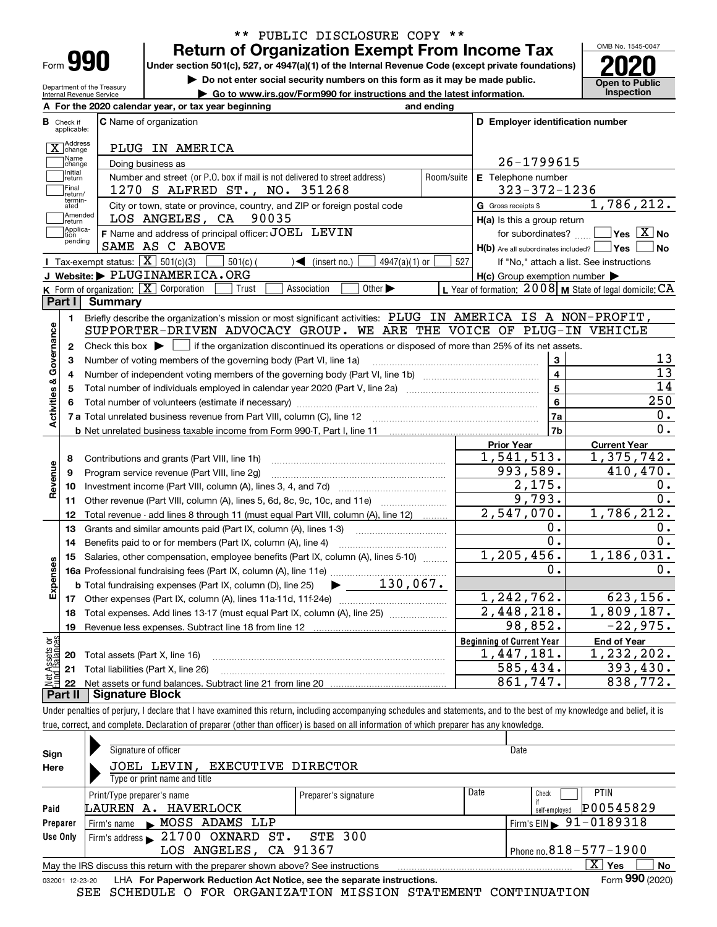| -orm |  |
|------|--|

Department of the Treasury Internal Revenue Service

### **Return of Organization Exempt From Income Tax** \*\* PUBLIC DISCLOSURE COPY \*\*

**Under section 501(c), 527, or 4947(a)(1) of the Internal Revenue Code (except private foundations) 2020**

**| Do not enter social security numbers on this form as it may be made public.**

**| Go to www.irs.gov/Form990 for instructions and the latest information. Inspection**



|                         |                             | A For the 2020 calendar year, or tax year beginning                                                                                       | and ending                                |                                                                       |                                                           |
|-------------------------|-----------------------------|-------------------------------------------------------------------------------------------------------------------------------------------|-------------------------------------------|-----------------------------------------------------------------------|-----------------------------------------------------------|
| в                       | Check if<br>applicable:     | <b>C</b> Name of organization                                                                                                             |                                           | D Employer identification number                                      |                                                           |
|                         | X Address                   | PLUG IN AMERICA                                                                                                                           |                                           |                                                                       |                                                           |
|                         | Name<br>change              | Doing business as                                                                                                                         |                                           | 26-1799615                                                            |                                                           |
|                         | Initial<br>return           | Number and street (or P.O. box if mail is not delivered to street address)                                                                | Room/suite                                | E Telephone number                                                    |                                                           |
|                         | Final<br>return/            | 1270 S ALFRED ST., NO. 351268                                                                                                             |                                           | $323 - 372 - 1236$                                                    |                                                           |
|                         | termin-<br>ated             | City or town, state or province, country, and ZIP or foreign postal code                                                                  |                                           | G Gross receipts \$                                                   | 1,786,212.                                                |
|                         | Amended<br>∣return          | LOS ANGELES, CA 90035                                                                                                                     |                                           | $H(a)$ is this a group return                                         |                                                           |
|                         | Applica-<br>tion<br>pending | F Name and address of principal officer: JOEL LEVIN<br>SAME AS C ABOVE                                                                    |                                           | for subordinates?<br>$H(b)$ Are all subordinates included? $\Box$ Yes | $\sqrt{}$ Yes $\sqrt{}$ X $\sqrt{}$ No<br>l No            |
|                         |                             | Tax-exempt status: $\boxed{\mathbf{X}}$ 501(c)(3)<br>$\sqrt{\bullet}$ (insert no.)<br>$501(c)$ (<br>$4947(a)(1)$ or                       | 527                                       |                                                                       | If "No," attach a list. See instructions                  |
|                         |                             | J Website: PLUGINAMERICA.ORG                                                                                                              |                                           | $H(c)$ Group exemption number $\blacktriangleright$                   |                                                           |
|                         |                             | K Form of organization: X Corporation<br>Association<br>Other $\blacktriangleright$<br>Trust                                              |                                           |                                                                       | L Year of formation: 2008   M State of legal domicile: CA |
|                         | Part I                      | Summary                                                                                                                                   |                                           |                                                                       |                                                           |
|                         | 1                           | Briefly describe the organization's mission or most significant activities: PLUG IN AMERICA IS A NON-PROFIT,                              |                                           |                                                                       |                                                           |
|                         |                             | SUPPORTER-DRIVEN ADVOCACY GROUP. WE ARE THE VOICE OF PLUG-IN VEHICLE                                                                      |                                           |                                                                       |                                                           |
| Activities & Governance | $\mathbf{2}$                | Check this box $\blacktriangleright \Box$ if the organization discontinued its operations or disposed of more than 25% of its net assets. |                                           |                                                                       |                                                           |
|                         | з                           | Number of voting members of the governing body (Part VI, line 1a)                                                                         |                                           | $\mathbf{3}$                                                          | 13<br>$\overline{13}$                                     |
|                         | 4                           |                                                                                                                                           | $\overline{\mathbf{4}}$<br>$\overline{5}$ | 14                                                                    |                                                           |
|                         | 5                           |                                                                                                                                           |                                           | 6                                                                     | 250                                                       |
|                         | 6                           |                                                                                                                                           |                                           | 7a                                                                    | 0.                                                        |
|                         |                             |                                                                                                                                           |                                           | 7b                                                                    | 0.                                                        |
|                         |                             |                                                                                                                                           |                                           | <b>Prior Year</b>                                                     | <b>Current Year</b>                                       |
|                         | 8                           | Contributions and grants (Part VIII, line 1h)                                                                                             |                                           | 1,541,513.                                                            | 1,375,742.                                                |
| Revenue                 | 9                           | Program service revenue (Part VIII, line 2g)                                                                                              |                                           | 993,589.                                                              | 410,470.                                                  |
|                         | 10                          |                                                                                                                                           |                                           | 2,175.                                                                | 0.                                                        |
|                         |                             | 11 Other revenue (Part VIII, column (A), lines 5, 6d, 8c, 9c, 10c, and 11e)                                                               |                                           | $\overline{9.793}$ .                                                  | 0.                                                        |
|                         | 12                          | Total revenue - add lines 8 through 11 (must equal Part VIII, column (A), line 12)                                                        |                                           | 2,547,070.                                                            | 1,786,212.                                                |
|                         | 13                          | Grants and similar amounts paid (Part IX, column (A), lines 1-3) <i>manual community community</i>                                        |                                           | 0.                                                                    | 0.                                                        |
|                         | 14                          | Benefits paid to or for members (Part IX, column (A), line 4)                                                                             |                                           | $\overline{0}$ .                                                      | $\overline{0}$ .                                          |
|                         | 15                          | Salaries, other compensation, employee benefits (Part IX, column (A), lines 5-10)                                                         |                                           | 1, 205, 456.                                                          | 1,186,031.                                                |
| Expenses                |                             |                                                                                                                                           |                                           | 0.                                                                    | 0.                                                        |
|                         |                             | $\blacktriangleright$ 130,067.<br><b>b</b> Total fundraising expenses (Part IX, column (D), line 25)                                      |                                           |                                                                       |                                                           |
|                         |                             |                                                                                                                                           |                                           | 1,242,762.                                                            | 623, 156.                                                 |
|                         | 18                          | Total expenses. Add lines 13-17 (must equal Part IX, column (A), line 25)                                                                 |                                           | 2,448,218.                                                            | 1,809,187.                                                |
|                         | 19                          |                                                                                                                                           |                                           | 98,852.                                                               | $-22,975.$                                                |
| ăğ                      |                             |                                                                                                                                           |                                           | <b>Beginning of Current Year</b>                                      | <b>End of Year</b>                                        |
| Assets<br>  Bainm       | 20                          | Total assets (Part X, line 16)                                                                                                            |                                           | 1,447,181.                                                            | 1,232,202.                                                |
|                         |                             | 21 Total liabilities (Part X, line 26)                                                                                                    |                                           | 585,434.                                                              | 393,430.                                                  |
|                         | 22                          |                                                                                                                                           |                                           | 861,747.                                                              | 838,772.                                                  |
|                         | Part II                     | <b>Signature Block</b>                                                                                                                    |                                           |                                                                       |                                                           |

Under penalties of perjury, I declare that I have examined this return, including accompanying schedules and statements, and to the best of my knowledge and belief, it is true, correct, and complete. Declaration of preparer (other than officer) is based on all information of which preparer has any knowledge.

| Sign     | Signature of officer                                                                                         |                      |      | Date                                   |  |  |  |  |  |  |  |  |
|----------|--------------------------------------------------------------------------------------------------------------|----------------------|------|----------------------------------------|--|--|--|--|--|--|--|--|
| Here     | JOEL LEVIN, EXECUTIVE DIRECTOR                                                                               |                      |      |                                        |  |  |  |  |  |  |  |  |
|          | Type or print name and title                                                                                 |                      |      |                                        |  |  |  |  |  |  |  |  |
|          | Print/Type preparer's name                                                                                   | Preparer's signature | Date | <b>PTIN</b><br>Check                   |  |  |  |  |  |  |  |  |
| Paid     | LAUREN A. HAVERLOCK                                                                                          |                      |      | P00545829<br>self-emploved             |  |  |  |  |  |  |  |  |
| Preparer | Firm's name MOSS ADAMS LLP                                                                                   |                      |      | Firm's EIN $\triangleright$ 91-0189318 |  |  |  |  |  |  |  |  |
| Use Only | Firm's address 21700 OXNARD ST. STE 300                                                                      |                      |      |                                        |  |  |  |  |  |  |  |  |
|          | LOS ANGELES, CA 91367                                                                                        |                      |      | Phone no. $818 - 577 - 1900$           |  |  |  |  |  |  |  |  |
|          | May the IRS discuss this return with the preparer shown above? See instructions                              |                      |      | $\overline{X}$ Yes<br><b>No</b>        |  |  |  |  |  |  |  |  |
|          | Form 990 (2020)<br>LHA For Paperwork Reduction Act Notice, see the separate instructions.<br>032001 12-23-20 |                      |      |                                        |  |  |  |  |  |  |  |  |

SEE SCHEDULE O FOR ORGANIZATION MISSION STATEMENT CONTINUATION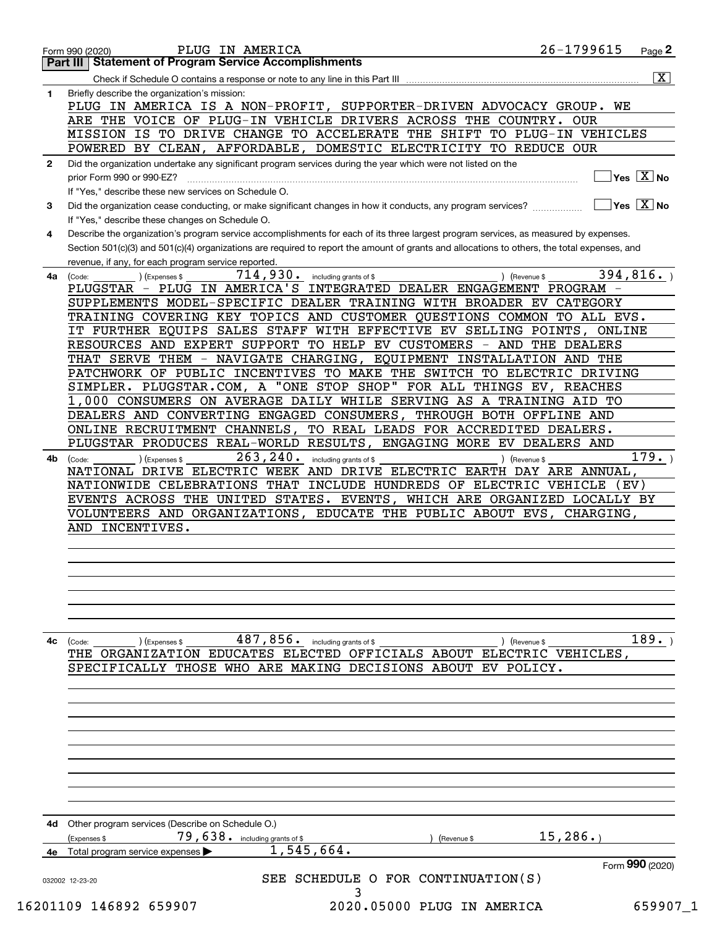| $\overline{\mathbf{x}}$ )<br>Check if Schedule O contains a response or note to any line in this Part III<br>Briefly describe the organization's mission:<br>PLUG IN AMERICA IS A NON-PROFIT, SUPPORTER-DRIVEN ADVOCACY GROUP. WE<br>ARE THE VOICE OF PLUG-IN VEHICLE DRIVERS ACROSS THE COUNTRY. OUR<br>MISSION IS TO DRIVE CHANGE TO ACCELERATE THE SHIFT TO PLUG-IN VEHICLES<br>POWERED BY CLEAN, AFFORDABLE, DOMESTIC ELECTRICITY TO REDUCE OUR<br>Did the organization undertake any significant program services during the year which were not listed on the<br>$Yes \quad X$ No<br>prior Form 990 or 990-EZ?<br>If "Yes," describe these new services on Schedule O.<br>$\overline{\ }$ Yes $\overline{\phantom{a}X}$ No<br>If "Yes," describe these changes on Schedule O.<br>Describe the organization's program service accomplishments for each of its three largest program services, as measured by expenses.<br>Section 501(c)(3) and 501(c)(4) organizations are required to report the amount of grants and allocations to others, the total expenses, and<br>revenue, if any, for each program service reported.<br>394,816.<br>714,930.<br>) (Expenses \$<br>including grants of \$<br>) (Revenue \$<br>(Code:<br>4a<br>PLUGSTAR - PLUG IN AMERICA'S INTEGRATED DEALER ENGAGEMENT PROGRAM -<br>SUPPLEMENTS MODEL-SPECIFIC DEALER TRAINING WITH BROADER EV CATEGORY<br>TRAINING COVERING KEY TOPICS AND CUSTOMER QUESTIONS COMMON<br>TO ALL EVS.<br>IT FURTHER EQUIPS SALES STAFF WITH EFFECTIVE EV SELLING POINTS, ONLINE<br>RESOURCES AND EXPERT SUPPORT TO HELP EV CUSTOMERS - AND THE DEALERS<br>THAT SERVE THEM - NAVIGATE CHARGING, EQUIPMENT INSTALLATION AND THE<br>PATCHWORK OF PUBLIC INCENTIVES TO MAKE THE SWITCH TO ELECTRIC DRIVING<br>SIMPLER. PLUGSTAR.COM, A "ONE STOP SHOP" FOR ALL THINGS EV, REACHES<br>1,000 CONSUMERS ON AVERAGE DAILY WHILE SERVING AS A TRAINING AID TO<br>DEALERS AND CONVERTING ENGAGED CONSUMERS, THROUGH BOTH OFFLINE AND<br>ONLINE RECRUITMENT CHANNELS,<br>TO REAL LEADS FOR ACCREDITED DEALERS.<br>PLUGSTAR PRODUCES REAL-WORLD RESULTS, ENGAGING MORE EV DEALERS AND<br>263, 240.<br>179.<br>including grants of \$<br>(Expenses \$<br>) (Revenue \$<br>(Code:<br>NATIONAL DRIVE ELECTRIC WEEK AND DRIVE ELECTRIC EARTH DAY ARE ANNUAL,<br>NATIONWIDE CELEBRATIONS THAT INCLUDE HUNDREDS OF ELECTRIC VEHICLE<br>(EV)<br>EVENTS ACROSS THE UNITED STATES. EVENTS, WHICH ARE ORGANIZED LOCALLY BY<br>VOLUNTEERS AND ORGANIZATIONS, EDUCATE THE PUBLIC ABOUT EVS, CHARGING,<br>AND INCENTIVES.<br>189.<br>487,856. including grants of \$<br>(Expenses \$<br>Revenue \$<br>(Code:<br>THE ORGANIZATION EDUCATES ELECTED OFFICIALS ABOUT ELECTRIC VEHICLES<br>SPECIFICALLY THOSE WHO ARE MAKING DECISIONS ABOUT EV POLICY.<br>Other program services (Describe on Schedule O.)<br>15, 286.<br>79,638. including grants of \$<br>(Expenses \$<br>(Revenue \$<br>1,545,664.<br>4e Total program service expenses<br>Form 990 (2020)<br>SEE SCHEDULE O FOR CONTINUATION(S)<br>032002 12-23-20<br>3 |              | $26 - 1799615$<br>PLUG IN AMERICA<br>$Page$ 2<br>Form 990 (2020)<br><b>Statement of Program Service Accomplishments</b><br>Part III I |  |
|--------------------------------------------------------------------------------------------------------------------------------------------------------------------------------------------------------------------------------------------------------------------------------------------------------------------------------------------------------------------------------------------------------------------------------------------------------------------------------------------------------------------------------------------------------------------------------------------------------------------------------------------------------------------------------------------------------------------------------------------------------------------------------------------------------------------------------------------------------------------------------------------------------------------------------------------------------------------------------------------------------------------------------------------------------------------------------------------------------------------------------------------------------------------------------------------------------------------------------------------------------------------------------------------------------------------------------------------------------------------------------------------------------------------------------------------------------------------------------------------------------------------------------------------------------------------------------------------------------------------------------------------------------------------------------------------------------------------------------------------------------------------------------------------------------------------------------------------------------------------------------------------------------------------------------------------------------------------------------------------------------------------------------------------------------------------------------------------------------------------------------------------------------------------------------------------------------------------------------------------------------------------------------------------------------------------------------------------------------------------------------------------------------------------------------------------------------------------------------------------------------------------------------------------------------------------------------------------------------------------------------------------------------------------------------------------------------------------------------------------------------------------------------------------------------------------------------------------------------------------------------------------------------------------------------------------------------------------------------------------------------------------------------------------------------------|--------------|---------------------------------------------------------------------------------------------------------------------------------------|--|
|                                                                                                                                                                                                                                                                                                                                                                                                                                                                                                                                                                                                                                                                                                                                                                                                                                                                                                                                                                                                                                                                                                                                                                                                                                                                                                                                                                                                                                                                                                                                                                                                                                                                                                                                                                                                                                                                                                                                                                                                                                                                                                                                                                                                                                                                                                                                                                                                                                                                                                                                                                                                                                                                                                                                                                                                                                                                                                                                                                                                                                                              |              |                                                                                                                                       |  |
|                                                                                                                                                                                                                                                                                                                                                                                                                                                                                                                                                                                                                                                                                                                                                                                                                                                                                                                                                                                                                                                                                                                                                                                                                                                                                                                                                                                                                                                                                                                                                                                                                                                                                                                                                                                                                                                                                                                                                                                                                                                                                                                                                                                                                                                                                                                                                                                                                                                                                                                                                                                                                                                                                                                                                                                                                                                                                                                                                                                                                                                              |              |                                                                                                                                       |  |
|                                                                                                                                                                                                                                                                                                                                                                                                                                                                                                                                                                                                                                                                                                                                                                                                                                                                                                                                                                                                                                                                                                                                                                                                                                                                                                                                                                                                                                                                                                                                                                                                                                                                                                                                                                                                                                                                                                                                                                                                                                                                                                                                                                                                                                                                                                                                                                                                                                                                                                                                                                                                                                                                                                                                                                                                                                                                                                                                                                                                                                                              | 1            |                                                                                                                                       |  |
|                                                                                                                                                                                                                                                                                                                                                                                                                                                                                                                                                                                                                                                                                                                                                                                                                                                                                                                                                                                                                                                                                                                                                                                                                                                                                                                                                                                                                                                                                                                                                                                                                                                                                                                                                                                                                                                                                                                                                                                                                                                                                                                                                                                                                                                                                                                                                                                                                                                                                                                                                                                                                                                                                                                                                                                                                                                                                                                                                                                                                                                              |              |                                                                                                                                       |  |
|                                                                                                                                                                                                                                                                                                                                                                                                                                                                                                                                                                                                                                                                                                                                                                                                                                                                                                                                                                                                                                                                                                                                                                                                                                                                                                                                                                                                                                                                                                                                                                                                                                                                                                                                                                                                                                                                                                                                                                                                                                                                                                                                                                                                                                                                                                                                                                                                                                                                                                                                                                                                                                                                                                                                                                                                                                                                                                                                                                                                                                                              |              |                                                                                                                                       |  |
|                                                                                                                                                                                                                                                                                                                                                                                                                                                                                                                                                                                                                                                                                                                                                                                                                                                                                                                                                                                                                                                                                                                                                                                                                                                                                                                                                                                                                                                                                                                                                                                                                                                                                                                                                                                                                                                                                                                                                                                                                                                                                                                                                                                                                                                                                                                                                                                                                                                                                                                                                                                                                                                                                                                                                                                                                                                                                                                                                                                                                                                              |              |                                                                                                                                       |  |
|                                                                                                                                                                                                                                                                                                                                                                                                                                                                                                                                                                                                                                                                                                                                                                                                                                                                                                                                                                                                                                                                                                                                                                                                                                                                                                                                                                                                                                                                                                                                                                                                                                                                                                                                                                                                                                                                                                                                                                                                                                                                                                                                                                                                                                                                                                                                                                                                                                                                                                                                                                                                                                                                                                                                                                                                                                                                                                                                                                                                                                                              |              |                                                                                                                                       |  |
|                                                                                                                                                                                                                                                                                                                                                                                                                                                                                                                                                                                                                                                                                                                                                                                                                                                                                                                                                                                                                                                                                                                                                                                                                                                                                                                                                                                                                                                                                                                                                                                                                                                                                                                                                                                                                                                                                                                                                                                                                                                                                                                                                                                                                                                                                                                                                                                                                                                                                                                                                                                                                                                                                                                                                                                                                                                                                                                                                                                                                                                              | $\mathbf{2}$ |                                                                                                                                       |  |
|                                                                                                                                                                                                                                                                                                                                                                                                                                                                                                                                                                                                                                                                                                                                                                                                                                                                                                                                                                                                                                                                                                                                                                                                                                                                                                                                                                                                                                                                                                                                                                                                                                                                                                                                                                                                                                                                                                                                                                                                                                                                                                                                                                                                                                                                                                                                                                                                                                                                                                                                                                                                                                                                                                                                                                                                                                                                                                                                                                                                                                                              |              |                                                                                                                                       |  |
|                                                                                                                                                                                                                                                                                                                                                                                                                                                                                                                                                                                                                                                                                                                                                                                                                                                                                                                                                                                                                                                                                                                                                                                                                                                                                                                                                                                                                                                                                                                                                                                                                                                                                                                                                                                                                                                                                                                                                                                                                                                                                                                                                                                                                                                                                                                                                                                                                                                                                                                                                                                                                                                                                                                                                                                                                                                                                                                                                                                                                                                              |              |                                                                                                                                       |  |
|                                                                                                                                                                                                                                                                                                                                                                                                                                                                                                                                                                                                                                                                                                                                                                                                                                                                                                                                                                                                                                                                                                                                                                                                                                                                                                                                                                                                                                                                                                                                                                                                                                                                                                                                                                                                                                                                                                                                                                                                                                                                                                                                                                                                                                                                                                                                                                                                                                                                                                                                                                                                                                                                                                                                                                                                                                                                                                                                                                                                                                                              | 3            |                                                                                                                                       |  |
|                                                                                                                                                                                                                                                                                                                                                                                                                                                                                                                                                                                                                                                                                                                                                                                                                                                                                                                                                                                                                                                                                                                                                                                                                                                                                                                                                                                                                                                                                                                                                                                                                                                                                                                                                                                                                                                                                                                                                                                                                                                                                                                                                                                                                                                                                                                                                                                                                                                                                                                                                                                                                                                                                                                                                                                                                                                                                                                                                                                                                                                              |              |                                                                                                                                       |  |
|                                                                                                                                                                                                                                                                                                                                                                                                                                                                                                                                                                                                                                                                                                                                                                                                                                                                                                                                                                                                                                                                                                                                                                                                                                                                                                                                                                                                                                                                                                                                                                                                                                                                                                                                                                                                                                                                                                                                                                                                                                                                                                                                                                                                                                                                                                                                                                                                                                                                                                                                                                                                                                                                                                                                                                                                                                                                                                                                                                                                                                                              | 4            |                                                                                                                                       |  |
|                                                                                                                                                                                                                                                                                                                                                                                                                                                                                                                                                                                                                                                                                                                                                                                                                                                                                                                                                                                                                                                                                                                                                                                                                                                                                                                                                                                                                                                                                                                                                                                                                                                                                                                                                                                                                                                                                                                                                                                                                                                                                                                                                                                                                                                                                                                                                                                                                                                                                                                                                                                                                                                                                                                                                                                                                                                                                                                                                                                                                                                              |              |                                                                                                                                       |  |
|                                                                                                                                                                                                                                                                                                                                                                                                                                                                                                                                                                                                                                                                                                                                                                                                                                                                                                                                                                                                                                                                                                                                                                                                                                                                                                                                                                                                                                                                                                                                                                                                                                                                                                                                                                                                                                                                                                                                                                                                                                                                                                                                                                                                                                                                                                                                                                                                                                                                                                                                                                                                                                                                                                                                                                                                                                                                                                                                                                                                                                                              |              |                                                                                                                                       |  |
|                                                                                                                                                                                                                                                                                                                                                                                                                                                                                                                                                                                                                                                                                                                                                                                                                                                                                                                                                                                                                                                                                                                                                                                                                                                                                                                                                                                                                                                                                                                                                                                                                                                                                                                                                                                                                                                                                                                                                                                                                                                                                                                                                                                                                                                                                                                                                                                                                                                                                                                                                                                                                                                                                                                                                                                                                                                                                                                                                                                                                                                              |              |                                                                                                                                       |  |
|                                                                                                                                                                                                                                                                                                                                                                                                                                                                                                                                                                                                                                                                                                                                                                                                                                                                                                                                                                                                                                                                                                                                                                                                                                                                                                                                                                                                                                                                                                                                                                                                                                                                                                                                                                                                                                                                                                                                                                                                                                                                                                                                                                                                                                                                                                                                                                                                                                                                                                                                                                                                                                                                                                                                                                                                                                                                                                                                                                                                                                                              |              |                                                                                                                                       |  |
|                                                                                                                                                                                                                                                                                                                                                                                                                                                                                                                                                                                                                                                                                                                                                                                                                                                                                                                                                                                                                                                                                                                                                                                                                                                                                                                                                                                                                                                                                                                                                                                                                                                                                                                                                                                                                                                                                                                                                                                                                                                                                                                                                                                                                                                                                                                                                                                                                                                                                                                                                                                                                                                                                                                                                                                                                                                                                                                                                                                                                                                              |              |                                                                                                                                       |  |
|                                                                                                                                                                                                                                                                                                                                                                                                                                                                                                                                                                                                                                                                                                                                                                                                                                                                                                                                                                                                                                                                                                                                                                                                                                                                                                                                                                                                                                                                                                                                                                                                                                                                                                                                                                                                                                                                                                                                                                                                                                                                                                                                                                                                                                                                                                                                                                                                                                                                                                                                                                                                                                                                                                                                                                                                                                                                                                                                                                                                                                                              |              |                                                                                                                                       |  |
|                                                                                                                                                                                                                                                                                                                                                                                                                                                                                                                                                                                                                                                                                                                                                                                                                                                                                                                                                                                                                                                                                                                                                                                                                                                                                                                                                                                                                                                                                                                                                                                                                                                                                                                                                                                                                                                                                                                                                                                                                                                                                                                                                                                                                                                                                                                                                                                                                                                                                                                                                                                                                                                                                                                                                                                                                                                                                                                                                                                                                                                              |              |                                                                                                                                       |  |
|                                                                                                                                                                                                                                                                                                                                                                                                                                                                                                                                                                                                                                                                                                                                                                                                                                                                                                                                                                                                                                                                                                                                                                                                                                                                                                                                                                                                                                                                                                                                                                                                                                                                                                                                                                                                                                                                                                                                                                                                                                                                                                                                                                                                                                                                                                                                                                                                                                                                                                                                                                                                                                                                                                                                                                                                                                                                                                                                                                                                                                                              |              |                                                                                                                                       |  |
|                                                                                                                                                                                                                                                                                                                                                                                                                                                                                                                                                                                                                                                                                                                                                                                                                                                                                                                                                                                                                                                                                                                                                                                                                                                                                                                                                                                                                                                                                                                                                                                                                                                                                                                                                                                                                                                                                                                                                                                                                                                                                                                                                                                                                                                                                                                                                                                                                                                                                                                                                                                                                                                                                                                                                                                                                                                                                                                                                                                                                                                              |              |                                                                                                                                       |  |
|                                                                                                                                                                                                                                                                                                                                                                                                                                                                                                                                                                                                                                                                                                                                                                                                                                                                                                                                                                                                                                                                                                                                                                                                                                                                                                                                                                                                                                                                                                                                                                                                                                                                                                                                                                                                                                                                                                                                                                                                                                                                                                                                                                                                                                                                                                                                                                                                                                                                                                                                                                                                                                                                                                                                                                                                                                                                                                                                                                                                                                                              |              |                                                                                                                                       |  |
|                                                                                                                                                                                                                                                                                                                                                                                                                                                                                                                                                                                                                                                                                                                                                                                                                                                                                                                                                                                                                                                                                                                                                                                                                                                                                                                                                                                                                                                                                                                                                                                                                                                                                                                                                                                                                                                                                                                                                                                                                                                                                                                                                                                                                                                                                                                                                                                                                                                                                                                                                                                                                                                                                                                                                                                                                                                                                                                                                                                                                                                              |              |                                                                                                                                       |  |
|                                                                                                                                                                                                                                                                                                                                                                                                                                                                                                                                                                                                                                                                                                                                                                                                                                                                                                                                                                                                                                                                                                                                                                                                                                                                                                                                                                                                                                                                                                                                                                                                                                                                                                                                                                                                                                                                                                                                                                                                                                                                                                                                                                                                                                                                                                                                                                                                                                                                                                                                                                                                                                                                                                                                                                                                                                                                                                                                                                                                                                                              |              |                                                                                                                                       |  |
|                                                                                                                                                                                                                                                                                                                                                                                                                                                                                                                                                                                                                                                                                                                                                                                                                                                                                                                                                                                                                                                                                                                                                                                                                                                                                                                                                                                                                                                                                                                                                                                                                                                                                                                                                                                                                                                                                                                                                                                                                                                                                                                                                                                                                                                                                                                                                                                                                                                                                                                                                                                                                                                                                                                                                                                                                                                                                                                                                                                                                                                              |              |                                                                                                                                       |  |
|                                                                                                                                                                                                                                                                                                                                                                                                                                                                                                                                                                                                                                                                                                                                                                                                                                                                                                                                                                                                                                                                                                                                                                                                                                                                                                                                                                                                                                                                                                                                                                                                                                                                                                                                                                                                                                                                                                                                                                                                                                                                                                                                                                                                                                                                                                                                                                                                                                                                                                                                                                                                                                                                                                                                                                                                                                                                                                                                                                                                                                                              |              |                                                                                                                                       |  |
|                                                                                                                                                                                                                                                                                                                                                                                                                                                                                                                                                                                                                                                                                                                                                                                                                                                                                                                                                                                                                                                                                                                                                                                                                                                                                                                                                                                                                                                                                                                                                                                                                                                                                                                                                                                                                                                                                                                                                                                                                                                                                                                                                                                                                                                                                                                                                                                                                                                                                                                                                                                                                                                                                                                                                                                                                                                                                                                                                                                                                                                              |              |                                                                                                                                       |  |
|                                                                                                                                                                                                                                                                                                                                                                                                                                                                                                                                                                                                                                                                                                                                                                                                                                                                                                                                                                                                                                                                                                                                                                                                                                                                                                                                                                                                                                                                                                                                                                                                                                                                                                                                                                                                                                                                                                                                                                                                                                                                                                                                                                                                                                                                                                                                                                                                                                                                                                                                                                                                                                                                                                                                                                                                                                                                                                                                                                                                                                                              |              |                                                                                                                                       |  |
|                                                                                                                                                                                                                                                                                                                                                                                                                                                                                                                                                                                                                                                                                                                                                                                                                                                                                                                                                                                                                                                                                                                                                                                                                                                                                                                                                                                                                                                                                                                                                                                                                                                                                                                                                                                                                                                                                                                                                                                                                                                                                                                                                                                                                                                                                                                                                                                                                                                                                                                                                                                                                                                                                                                                                                                                                                                                                                                                                                                                                                                              | 4b           |                                                                                                                                       |  |
|                                                                                                                                                                                                                                                                                                                                                                                                                                                                                                                                                                                                                                                                                                                                                                                                                                                                                                                                                                                                                                                                                                                                                                                                                                                                                                                                                                                                                                                                                                                                                                                                                                                                                                                                                                                                                                                                                                                                                                                                                                                                                                                                                                                                                                                                                                                                                                                                                                                                                                                                                                                                                                                                                                                                                                                                                                                                                                                                                                                                                                                              |              |                                                                                                                                       |  |
|                                                                                                                                                                                                                                                                                                                                                                                                                                                                                                                                                                                                                                                                                                                                                                                                                                                                                                                                                                                                                                                                                                                                                                                                                                                                                                                                                                                                                                                                                                                                                                                                                                                                                                                                                                                                                                                                                                                                                                                                                                                                                                                                                                                                                                                                                                                                                                                                                                                                                                                                                                                                                                                                                                                                                                                                                                                                                                                                                                                                                                                              |              |                                                                                                                                       |  |
|                                                                                                                                                                                                                                                                                                                                                                                                                                                                                                                                                                                                                                                                                                                                                                                                                                                                                                                                                                                                                                                                                                                                                                                                                                                                                                                                                                                                                                                                                                                                                                                                                                                                                                                                                                                                                                                                                                                                                                                                                                                                                                                                                                                                                                                                                                                                                                                                                                                                                                                                                                                                                                                                                                                                                                                                                                                                                                                                                                                                                                                              |              |                                                                                                                                       |  |
|                                                                                                                                                                                                                                                                                                                                                                                                                                                                                                                                                                                                                                                                                                                                                                                                                                                                                                                                                                                                                                                                                                                                                                                                                                                                                                                                                                                                                                                                                                                                                                                                                                                                                                                                                                                                                                                                                                                                                                                                                                                                                                                                                                                                                                                                                                                                                                                                                                                                                                                                                                                                                                                                                                                                                                                                                                                                                                                                                                                                                                                              | 4c           |                                                                                                                                       |  |
|                                                                                                                                                                                                                                                                                                                                                                                                                                                                                                                                                                                                                                                                                                                                                                                                                                                                                                                                                                                                                                                                                                                                                                                                                                                                                                                                                                                                                                                                                                                                                                                                                                                                                                                                                                                                                                                                                                                                                                                                                                                                                                                                                                                                                                                                                                                                                                                                                                                                                                                                                                                                                                                                                                                                                                                                                                                                                                                                                                                                                                                              |              |                                                                                                                                       |  |
|                                                                                                                                                                                                                                                                                                                                                                                                                                                                                                                                                                                                                                                                                                                                                                                                                                                                                                                                                                                                                                                                                                                                                                                                                                                                                                                                                                                                                                                                                                                                                                                                                                                                                                                                                                                                                                                                                                                                                                                                                                                                                                                                                                                                                                                                                                                                                                                                                                                                                                                                                                                                                                                                                                                                                                                                                                                                                                                                                                                                                                                              |              |                                                                                                                                       |  |
|                                                                                                                                                                                                                                                                                                                                                                                                                                                                                                                                                                                                                                                                                                                                                                                                                                                                                                                                                                                                                                                                                                                                                                                                                                                                                                                                                                                                                                                                                                                                                                                                                                                                                                                                                                                                                                                                                                                                                                                                                                                                                                                                                                                                                                                                                                                                                                                                                                                                                                                                                                                                                                                                                                                                                                                                                                                                                                                                                                                                                                                              |              |                                                                                                                                       |  |
|                                                                                                                                                                                                                                                                                                                                                                                                                                                                                                                                                                                                                                                                                                                                                                                                                                                                                                                                                                                                                                                                                                                                                                                                                                                                                                                                                                                                                                                                                                                                                                                                                                                                                                                                                                                                                                                                                                                                                                                                                                                                                                                                                                                                                                                                                                                                                                                                                                                                                                                                                                                                                                                                                                                                                                                                                                                                                                                                                                                                                                                              | 4d           |                                                                                                                                       |  |
|                                                                                                                                                                                                                                                                                                                                                                                                                                                                                                                                                                                                                                                                                                                                                                                                                                                                                                                                                                                                                                                                                                                                                                                                                                                                                                                                                                                                                                                                                                                                                                                                                                                                                                                                                                                                                                                                                                                                                                                                                                                                                                                                                                                                                                                                                                                                                                                                                                                                                                                                                                                                                                                                                                                                                                                                                                                                                                                                                                                                                                                              |              |                                                                                                                                       |  |
|                                                                                                                                                                                                                                                                                                                                                                                                                                                                                                                                                                                                                                                                                                                                                                                                                                                                                                                                                                                                                                                                                                                                                                                                                                                                                                                                                                                                                                                                                                                                                                                                                                                                                                                                                                                                                                                                                                                                                                                                                                                                                                                                                                                                                                                                                                                                                                                                                                                                                                                                                                                                                                                                                                                                                                                                                                                                                                                                                                                                                                                              |              |                                                                                                                                       |  |
|                                                                                                                                                                                                                                                                                                                                                                                                                                                                                                                                                                                                                                                                                                                                                                                                                                                                                                                                                                                                                                                                                                                                                                                                                                                                                                                                                                                                                                                                                                                                                                                                                                                                                                                                                                                                                                                                                                                                                                                                                                                                                                                                                                                                                                                                                                                                                                                                                                                                                                                                                                                                                                                                                                                                                                                                                                                                                                                                                                                                                                                              |              |                                                                                                                                       |  |
|                                                                                                                                                                                                                                                                                                                                                                                                                                                                                                                                                                                                                                                                                                                                                                                                                                                                                                                                                                                                                                                                                                                                                                                                                                                                                                                                                                                                                                                                                                                                                                                                                                                                                                                                                                                                                                                                                                                                                                                                                                                                                                                                                                                                                                                                                                                                                                                                                                                                                                                                                                                                                                                                                                                                                                                                                                                                                                                                                                                                                                                              |              | 659907_1                                                                                                                              |  |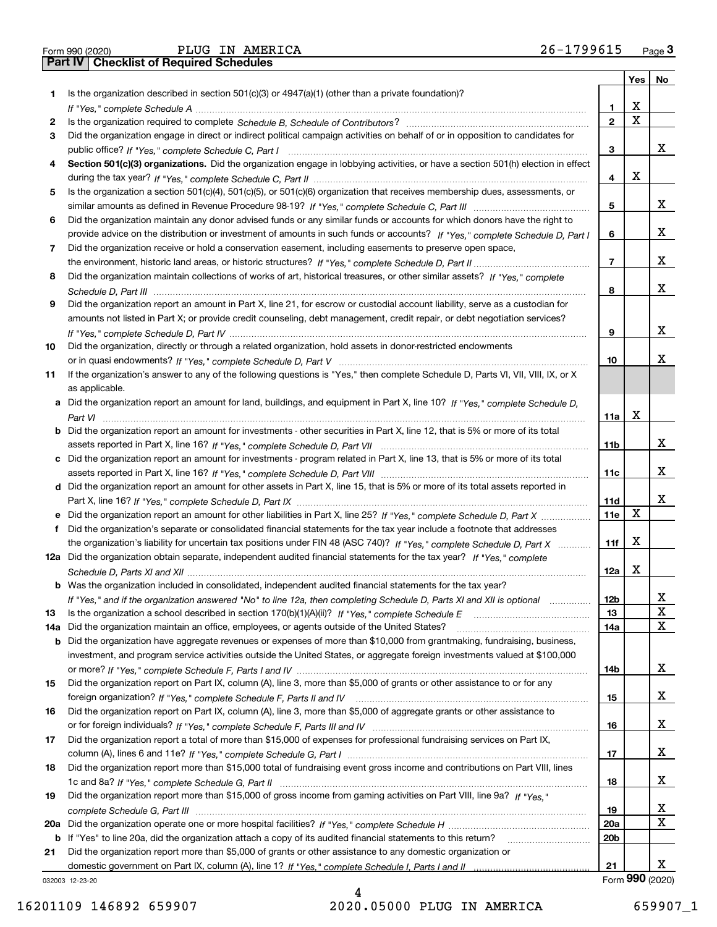|  | Form 990 (2020) |
|--|-----------------|

Form 990 (2020) PLUG IN AMERICA 2 6-1799615 <sub>Page</sub> 3<br>**Part IV** | Checklist of Required Schedules

|    |                                                                                                                                       |                 | Yes | No |
|----|---------------------------------------------------------------------------------------------------------------------------------------|-----------------|-----|----|
| 1  | Is the organization described in section $501(c)(3)$ or $4947(a)(1)$ (other than a private foundation)?                               |                 |     |    |
|    |                                                                                                                                       | 1               | х   |    |
| 2  |                                                                                                                                       | $\mathbf{2}$    | X   |    |
| 3  | Did the organization engage in direct or indirect political campaign activities on behalf of or in opposition to candidates for       |                 |     |    |
|    |                                                                                                                                       | 3               |     | x  |
| 4  | Section 501(c)(3) organizations. Did the organization engage in lobbying activities, or have a section 501(h) election in effect      |                 |     |    |
|    |                                                                                                                                       | 4               | X   |    |
| 5  | Is the organization a section 501(c)(4), 501(c)(5), or 501(c)(6) organization that receives membership dues, assessments, or          |                 |     |    |
|    |                                                                                                                                       | 5               |     | x  |
| 6  | Did the organization maintain any donor advised funds or any similar funds or accounts for which donors have the right to             |                 |     |    |
|    | provide advice on the distribution or investment of amounts in such funds or accounts? If "Yes," complete Schedule D, Part I          | 6               |     | х  |
| 7  | Did the organization receive or hold a conservation easement, including easements to preserve open space,                             |                 |     |    |
|    |                                                                                                                                       | 7               |     | х  |
| 8  | Did the organization maintain collections of works of art, historical treasures, or other similar assets? If "Yes," complete          |                 |     |    |
|    |                                                                                                                                       | 8               |     | х  |
| 9  | Did the organization report an amount in Part X, line 21, for escrow or custodial account liability, serve as a custodian for         |                 |     |    |
|    | amounts not listed in Part X; or provide credit counseling, debt management, credit repair, or debt negotiation services?             |                 |     |    |
|    |                                                                                                                                       | 9               |     | х  |
| 10 | Did the organization, directly or through a related organization, hold assets in donor-restricted endowments                          |                 |     |    |
|    |                                                                                                                                       | 10              |     | х  |
| 11 | If the organization's answer to any of the following questions is "Yes," then complete Schedule D, Parts VI, VIII, VIII, IX, or X     |                 |     |    |
|    | as applicable.                                                                                                                        |                 |     |    |
|    | a Did the organization report an amount for land, buildings, and equipment in Part X, line 10? If "Yes," complete Schedule D,         |                 |     |    |
|    |                                                                                                                                       | 11a             | X   |    |
|    | <b>b</b> Did the organization report an amount for investments - other securities in Part X, line 12, that is 5% or more of its total |                 |     |    |
|    |                                                                                                                                       | 11 <sub>b</sub> |     | x  |
|    |                                                                                                                                       |                 |     |    |
|    | c Did the organization report an amount for investments - program related in Part X, line 13, that is 5% or more of its total         |                 |     | х  |
|    |                                                                                                                                       | 11c             |     |    |
|    | d Did the organization report an amount for other assets in Part X, line 15, that is 5% or more of its total assets reported in       |                 |     | х  |
|    |                                                                                                                                       | 11d             | х   |    |
|    |                                                                                                                                       | <b>11e</b>      |     |    |
| f  | Did the organization's separate or consolidated financial statements for the tax year include a footnote that addresses               |                 | x   |    |
|    | the organization's liability for uncertain tax positions under FIN 48 (ASC 740)? If "Yes," complete Schedule D, Part X                | 11f             |     |    |
|    | 12a Did the organization obtain separate, independent audited financial statements for the tax year? If "Yes," complete               |                 |     |    |
|    |                                                                                                                                       | 12a             | х   |    |
|    | <b>b</b> Was the organization included in consolidated, independent audited financial statements for the tax year?                    |                 |     |    |
|    | If "Yes," and if the organization answered "No" to line 12a, then completing Schedule D, Parts XI and XII is optional                 | 12 <sub>b</sub> |     |    |
| 13 | Is the organization a school described in section $170(b)(1)(A)(ii)?$ If "Yes," complete Schedule E                                   | 13              |     | X  |
|    | 14a Did the organization maintain an office, employees, or agents outside of the United States?                                       | 14a             |     | x  |
|    | <b>b</b> Did the organization have aggregate revenues or expenses of more than \$10,000 from grantmaking, fundraising, business,      |                 |     |    |
|    | investment, and program service activities outside the United States, or aggregate foreign investments valued at \$100,000            |                 |     |    |
|    |                                                                                                                                       | 14b             |     | x  |
| 15 | Did the organization report on Part IX, column (A), line 3, more than \$5,000 of grants or other assistance to or for any             |                 |     |    |
|    |                                                                                                                                       | 15              |     | x  |
| 16 | Did the organization report on Part IX, column (A), line 3, more than \$5,000 of aggregate grants or other assistance to              |                 |     |    |
|    |                                                                                                                                       | 16              |     | x  |
| 17 | Did the organization report a total of more than \$15,000 of expenses for professional fundraising services on Part IX,               |                 |     |    |
|    |                                                                                                                                       | 17              |     | x  |
| 18 | Did the organization report more than \$15,000 total of fundraising event gross income and contributions on Part VIII, lines          |                 |     |    |
|    |                                                                                                                                       | 18              |     | x  |
| 19 | Did the organization report more than \$15,000 of gross income from gaming activities on Part VIII, line 9a? If "Yes."                |                 |     |    |
|    |                                                                                                                                       | 19              |     | x  |
|    |                                                                                                                                       | 20a             |     | X  |
|    | b If "Yes" to line 20a, did the organization attach a copy of its audited financial statements to this return?                        | 20 <sub>b</sub> |     |    |
| 21 | Did the organization report more than \$5,000 of grants or other assistance to any domestic organization or                           |                 |     |    |
|    |                                                                                                                                       | 21              |     | х  |

032003 12-23-20

Form (2020) **990**

4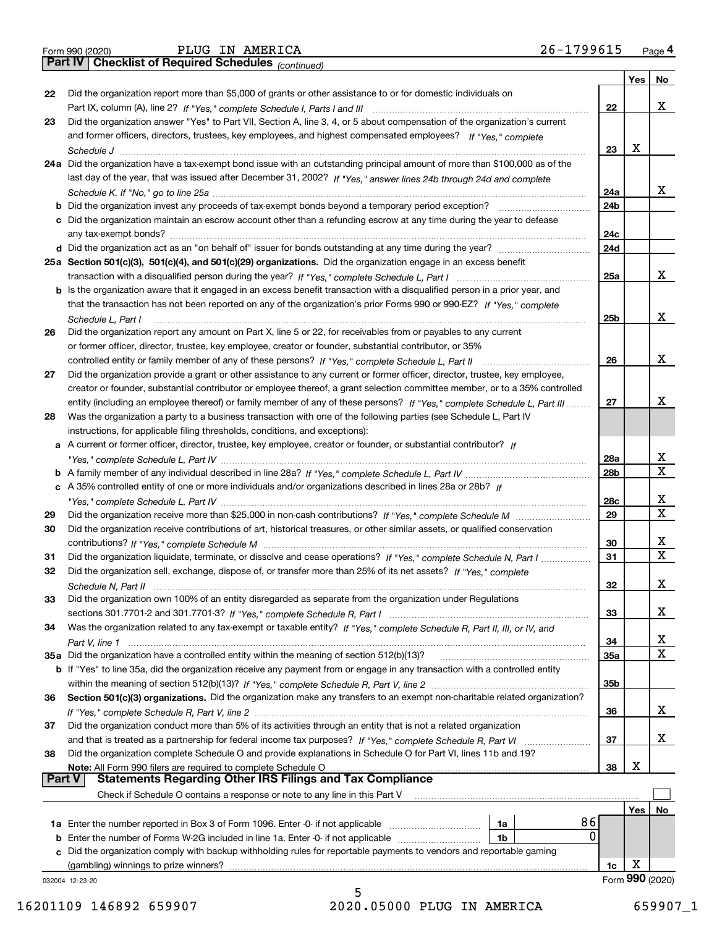|  | Form 990 (2020) |
|--|-----------------|

*(continued)*

|          |                                                                                                                              |                 | Yes | No              |
|----------|------------------------------------------------------------------------------------------------------------------------------|-----------------|-----|-----------------|
| 22       | Did the organization report more than \$5,000 of grants or other assistance to or for domestic individuals on                |                 |     |                 |
|          |                                                                                                                              | 22              |     | x               |
| 23       | Did the organization answer "Yes" to Part VII, Section A, line 3, 4, or 5 about compensation of the organization's current   |                 |     |                 |
|          | and former officers, directors, trustees, key employees, and highest compensated employees? If "Yes," complete               |                 |     |                 |
|          |                                                                                                                              | 23              | X   |                 |
|          | 24a Did the organization have a tax-exempt bond issue with an outstanding principal amount of more than \$100,000 as of the  |                 |     |                 |
|          | last day of the year, that was issued after December 31, 2002? If "Yes," answer lines 24b through 24d and complete           |                 |     |                 |
|          |                                                                                                                              | 24a             |     | x               |
|          | b Did the organization invest any proceeds of tax-exempt bonds beyond a temporary period exception?                          | 24b             |     |                 |
|          | c Did the organization maintain an escrow account other than a refunding escrow at any time during the year to defease       |                 |     |                 |
|          | any tax-exempt bonds?                                                                                                        | 24c             |     |                 |
|          |                                                                                                                              | 24d             |     |                 |
|          | 25a Section 501(c)(3), 501(c)(4), and 501(c)(29) organizations. Did the organization engage in an excess benefit             |                 |     |                 |
|          |                                                                                                                              | 25a             |     | x               |
|          | b Is the organization aware that it engaged in an excess benefit transaction with a disqualified person in a prior year, and |                 |     |                 |
|          | that the transaction has not been reported on any of the organization's prior Forms 990 or 990-EZ? If "Yes," complete        |                 |     |                 |
|          | Schedule L, Part I                                                                                                           | 25b             |     | x               |
| 26       | Did the organization report any amount on Part X, line 5 or 22, for receivables from or payables to any current              |                 |     |                 |
|          | or former officer, director, trustee, key employee, creator or founder, substantial contributor, or 35%                      |                 |     |                 |
|          |                                                                                                                              | 26              |     | x               |
| 27       | Did the organization provide a grant or other assistance to any current or former officer, director, trustee, key employee,  |                 |     |                 |
|          | creator or founder, substantial contributor or employee thereof, a grant selection committee member, or to a 35% controlled  |                 |     |                 |
|          | entity (including an employee thereof) or family member of any of these persons? If "Yes," complete Schedule L, Part III     | 27              |     | x               |
| 28       | Was the organization a party to a business transaction with one of the following parties (see Schedule L, Part IV            |                 |     |                 |
|          | instructions, for applicable filing thresholds, conditions, and exceptions):                                                 |                 |     |                 |
|          | a A current or former officer, director, trustee, key employee, creator or founder, or substantial contributor? If           |                 |     |                 |
|          |                                                                                                                              | 28a             |     | x               |
|          |                                                                                                                              | 28 <sub>b</sub> |     | X               |
|          | c A 35% controlled entity of one or more individuals and/or organizations described in lines 28a or 28b? If                  |                 |     |                 |
|          |                                                                                                                              | 28c             |     | x               |
| 29       |                                                                                                                              | 29              |     | X               |
| 30       | Did the organization receive contributions of art, historical treasures, or other similar assets, or qualified conservation  |                 |     |                 |
|          |                                                                                                                              | 30              |     | x               |
| 31       | Did the organization liquidate, terminate, or dissolve and cease operations? If "Yes," complete Schedule N, Part I           | 31              |     | $\mathbf x$     |
| 32       | Did the organization sell, exchange, dispose of, or transfer more than 25% of its net assets? If "Yes," complete             |                 |     |                 |
|          |                                                                                                                              | 32              |     | х               |
| 33       | Did the organization own 100% of an entity disregarded as separate from the organization under Regulations                   |                 |     |                 |
|          |                                                                                                                              | 33              |     | х               |
| 34       | Was the organization related to any tax-exempt or taxable entity? If "Yes," complete Schedule R, Part II, III, or IV, and    |                 |     |                 |
|          |                                                                                                                              | 34              |     | X               |
|          | 35a Did the organization have a controlled entity within the meaning of section 512(b)(13)?                                  | 35a             |     | х               |
|          | b If "Yes" to line 35a, did the organization receive any payment from or engage in any transaction with a controlled entity  |                 |     |                 |
|          |                                                                                                                              | 35 <sub>b</sub> |     |                 |
| 36       | Section 501(c)(3) organizations. Did the organization make any transfers to an exempt non-charitable related organization?   |                 |     |                 |
|          |                                                                                                                              | 36              |     | x               |
| 37       | Did the organization conduct more than 5% of its activities through an entity that is not a related organization             |                 |     |                 |
|          | and that is treated as a partnership for federal income tax purposes? If "Yes," complete Schedule R, Part VI                 | 37              |     | x               |
| 38       | Did the organization complete Schedule O and provide explanations in Schedule O for Part VI, lines 11b and 19?               |                 |     |                 |
|          | Note: All Form 990 filers are required to complete Schedule O                                                                | 38              | X   |                 |
| ∣ Part V | <b>Statements Regarding Other IRS Filings and Tax Compliance</b>                                                             |                 |     |                 |
|          | Check if Schedule O contains a response or note to any line in this Part V                                                   |                 |     |                 |
|          |                                                                                                                              |                 | Yes | No              |
|          | 86<br>1a                                                                                                                     |                 |     |                 |
|          | $\mathbf{0}$<br><b>b</b> Enter the number of Forms W-2G included in line 1a. Enter -0- if not applicable<br>1b               |                 |     |                 |
| c        | Did the organization comply with backup withholding rules for reportable payments to vendors and reportable gaming           |                 |     |                 |
|          | (gambling) winnings to prize winners?                                                                                        | 1c              | х   |                 |
|          | 032004 12-23-20                                                                                                              |                 |     | Form 990 (2020) |
|          | 5                                                                                                                            |                 |     |                 |
|          |                                                                                                                              |                 |     |                 |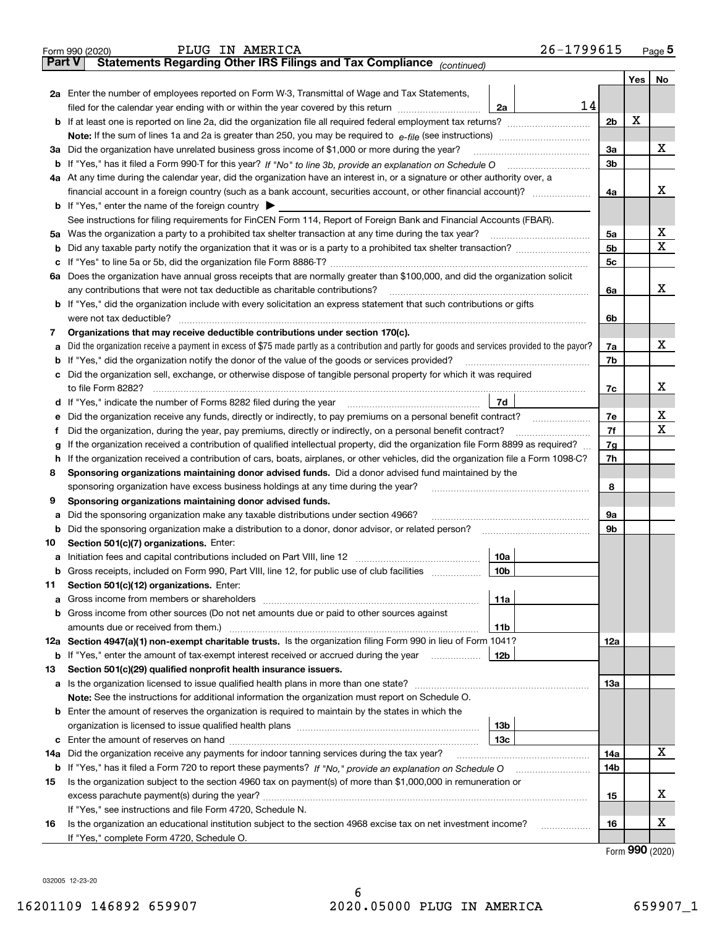|        | 26-1799615<br>PLUG IN AMERICA<br>Form 990 (2020)                                                                                                                                           |                |   | Page $5$ |  |  |  |  |
|--------|--------------------------------------------------------------------------------------------------------------------------------------------------------------------------------------------|----------------|---|----------|--|--|--|--|
| Part V | Statements Regarding Other IRS Filings and Tax Compliance <sub>(continued)</sub>                                                                                                           |                |   |          |  |  |  |  |
|        |                                                                                                                                                                                            |                |   | Yes   No |  |  |  |  |
|        | 2a Enter the number of employees reported on Form W-3, Transmittal of Wage and Tax Statements,                                                                                             |                |   |          |  |  |  |  |
|        | 14<br>filed for the calendar year ending with or within the year covered by this return [11] [11] filed for the calendar year ending with or within the year covered by this return<br>2a  |                |   |          |  |  |  |  |
|        |                                                                                                                                                                                            | 2 <sub>b</sub> | х |          |  |  |  |  |
|        |                                                                                                                                                                                            |                |   |          |  |  |  |  |
|        | 3a Did the organization have unrelated business gross income of \$1,000 or more during the year?                                                                                           | За             |   | х        |  |  |  |  |
|        |                                                                                                                                                                                            | 3 <sub>b</sub> |   |          |  |  |  |  |
|        | 4a At any time during the calendar year, did the organization have an interest in, or a signature or other authority over, a                                                               |                |   |          |  |  |  |  |
|        | financial account in a foreign country (such as a bank account, securities account, or other financial account)?                                                                           | 4a             |   | x        |  |  |  |  |
|        | <b>b</b> If "Yes," enter the name of the foreign country $\blacktriangleright$                                                                                                             |                |   |          |  |  |  |  |
|        | See instructions for filing requirements for FinCEN Form 114, Report of Foreign Bank and Financial Accounts (FBAR).                                                                        |                |   |          |  |  |  |  |
|        | 5a Was the organization a party to a prohibited tax shelter transaction at any time during the tax year?                                                                                   | 5a             |   | х        |  |  |  |  |
|        |                                                                                                                                                                                            | 5 <sub>b</sub> |   | х        |  |  |  |  |
| с      |                                                                                                                                                                                            | 5c             |   |          |  |  |  |  |
|        | 6a Does the organization have annual gross receipts that are normally greater than \$100,000, and did the organization solicit                                                             |                |   |          |  |  |  |  |
|        | any contributions that were not tax deductible as charitable contributions?                                                                                                                | 6a             |   | x        |  |  |  |  |
|        | <b>b</b> If "Yes," did the organization include with every solicitation an express statement that such contributions or gifts                                                              |                |   |          |  |  |  |  |
|        | were not tax deductible?                                                                                                                                                                   | 6b             |   |          |  |  |  |  |
| 7      | Organizations that may receive deductible contributions under section 170(c).                                                                                                              |                |   |          |  |  |  |  |
| а      | Did the organization receive a payment in excess of \$75 made partly as a contribution and partly for goods and services provided to the payor?                                            | 7a             |   | х        |  |  |  |  |
| b      | If "Yes," did the organization notify the donor of the value of the goods or services provided?                                                                                            | 7b             |   |          |  |  |  |  |
|        | c Did the organization sell, exchange, or otherwise dispose of tangible personal property for which it was required                                                                        |                |   |          |  |  |  |  |
|        | to file Form 8282?                                                                                                                                                                         | 7c             |   | x        |  |  |  |  |
|        | 7d<br>d If "Yes," indicate the number of Forms 8282 filed during the year manufactured in the second of the New York                                                                       |                |   |          |  |  |  |  |
| е      | Did the organization receive any funds, directly or indirectly, to pay premiums on a personal benefit contract?                                                                            | 7e             |   | х        |  |  |  |  |
|        | Did the organization, during the year, pay premiums, directly or indirectly, on a personal benefit contract?                                                                               | 7f             |   | х        |  |  |  |  |
|        |                                                                                                                                                                                            | 7g             |   |          |  |  |  |  |
|        | If the organization received a contribution of qualified intellectual property, did the organization file Form 8899 as required?<br>g                                                      |                |   |          |  |  |  |  |
| 8      | If the organization received a contribution of cars, boats, airplanes, or other vehicles, did the organization file a Form 1098-C?<br>h.                                                   |                |   |          |  |  |  |  |
|        | Sponsoring organizations maintaining donor advised funds. Did a donor advised fund maintained by the<br>sponsoring organization have excess business holdings at any time during the year? | 8              |   |          |  |  |  |  |
| 9      | Sponsoring organizations maintaining donor advised funds.                                                                                                                                  |                |   |          |  |  |  |  |
|        | Did the sponsoring organization make any taxable distributions under section 4966?                                                                                                         | 9а             |   |          |  |  |  |  |
| а      |                                                                                                                                                                                            | 9b             |   |          |  |  |  |  |
| b      | Did the sponsoring organization make a distribution to a donor, donor advisor, or related person?                                                                                          |                |   |          |  |  |  |  |
| 10     | Section 501(c)(7) organizations. Enter:                                                                                                                                                    |                |   |          |  |  |  |  |
|        | 10a                                                                                                                                                                                        |                |   |          |  |  |  |  |
| b      | Gross receipts, included on Form 990, Part VIII, line 12, for public use of club facilities<br>10b                                                                                         |                |   |          |  |  |  |  |
| 11     | Section 501(c)(12) organizations. Enter:                                                                                                                                                   |                |   |          |  |  |  |  |
| а      | 11a<br><b>b</b> Gross income from other sources (Do not net amounts due or paid to other sources against                                                                                   |                |   |          |  |  |  |  |
|        |                                                                                                                                                                                            |                |   |          |  |  |  |  |
|        | amounts due or received from them.)<br>11b<br>12a Section 4947(a)(1) non-exempt charitable trusts. Is the organization filing Form 990 in lieu of Form 1041?                               |                |   |          |  |  |  |  |
|        |                                                                                                                                                                                            | 12a            |   |          |  |  |  |  |
|        | 12b<br><b>b</b> If "Yes," enter the amount of tax-exempt interest received or accrued during the year <i>manument</i>                                                                      |                |   |          |  |  |  |  |
| 13     | Section 501(c)(29) qualified nonprofit health insurance issuers.                                                                                                                           |                |   |          |  |  |  |  |
|        | a Is the organization licensed to issue qualified health plans in more than one state?                                                                                                     | 13а            |   |          |  |  |  |  |
|        | Note: See the instructions for additional information the organization must report on Schedule O.                                                                                          |                |   |          |  |  |  |  |
|        | <b>b</b> Enter the amount of reserves the organization is required to maintain by the states in which the                                                                                  |                |   |          |  |  |  |  |
|        | 13 <sub>b</sub>                                                                                                                                                                            |                |   |          |  |  |  |  |
|        | 13с                                                                                                                                                                                        |                |   |          |  |  |  |  |
| 14a    | Did the organization receive any payments for indoor tanning services during the tax year?                                                                                                 | 14a            |   | x        |  |  |  |  |
|        |                                                                                                                                                                                            | 14b            |   |          |  |  |  |  |
| 15     | Is the organization subject to the section 4960 tax on payment(s) of more than \$1,000,000 in remuneration or                                                                              |                |   |          |  |  |  |  |
|        |                                                                                                                                                                                            | 15             |   | х        |  |  |  |  |
|        | If "Yes," see instructions and file Form 4720, Schedule N.                                                                                                                                 |                |   |          |  |  |  |  |
| 16     | Is the organization an educational institution subject to the section 4968 excise tax on net investment income?<br>.                                                                       | 16             |   | х        |  |  |  |  |
|        | If "Yes," complete Form 4720, Schedule O.                                                                                                                                                  |                |   |          |  |  |  |  |

Form (2020) **990**

032005 12-23-20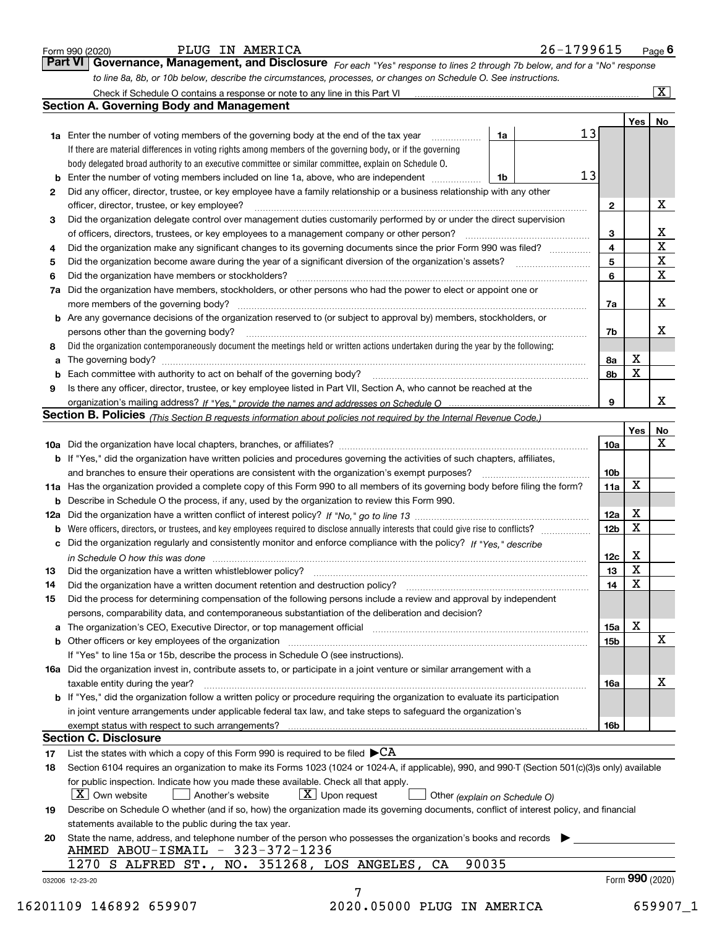|    | <b>Section A. Governing Body and Management</b>                                                                                                                                                                                |                 |                 | $\overline{\mathbf{x}}$  |
|----|--------------------------------------------------------------------------------------------------------------------------------------------------------------------------------------------------------------------------------|-----------------|-----------------|--------------------------|
|    |                                                                                                                                                                                                                                |                 |                 |                          |
|    | 13                                                                                                                                                                                                                             |                 | Yes             | No.                      |
|    | 1a<br>1a Enter the number of voting members of the governing body at the end of the tax year                                                                                                                                   |                 |                 |                          |
|    | If there are material differences in voting rights among members of the governing body, or if the governing                                                                                                                    |                 |                 |                          |
|    | body delegated broad authority to an executive committee or similar committee, explain on Schedule O.                                                                                                                          |                 |                 |                          |
|    | 13<br><b>b</b> Enter the number of voting members included on line 1a, above, who are independent <i></i><br>1b                                                                                                                |                 |                 |                          |
| 2  | Did any officer, director, trustee, or key employee have a family relationship or a business relationship with any other                                                                                                       |                 |                 |                          |
|    | officer, director, trustee, or key employee?                                                                                                                                                                                   | $\mathbf{2}$    |                 | Х                        |
| з  | Did the organization delegate control over management duties customarily performed by or under the direct supervision                                                                                                          |                 |                 |                          |
|    | of officers, directors, trustees, or key employees to a management company or other person?                                                                                                                                    | 3               |                 | $\underline{\mathbf{X}}$ |
| 4  | Did the organization make any significant changes to its governing documents since the prior Form 990 was filed?                                                                                                               | 4               |                 | $\overline{\mathbf{x}}$  |
| 5  |                                                                                                                                                                                                                                | 5               |                 | $\overline{\mathbf{x}}$  |
| 6  | Did the organization have members or stockholders?                                                                                                                                                                             | 6               |                 | $\overline{\mathbf{x}}$  |
| 7a | Did the organization have members, stockholders, or other persons who had the power to elect or appoint one or                                                                                                                 |                 |                 |                          |
|    | more members of the governing body?                                                                                                                                                                                            | 7a              |                 | x                        |
|    | b Are any governance decisions of the organization reserved to (or subject to approval by) members, stockholders, or                                                                                                           |                 |                 |                          |
|    | persons other than the governing body?                                                                                                                                                                                         | 7b              |                 | х                        |
| 8  | Did the organization contemporaneously document the meetings held or written actions undertaken during the year by the following:                                                                                              |                 |                 |                          |
|    |                                                                                                                                                                                                                                |                 | х               |                          |
| а  |                                                                                                                                                                                                                                | 8а              | X               |                          |
|    | Each committee with authority to act on behalf of the governing body?                                                                                                                                                          | 8b              |                 |                          |
| 9  | Is there any officer, director, trustee, or key employee listed in Part VII, Section A, who cannot be reached at the                                                                                                           |                 |                 |                          |
|    |                                                                                                                                                                                                                                | 9               |                 | x                        |
|    | Section B. Policies (This Section B requests information about policies not required by the Internal Revenue Code.)                                                                                                            |                 |                 |                          |
|    |                                                                                                                                                                                                                                |                 | Yes             | No                       |
|    |                                                                                                                                                                                                                                | 10a             |                 | X                        |
|    | <b>b</b> If "Yes," did the organization have written policies and procedures governing the activities of such chapters, affiliates,                                                                                            |                 |                 |                          |
|    |                                                                                                                                                                                                                                | 10b             |                 |                          |
|    | 11a Has the organization provided a complete copy of this Form 990 to all members of its governing body before filing the form?                                                                                                | 11a             | x               |                          |
|    | <b>b</b> Describe in Schedule O the process, if any, used by the organization to review this Form 990.                                                                                                                         |                 |                 |                          |
|    |                                                                                                                                                                                                                                | 12a             | x               |                          |
|    | <b>b</b> Were officers, directors, or trustees, and key employees required to disclose annually interests that could give rise to conflicts?                                                                                   | 12 <sub>b</sub> | X               |                          |
|    | c Did the organization regularly and consistently monitor and enforce compliance with the policy? If "Yes." describe                                                                                                           |                 |                 |                          |
|    | in Schedule O how this was done manufactured and continuum control of the state of the state of the state of t                                                                                                                 | 12c             | Х               |                          |
| 13 |                                                                                                                                                                                                                                | 13              | X               |                          |
| 14 | Did the organization have a written document retention and destruction policy?                                                                                                                                                 | 14              | $\mathbf x$     |                          |
| 15 | Did the process for determining compensation of the following persons include a review and approval by independent                                                                                                             |                 |                 |                          |
|    | persons, comparability data, and contemporaneous substantiation of the deliberation and decision?                                                                                                                              |                 |                 |                          |
|    |                                                                                                                                                                                                                                |                 | x               |                          |
|    | a The organization's CEO, Executive Director, or top management official [11] [12] The organization's CEO, Executive Director, or top management official [12] [12] [12] [12] The organization's CEO, Executive Director, or t | 15a             |                 |                          |
|    |                                                                                                                                                                                                                                | 15b             |                 | $\mathbf{X}$             |
|    | If "Yes" to line 15a or 15b, describe the process in Schedule O (see instructions).                                                                                                                                            |                 |                 |                          |
|    | 16a Did the organization invest in, contribute assets to, or participate in a joint venture or similar arrangement with a                                                                                                      |                 |                 |                          |
|    | taxable entity during the year?                                                                                                                                                                                                | 16a             |                 | х                        |
|    | b If "Yes," did the organization follow a written policy or procedure requiring the organization to evaluate its participation                                                                                                 |                 |                 |                          |
|    | in joint venture arrangements under applicable federal tax law, and take steps to safeguard the organization's                                                                                                                 |                 |                 |                          |
|    |                                                                                                                                                                                                                                | 16b             |                 |                          |
|    | <b>Section C. Disclosure</b>                                                                                                                                                                                                   |                 |                 |                          |
| 17 | List the states with which a copy of this Form 990 is required to be filed $\blacktriangleright$ CA                                                                                                                            |                 |                 |                          |
| 18 | Section 6104 requires an organization to make its Forms 1023 (1024 or 1024-A, if applicable), 990, and 990-T (Section 501(c)(3)s only) available                                                                               |                 |                 |                          |
|    | for public inspection. Indicate how you made these available. Check all that apply.                                                                                                                                            |                 |                 |                          |
|    | $\mathbf{X}$ Own website<br>$\lfloor x \rfloor$ Upon request<br>Another's website<br>Other (explain on Schedule O)                                                                                                             |                 |                 |                          |
| 19 | Describe on Schedule O whether (and if so, how) the organization made its governing documents, conflict of interest policy, and financial                                                                                      |                 |                 |                          |
|    | statements available to the public during the tax year.                                                                                                                                                                        |                 |                 |                          |
| 20 | State the name, address, and telephone number of the person who possesses the organization's books and records                                                                                                                 |                 |                 |                          |
|    | AHMED ABOU-ISMAIL - 323-372-1236                                                                                                                                                                                               |                 |                 |                          |
|    | 1270 S ALFRED ST., NO. 351268, LOS ANGELES, CA<br>90035                                                                                                                                                                        |                 |                 |                          |
|    |                                                                                                                                                                                                                                |                 | Form 990 (2020) |                          |
|    | 032006 12-23-20                                                                                                                                                                                                                |                 |                 |                          |

Form 990 (2020) **PLUG IN AMERICA** Provided a last the set of the Sea of Page 6 Page 6 Page 6 Page 6 Page 6 Page 6 Page 6 Page 6 Page 6 Page 6 Page 6 Page 6 Page 6 Page 6 Page 6 Page 6 Page 6 Page 6 Page 6 Page 6 Page 6 Pag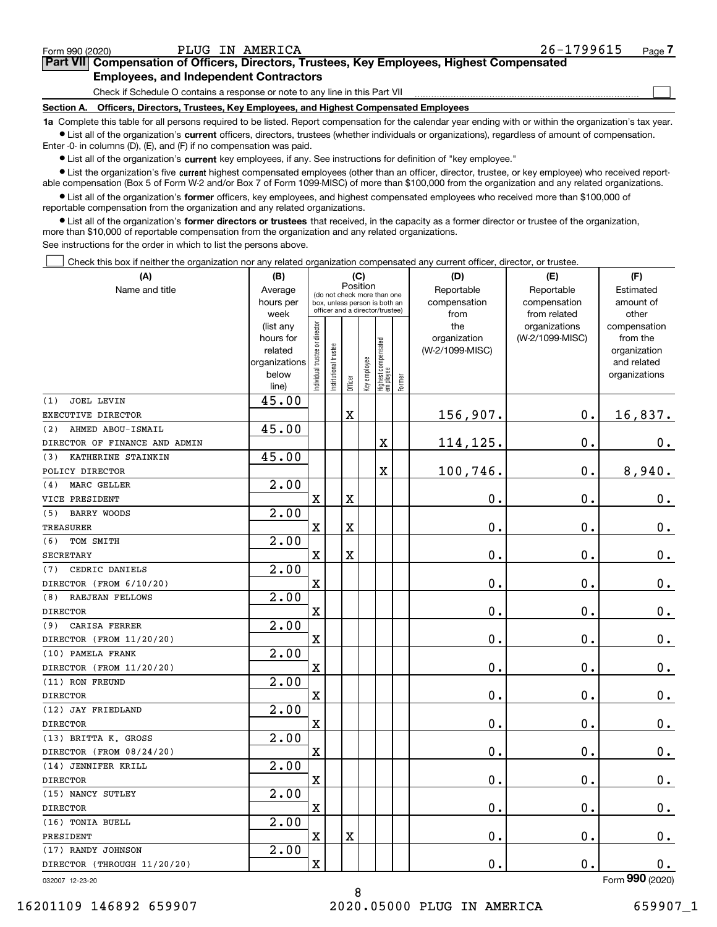$\mathcal{L}^{\text{max}}$ 

## **7Part VII Compensation of Officers, Directors, Trustees, Key Employees, Highest Compensated Employees, and Independent Contractors**

Check if Schedule O contains a response or note to any line in this Part VII

**Section A. Officers, Directors, Trustees, Key Employees, and Highest Compensated Employees**

**1a**  Complete this table for all persons required to be listed. Report compensation for the calendar year ending with or within the organization's tax year. **•** List all of the organization's current officers, directors, trustees (whether individuals or organizations), regardless of amount of compensation.

Enter -0- in columns (D), (E), and (F) if no compensation was paid.

 $\bullet$  List all of the organization's  $\,$ current key employees, if any. See instructions for definition of "key employee."

**•** List the organization's five current highest compensated employees (other than an officer, director, trustee, or key employee) who received reportable compensation (Box 5 of Form W-2 and/or Box 7 of Form 1099-MISC) of more than \$100,000 from the organization and any related organizations.

**•** List all of the organization's former officers, key employees, and highest compensated employees who received more than \$100,000 of reportable compensation from the organization and any related organizations.

**former directors or trustees**  ¥ List all of the organization's that received, in the capacity as a former director or trustee of the organization, more than \$10,000 of reportable compensation from the organization and any related organizations.

See instructions for the order in which to list the persons above.

Check this box if neither the organization nor any related organization compensated any current officer, director, or trustee.  $\mathcal{L}^{\text{max}}$ 

| (A)                           | (B)                      |                                |                                         |                         | (C)          |                                   |        | (D)             | (E)             | (F)                         |
|-------------------------------|--------------------------|--------------------------------|-----------------------------------------|-------------------------|--------------|-----------------------------------|--------|-----------------|-----------------|-----------------------------|
| Name and title                | Average                  |                                | Position<br>(do not check more than one |                         |              |                                   |        | Reportable      | Reportable      | Estimated                   |
|                               | hours per                |                                | box, unless person is both an           |                         |              |                                   |        | compensation    | compensation    | amount of                   |
|                               | week                     |                                | officer and a director/trustee)         |                         |              |                                   |        | from            | from related    | other                       |
|                               | (list any                |                                |                                         |                         |              |                                   |        | the             | organizations   | compensation                |
|                               | hours for                |                                |                                         |                         |              |                                   |        | organization    | (W-2/1099-MISC) | from the                    |
|                               | related<br>organizations |                                |                                         |                         |              |                                   |        | (W-2/1099-MISC) |                 | organization<br>and related |
|                               | below                    |                                |                                         |                         |              |                                   |        |                 |                 | organizations               |
|                               | line)                    | Individual trustee or director | Institutional trustee                   | Officer                 | Key employee | Highest compensated<br>  employee | Former |                 |                 |                             |
| <b>JOEL LEVIN</b><br>(1)      | 45.00                    |                                |                                         |                         |              |                                   |        |                 |                 |                             |
| EXECUTIVE DIRECTOR            |                          |                                |                                         | X                       |              |                                   |        | 156,907.        | $\mathbf 0$ .   | 16,837.                     |
| AHMED ABOU-ISMAIL<br>(2)      | 45.00                    |                                |                                         |                         |              |                                   |        |                 |                 |                             |
| DIRECTOR OF FINANCE AND ADMIN |                          |                                |                                         |                         |              | $\mathbf X$                       |        | 114,125.        | $\mathbf 0$ .   | 0.                          |
| KATHERINE STAINKIN<br>(3)     | 45.00                    |                                |                                         |                         |              |                                   |        |                 |                 |                             |
| POLICY DIRECTOR               |                          |                                |                                         |                         |              | $\rm X$                           |        | 100,746.        | $\mathbf 0$ .   | 8,940.                      |
| MARC GELLER<br>(4)            | 2.00                     |                                |                                         |                         |              |                                   |        |                 |                 |                             |
| VICE PRESIDENT                |                          | $\overline{\text{X}}$          |                                         | $\overline{\mathbf{X}}$ |              |                                   |        | 0.              | $\mathbf 0$ .   | $0_{.}$                     |
| <b>BARRY WOODS</b><br>(5)     | 2.00                     |                                |                                         |                         |              |                                   |        |                 |                 |                             |
| TREASURER                     |                          | $\mathbf X$                    |                                         | X                       |              |                                   |        | 0.              | $\mathbf 0$ .   | $\mathbf 0$ .               |
| (6)<br>TOM SMITH              | 2.00                     |                                |                                         |                         |              |                                   |        |                 |                 |                             |
| <b>SECRETARY</b>              |                          | X                              |                                         | $\overline{\textbf{X}}$ |              |                                   |        | 0.              | 0.              | $\mathbf 0$ .               |
| (7)<br>CEDRIC DANIELS         | 2.00                     |                                |                                         |                         |              |                                   |        |                 |                 |                             |
| DIRECTOR (FROM 6/10/20)       |                          | $\mathbf X$                    |                                         |                         |              |                                   |        | 0.              | $\mathbf 0$ .   | $\mathbf 0$ .               |
| <b>RAEJEAN FELLOWS</b><br>(8) | 2.00                     |                                |                                         |                         |              |                                   |        |                 |                 |                             |
| <b>DIRECTOR</b>               |                          | $\overline{\text{X}}$          |                                         |                         |              |                                   |        | 0.              | $\mathbf 0$ .   | 0.                          |
| CARISA FERRER<br>(9)          | 2.00                     |                                |                                         |                         |              |                                   |        |                 |                 |                             |
| DIRECTOR (FROM 11/20/20)      |                          | $\mathbf X$                    |                                         |                         |              |                                   |        | 0.              | 0.              | $0_{.}$                     |
| (10) PAMELA FRANK             | 2.00                     |                                |                                         |                         |              |                                   |        |                 |                 |                             |
| DIRECTOR (FROM 11/20/20)      |                          | $\mathbf X$                    |                                         |                         |              |                                   |        | 0.              | $\mathbf 0$ .   | $\mathbf 0$ .               |
| (11) RON FREUND               | 2.00                     |                                |                                         |                         |              |                                   |        |                 |                 |                             |
| <b>DIRECTOR</b>               |                          | X                              |                                         |                         |              |                                   |        | 0.              | 0.              | $0_{.}$                     |
| (12) JAY FRIEDLAND            | 2.00                     |                                |                                         |                         |              |                                   |        |                 |                 |                             |
| <b>DIRECTOR</b>               |                          | $\rm X$                        |                                         |                         |              |                                   |        | 0.              | 0.              | $\mathbf 0$ .               |
| (13) BRITTA K. GROSS          | 2.00                     |                                |                                         |                         |              |                                   |        |                 |                 |                             |
| DIRECTOR (FROM 08/24/20)      |                          | X                              |                                         |                         |              |                                   |        | 0.              | $\mathbf 0$ .   | 0.                          |
| (14) JENNIFER KRILL           | 2.00                     |                                |                                         |                         |              |                                   |        |                 |                 |                             |
| <b>DIRECTOR</b>               |                          | $\mathbf X$                    |                                         |                         |              |                                   |        | 0.              | 0.              | 0.                          |
| (15) NANCY SUTLEY             | 2.00                     |                                |                                         |                         |              |                                   |        |                 |                 |                             |
| <b>DIRECTOR</b>               |                          | X                              |                                         |                         |              |                                   |        | 0.              | $\mathbf 0$ .   | $\mathbf 0$ .               |
| (16) TONIA BUELL              | 2.00                     |                                |                                         |                         |              |                                   |        |                 |                 |                             |
| PRESIDENT                     |                          | X                              |                                         | $\overline{\textbf{X}}$ |              |                                   |        | 0.              | $\mathbf 0$ .   | $\mathbf 0$ .               |
| (17) RANDY JOHNSON            | 2.00                     |                                |                                         |                         |              |                                   |        |                 |                 |                             |
| DIRECTOR (THROUGH 11/20/20)   |                          | X                              |                                         |                         |              |                                   |        | 0.              | $\mathbf 0$ .   | 0.<br>nnn.                  |

8

032007 12-23-20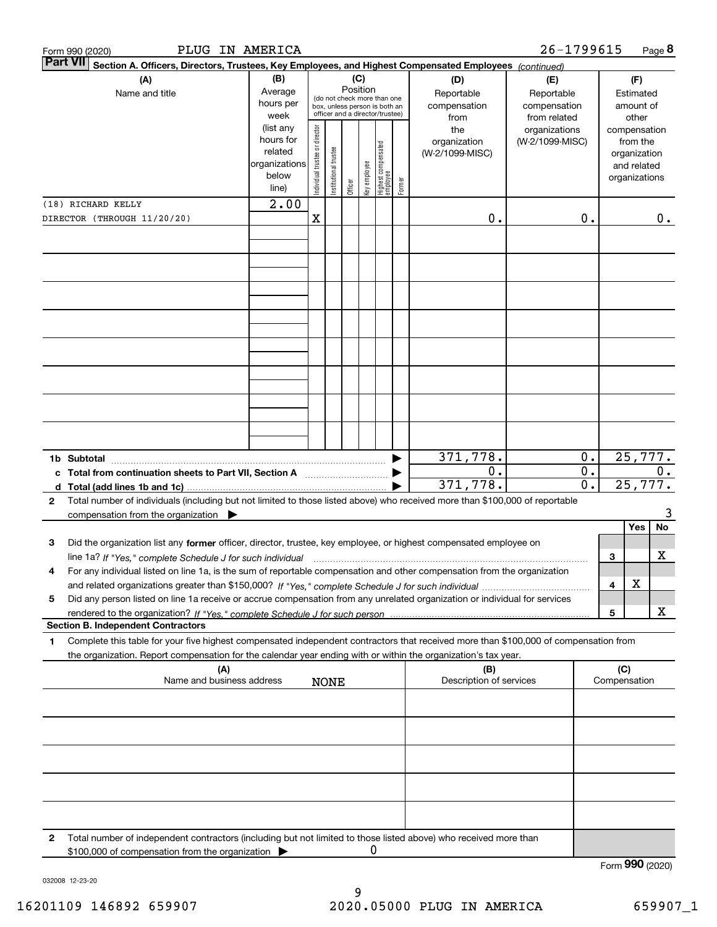|   | PLUG IN AMERICA<br>Form 990 (2020)                                                                                                                                                                                                                           |                                                                      |                               |                      |         |                 |                                                                                                 |        |                                           | 26-1799615                                        |                                 |                               |                                         | Page 8 |
|---|--------------------------------------------------------------------------------------------------------------------------------------------------------------------------------------------------------------------------------------------------------------|----------------------------------------------------------------------|-------------------------------|----------------------|---------|-----------------|-------------------------------------------------------------------------------------------------|--------|-------------------------------------------|---------------------------------------------------|---------------------------------|-------------------------------|-----------------------------------------|--------|
|   | <b>Part VII</b><br>Section A. Officers, Directors, Trustees, Key Employees, and Highest Compensated Employees (continued)                                                                                                                                    |                                                                      |                               |                      |         |                 |                                                                                                 |        |                                           |                                                   |                                 |                               |                                         |        |
|   | (B)<br>(A)<br>Average<br>Name and title<br>hours per<br>week                                                                                                                                                                                                 |                                                                      |                               |                      |         | (C)<br>Position | (do not check more than one<br>box, unless person is both an<br>officer and a director/trustee) |        | (D)<br>Reportable<br>compensation<br>from | (E)<br>Reportable<br>compensation<br>from related |                                 |                               | (F)<br>Estimated<br>amount of<br>other  |        |
|   |                                                                                                                                                                                                                                                              | (list any<br>hours for<br>related<br>organizations<br>below<br>line) | ndividual trustee or director | nstitutional trustee | Officer | key employee    | Highest compensated<br> employee                                                                | Former | the<br>organization<br>(W-2/1099-MISC)    | organizations<br>(W-2/1099-MISC)                  |                                 | compensation<br>organizations | from the<br>organization<br>and related |        |
|   | (18) RICHARD KELLY                                                                                                                                                                                                                                           | 2.00                                                                 |                               |                      |         |                 |                                                                                                 |        |                                           |                                                   |                                 |                               |                                         |        |
|   | DIRECTOR (THROUGH 11/20/20)                                                                                                                                                                                                                                  |                                                                      | $\mathbf X$                   |                      |         |                 |                                                                                                 |        | 0.                                        |                                                   | 0.                              |                               |                                         | $0$ .  |
|   |                                                                                                                                                                                                                                                              |                                                                      |                               |                      |         |                 |                                                                                                 |        |                                           |                                                   |                                 |                               |                                         |        |
|   |                                                                                                                                                                                                                                                              |                                                                      |                               |                      |         |                 |                                                                                                 |        |                                           |                                                   |                                 |                               |                                         |        |
|   |                                                                                                                                                                                                                                                              |                                                                      |                               |                      |         |                 |                                                                                                 |        |                                           |                                                   |                                 |                               |                                         |        |
|   |                                                                                                                                                                                                                                                              |                                                                      |                               |                      |         |                 |                                                                                                 |        |                                           |                                                   |                                 |                               |                                         |        |
|   |                                                                                                                                                                                                                                                              |                                                                      |                               |                      |         |                 |                                                                                                 |        |                                           |                                                   |                                 |                               |                                         |        |
| d | 1b Subtotal<br>c Total from continuation sheets to Part VII, Section A<br>Total (add lines 1b and 1c)                                                                                                                                                        |                                                                      |                               |                      |         |                 |                                                                                                 |        | 371,778.<br>0.<br>371,778.                |                                                   | 0.<br>$0$ .<br>$\overline{0}$ . |                               | 25,777.<br>25,777.                      | 0.     |
| 2 | Total number of individuals (including but not limited to those listed above) who received more than \$100,000 of reportable<br>compensation from the organization $\blacktriangleright$                                                                     |                                                                      |                               |                      |         |                 |                                                                                                 |        |                                           |                                                   |                                 |                               |                                         | 3      |
|   |                                                                                                                                                                                                                                                              |                                                                      |                               |                      |         |                 |                                                                                                 |        |                                           |                                                   |                                 |                               | Yes                                     | No     |
| 3 | Did the organization list any former officer, director, trustee, key employee, or highest compensated employee on<br>line 1a? If "Yes," complete Schedule J for such individual manufactured contained and the Yes," complete Schedule J for such individual |                                                                      |                               |                      |         |                 |                                                                                                 |        |                                           |                                                   |                                 | 3                             |                                         | x      |
| 4 | For any individual listed on line 1a, is the sum of reportable compensation and other compensation from the organization                                                                                                                                     |                                                                      |                               |                      |         |                 |                                                                                                 |        |                                           |                                                   |                                 | 4                             | х                                       |        |
| 5 | Did any person listed on line 1a receive or accrue compensation from any unrelated organization or individual for services                                                                                                                                   |                                                                      |                               |                      |         |                 |                                                                                                 |        |                                           |                                                   |                                 | 5                             |                                         | X      |
|   | <b>Section B. Independent Contractors</b>                                                                                                                                                                                                                    |                                                                      |                               |                      |         |                 |                                                                                                 |        |                                           |                                                   |                                 |                               |                                         |        |
| 1 | Complete this table for your five highest compensated independent contractors that received more than \$100,000 of compensation from<br>the organization. Report compensation for the calendar year ending with or within the organization's tax year.       |                                                                      |                               |                      |         |                 |                                                                                                 |        |                                           |                                                   |                                 |                               |                                         |        |
|   | (A)<br>Name and business address                                                                                                                                                                                                                             |                                                                      |                               | <b>NONE</b>          |         |                 |                                                                                                 |        | (B)<br>Description of services            |                                                   |                                 | (C)<br>Compensation           |                                         |        |
|   |                                                                                                                                                                                                                                                              |                                                                      |                               |                      |         |                 |                                                                                                 |        |                                           |                                                   |                                 |                               |                                         |        |
|   |                                                                                                                                                                                                                                                              |                                                                      |                               |                      |         |                 |                                                                                                 |        |                                           |                                                   |                                 |                               |                                         |        |
|   |                                                                                                                                                                                                                                                              |                                                                      |                               |                      |         |                 |                                                                                                 |        |                                           |                                                   |                                 |                               |                                         |        |
|   |                                                                                                                                                                                                                                                              |                                                                      |                               |                      |         |                 |                                                                                                 |        |                                           |                                                   |                                 |                               |                                         |        |
| 2 | Total number of independent contractors (including but not limited to those listed above) who received more than<br>\$100,000 of compensation from the organization                                                                                          |                                                                      |                               |                      |         | 0               |                                                                                                 |        |                                           |                                                   |                                 | Form 990 (2020)               |                                         |        |
|   |                                                                                                                                                                                                                                                              |                                                                      |                               |                      |         |                 |                                                                                                 |        |                                           |                                                   |                                 |                               |                                         |        |

032008 12-23-20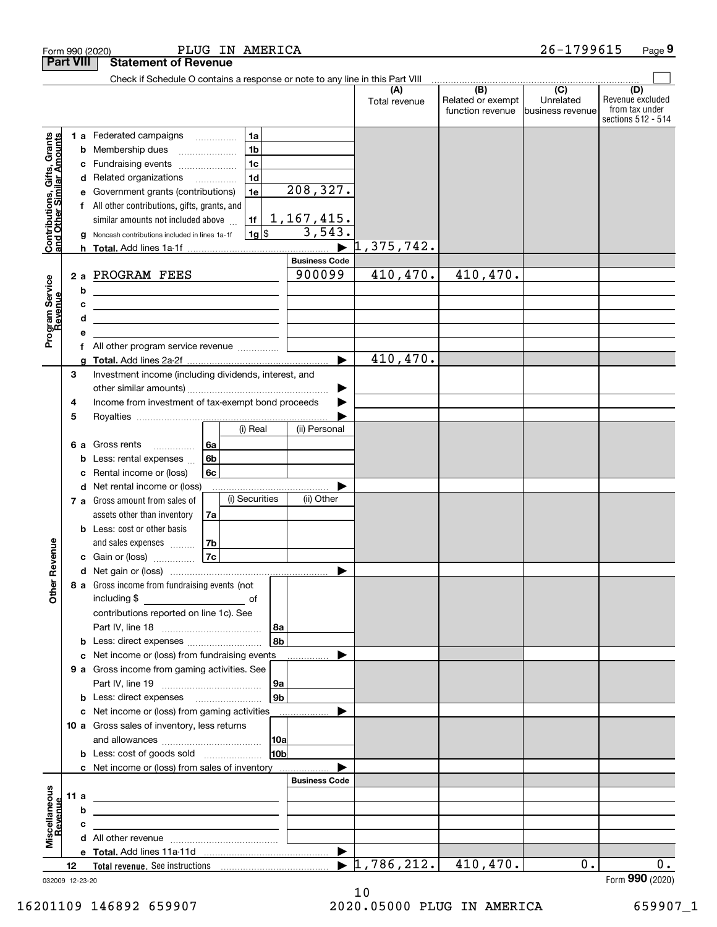|                                                           | <b>Part VIII</b> |                        | <b>Statement of Revenue</b>                                                                                                                                                                                                                                                 |                                                                      |                        |                                                                  |                                  |                                              |                                                 |                                                                 |
|-----------------------------------------------------------|------------------|------------------------|-----------------------------------------------------------------------------------------------------------------------------------------------------------------------------------------------------------------------------------------------------------------------------|----------------------------------------------------------------------|------------------------|------------------------------------------------------------------|----------------------------------|----------------------------------------------|-------------------------------------------------|-----------------------------------------------------------------|
|                                                           |                  |                        | Check if Schedule O contains a response or note to any line in this Part VIII                                                                                                                                                                                               |                                                                      |                        |                                                                  |                                  |                                              |                                                 |                                                                 |
|                                                           |                  |                        |                                                                                                                                                                                                                                                                             |                                                                      |                        |                                                                  | (A)<br>Total revenue             | (B)<br>Related or exempt<br>function revenue | $\overline{C}$<br>Unrelated<br>business revenue | (D)<br>Revenue excluded<br>from tax under<br>sections 512 - 514 |
| Contributions, Gifts, Grants<br>and Other Similar Amounts |                  | b<br>с<br>d<br>f<br>h. | <b>1 a</b> Federated campaigns<br>Membership dues<br>Fundraising events<br>Related organizations<br>Government grants (contributions)<br>All other contributions, gifts, grants, and<br>similar amounts not included above<br>Noncash contributions included in lines 1a-1f | 1a<br>1 <sub>b</sub><br>1 <sub>c</sub><br>1 <sub>d</sub><br>1e<br>1f | $1g$ \$                | 208,327.<br><u>1,167,415.</u><br>3,543.<br>$\blacktriangleright$ | 1,375,742.                       |                                              |                                                 |                                                                 |
|                                                           |                  |                        |                                                                                                                                                                                                                                                                             |                                                                      |                        | <b>Business Code</b>                                             |                                  |                                              |                                                 |                                                                 |
| Program Service<br>Revenue                                | 2a               | b<br>с<br>d<br>е       | PROGRAM FEES<br>the control of the control of the control of the control of the control of<br>the contract of the contract of the contract of the contract of the contract of<br>the control of the control of the control of the control of the control of the control of  |                                                                      |                        | 900099                                                           | 410, 470.                        | 410,470.                                     |                                                 |                                                                 |
|                                                           |                  | f                      | All other program service revenue                                                                                                                                                                                                                                           |                                                                      |                        |                                                                  |                                  |                                              |                                                 |                                                                 |
|                                                           | 3<br>4           | a                      | Investment income (including dividends, interest, and<br>Income from investment of tax-exempt bond proceeds                                                                                                                                                                 |                                                                      |                        | $\blacktriangleright$                                            | 410, 470.                        |                                              |                                                 |                                                                 |
|                                                           | 5<br>6а          | b<br>с<br>d            | Gross rents<br>.<br>Less: rental expenses<br>Rental income or (loss)<br>Net rental income or (loss)                                                                                                                                                                         | (i) Real<br>6а<br>6b<br>6c                                           |                        | (ii) Personal                                                    |                                  |                                              |                                                 |                                                                 |
| Revenue                                                   |                  |                        | 7 a Gross amount from sales of<br>assets other than inventory<br><b>b</b> Less: cost or other basis<br>and sales expenses<br>c Gain or (loss)                                                                                                                               | (i) Securities<br>7a<br>7b<br> 7c                                    |                        | (ii) Other<br>▶                                                  |                                  |                                              |                                                 |                                                                 |
| <b>Other</b>                                              |                  |                        | 8 a Gross income from fundraising events (not<br>including \$<br>contributions reported on line 1c). See<br><b>b</b> Less: direct expenses <i></i>                                                                                                                          |                                                                      | 8a<br>l 8b             |                                                                  |                                  |                                              |                                                 |                                                                 |
|                                                           |                  | c                      | Net income or (loss) from fundraising events                                                                                                                                                                                                                                |                                                                      |                        | $\ldots \ldots \ldots$                                           |                                  |                                              |                                                 |                                                                 |
|                                                           |                  |                        | 9 a Gross income from gaming activities. See<br><b>b</b> Less: direct expenses <b>manually</b><br>c Net income or (loss) from gaming activities                                                                                                                             |                                                                      | 9a<br>9 <sub>b</sub>   | .                                                                |                                  |                                              |                                                 |                                                                 |
|                                                           |                  |                        | 10 a Gross sales of inventory, less returns<br><b>b</b> Less: cost of goods sold                                                                                                                                                                                            |                                                                      | 10a<br>10 <sub>b</sub> |                                                                  |                                  |                                              |                                                 |                                                                 |
|                                                           |                  |                        | c Net income or (loss) from sales of inventory                                                                                                                                                                                                                              |                                                                      |                        |                                                                  |                                  |                                              |                                                 |                                                                 |
| Miscellaneous<br>Revenue                                  | 11 a             | b                      | <u> 1989 - Johann Barbara, martin amerikan basar dan berasal dalam basa dalam pengaran basar dalam basa dalam pe</u>                                                                                                                                                        |                                                                      |                        | <b>Business Code</b>                                             |                                  |                                              |                                                 |                                                                 |
|                                                           |                  | с                      | the contract of the contract of the contract of the contract of the contract of                                                                                                                                                                                             |                                                                      |                        |                                                                  |                                  |                                              |                                                 |                                                                 |
|                                                           |                  |                        |                                                                                                                                                                                                                                                                             |                                                                      |                        |                                                                  |                                  |                                              |                                                 |                                                                 |
|                                                           | 12               |                        |                                                                                                                                                                                                                                                                             |                                                                      |                        |                                                                  | $\blacktriangleright$ 1,786,212. | 410,470.                                     | $0$ .                                           | 0.                                                              |
|                                                           |                  |                        |                                                                                                                                                                                                                                                                             |                                                                      |                        |                                                                  |                                  |                                              |                                                 |                                                                 |

Form 990 (2020) PLIUG IN AMERICA 26-I7996I5 Page

PLUG IN AMERICA 26-1799615

032009 12-23-20

**9**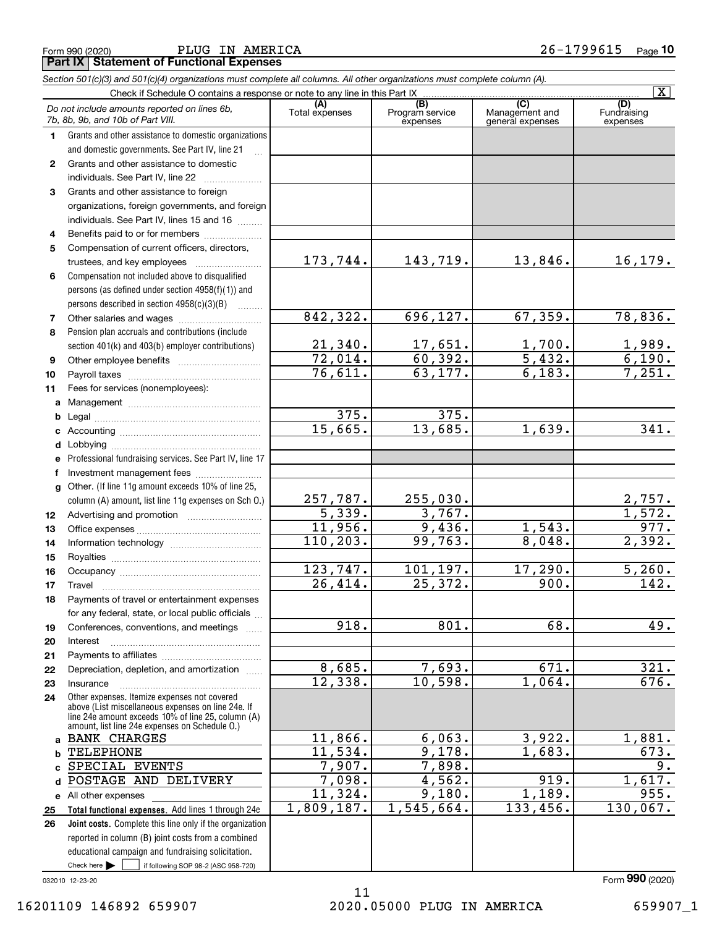Form 990 (2020) PLUG IN AMERICA 26-1799615 <sub>Page</sub> **Part IX Statement of Functional Expenses**

|              | Section 501(c)(3) and 501(c)(4) organizations must complete all columns. All other organizations must complete column (A).                                                                                 |                           |                                    |                                           |                                |  |  |  |  |  |  |
|--------------|------------------------------------------------------------------------------------------------------------------------------------------------------------------------------------------------------------|---------------------------|------------------------------------|-------------------------------------------|--------------------------------|--|--|--|--|--|--|
|              | $\overline{\mathbf{X}}$<br>Check if Schedule O contains a response or note to any line in this Part IX                                                                                                     |                           |                                    |                                           |                                |  |  |  |  |  |  |
|              | Do not include amounts reported on lines 6b,<br>7b, 8b, 9b, and 10b of Part VIII.                                                                                                                          | (A)<br>Total expenses     | (B)<br>Program service<br>expenses | (C)<br>Management and<br>general expenses | (D)<br>Fundraising<br>expenses |  |  |  |  |  |  |
| 1.           | Grants and other assistance to domestic organizations                                                                                                                                                      |                           |                                    |                                           |                                |  |  |  |  |  |  |
|              | and domestic governments. See Part IV, line 21                                                                                                                                                             |                           |                                    |                                           |                                |  |  |  |  |  |  |
| $\mathbf{2}$ | Grants and other assistance to domestic                                                                                                                                                                    |                           |                                    |                                           |                                |  |  |  |  |  |  |
|              | individuals. See Part IV, line 22                                                                                                                                                                          |                           |                                    |                                           |                                |  |  |  |  |  |  |
| 3            | Grants and other assistance to foreign                                                                                                                                                                     |                           |                                    |                                           |                                |  |  |  |  |  |  |
|              | organizations, foreign governments, and foreign                                                                                                                                                            |                           |                                    |                                           |                                |  |  |  |  |  |  |
|              | individuals. See Part IV, lines 15 and 16                                                                                                                                                                  |                           |                                    |                                           |                                |  |  |  |  |  |  |
| 4            | Benefits paid to or for members                                                                                                                                                                            |                           |                                    |                                           |                                |  |  |  |  |  |  |
| 5            | Compensation of current officers, directors,                                                                                                                                                               |                           |                                    |                                           |                                |  |  |  |  |  |  |
|              | trustees, and key employees                                                                                                                                                                                | 173,744.                  | 143,719.                           | 13,846.                                   | 16,179.                        |  |  |  |  |  |  |
| 6            | Compensation not included above to disqualified                                                                                                                                                            |                           |                                    |                                           |                                |  |  |  |  |  |  |
|              | persons (as defined under section 4958(f)(1)) and                                                                                                                                                          |                           |                                    |                                           |                                |  |  |  |  |  |  |
|              | persons described in section 4958(c)(3)(B)                                                                                                                                                                 |                           |                                    |                                           |                                |  |  |  |  |  |  |
| 7            |                                                                                                                                                                                                            | 842, 322.                 | 696,127.                           | 67, 359.                                  | 78,836.                        |  |  |  |  |  |  |
| 8            | Pension plan accruals and contributions (include                                                                                                                                                           |                           |                                    |                                           |                                |  |  |  |  |  |  |
|              | section 401(k) and 403(b) employer contributions)                                                                                                                                                          | 21,340.                   | 17,651.                            | 1,700.                                    | $\frac{1,989.}{6,190.}$        |  |  |  |  |  |  |
| 9            |                                                                                                                                                                                                            | 72,014.                   | 60,392.                            | 5,432.                                    |                                |  |  |  |  |  |  |
| 10           |                                                                                                                                                                                                            | 76,611.                   | 63, 177.                           | 6,183.                                    | 7,251.                         |  |  |  |  |  |  |
| 11           | Fees for services (nonemployees):                                                                                                                                                                          |                           |                                    |                                           |                                |  |  |  |  |  |  |
| a            |                                                                                                                                                                                                            | 375.                      | 375.                               |                                           |                                |  |  |  |  |  |  |
| b            |                                                                                                                                                                                                            | 15,665.                   | 13,685.                            | 1,639.                                    | 341.                           |  |  |  |  |  |  |
| c            |                                                                                                                                                                                                            |                           |                                    |                                           |                                |  |  |  |  |  |  |
| d            |                                                                                                                                                                                                            |                           |                                    |                                           |                                |  |  |  |  |  |  |
| е            | Professional fundraising services. See Part IV, line 17                                                                                                                                                    |                           |                                    |                                           |                                |  |  |  |  |  |  |
| f            | Investment management fees<br>Other. (If line 11g amount exceeds 10% of line 25,                                                                                                                           |                           |                                    |                                           |                                |  |  |  |  |  |  |
| g            | column (A) amount, list line 11g expenses on Sch O.)                                                                                                                                                       |                           | 255,030.                           |                                           |                                |  |  |  |  |  |  |
| 12           |                                                                                                                                                                                                            | $\frac{257,787.}{5,339.}$ | 3,767.                             |                                           | $\frac{2,757}{1,572}$          |  |  |  |  |  |  |
| 13           |                                                                                                                                                                                                            | 11,956.                   | 9,436.                             | 1,543.                                    | 977.                           |  |  |  |  |  |  |
| 14           |                                                                                                                                                                                                            | 110, 203.                 | 99,763.                            | 8,048.                                    | 2,392.                         |  |  |  |  |  |  |
| 15           |                                                                                                                                                                                                            |                           |                                    |                                           |                                |  |  |  |  |  |  |
| 16           |                                                                                                                                                                                                            | 123,747.                  | 101,197.                           | 17,290.                                   | 5,260.                         |  |  |  |  |  |  |
| 17           |                                                                                                                                                                                                            | 26,414.                   | 25,372.                            | 900.                                      | 142.                           |  |  |  |  |  |  |
| 18           | Payments of travel or entertainment expenses                                                                                                                                                               |                           |                                    |                                           |                                |  |  |  |  |  |  |
|              | for any federal, state, or local public officials                                                                                                                                                          |                           |                                    |                                           |                                |  |  |  |  |  |  |
| 19           | Conferences, conventions, and meetings<br>$\overline{1}$                                                                                                                                                   | $\overline{918}$ .        | 801.                               | 68.                                       | 49.                            |  |  |  |  |  |  |
| 20           | Interest                                                                                                                                                                                                   |                           |                                    |                                           |                                |  |  |  |  |  |  |
| 21           |                                                                                                                                                                                                            |                           |                                    |                                           |                                |  |  |  |  |  |  |
| 22           | Depreciation, depletion, and amortization                                                                                                                                                                  | 8,685.                    | 7,693.                             | 671.                                      | 321.                           |  |  |  |  |  |  |
| 23           | Insurance                                                                                                                                                                                                  | 12,338.                   | 10,598.                            | 1,064.                                    | 676.                           |  |  |  |  |  |  |
| 24           | Other expenses. Itemize expenses not covered<br>above (List miscellaneous expenses on line 24e. If<br>line 24e amount exceeds 10% of line 25, column (A)<br>amount, list line 24e expenses on Schedule 0.) |                           |                                    |                                           |                                |  |  |  |  |  |  |
| a            | <b>BANK CHARGES</b>                                                                                                                                                                                        | 11,866.                   | 6,063.                             | 3,922.                                    | 1,881.                         |  |  |  |  |  |  |
| b            | TELEPHONE                                                                                                                                                                                                  | $\overline{11,534}$ .     | 9,178.                             | 1,683.                                    | 673.                           |  |  |  |  |  |  |
| C            | SPECIAL EVENTS                                                                                                                                                                                             | 7,907.                    | 7,898.                             |                                           | 9.                             |  |  |  |  |  |  |
| d            | POSTAGE AND DELIVERY                                                                                                                                                                                       | 7,098.                    | 4,562.                             | 919.                                      | 1,617.                         |  |  |  |  |  |  |
|              | e All other expenses                                                                                                                                                                                       | 11,324.                   | 9,180.                             | 1,189.                                    | 955.                           |  |  |  |  |  |  |
| 25           | Total functional expenses. Add lines 1 through 24e                                                                                                                                                         | 1,809,187.                | 1,545,664.                         | 133,456.                                  | 130,067.                       |  |  |  |  |  |  |
| 26           | Joint costs. Complete this line only if the organization                                                                                                                                                   |                           |                                    |                                           |                                |  |  |  |  |  |  |
|              | reported in column (B) joint costs from a combined                                                                                                                                                         |                           |                                    |                                           |                                |  |  |  |  |  |  |
|              | educational campaign and fundraising solicitation.                                                                                                                                                         |                           |                                    |                                           |                                |  |  |  |  |  |  |
|              | Check here $\blacktriangleright$<br>if following SOP 98-2 (ASC 958-720)                                                                                                                                    |                           |                                    |                                           |                                |  |  |  |  |  |  |

032010 12-23-20

11 16201109 146892 659907 2020.05000 PLUG IN AMERICA 659907\_1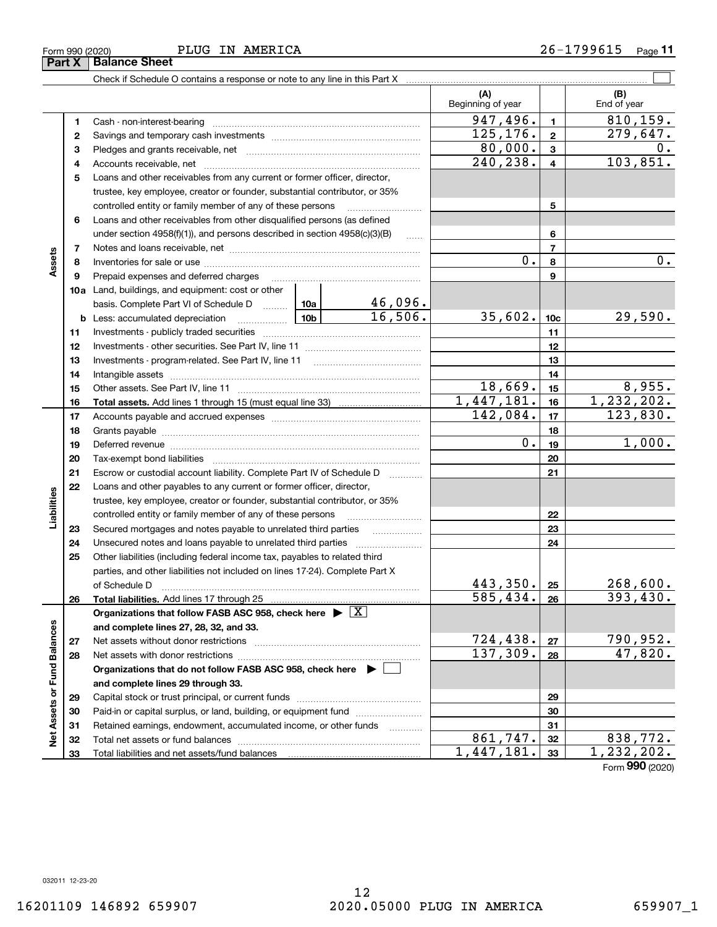**Part X Balance Sheet**

|                             |    | Check if Schedule O contains a response or note to any line in this Part X                                                                                                                                                     |                           |                          |                 |                    |
|-----------------------------|----|--------------------------------------------------------------------------------------------------------------------------------------------------------------------------------------------------------------------------------|---------------------------|--------------------------|-----------------|--------------------|
|                             |    |                                                                                                                                                                                                                                |                           | (A)<br>Beginning of year |                 | (B)<br>End of year |
|                             | 1  | Cash - non-interest-bearing                                                                                                                                                                                                    |                           | 947,496.                 | 1               | 810,159.           |
|                             | 2  |                                                                                                                                                                                                                                | 125,176.                  | $\mathbf{2}$             | 279,647.        |                    |
|                             | з  |                                                                                                                                                                                                                                |                           | 80,000.                  | 3               | 0.                 |
|                             | 4  |                                                                                                                                                                                                                                |                           | 240,238.                 | 4               | 103,851.           |
|                             | 5  | Loans and other receivables from any current or former officer, director,                                                                                                                                                      |                           |                          |                 |                    |
|                             |    | trustee, key employee, creator or founder, substantial contributor, or 35%                                                                                                                                                     |                           |                          |                 |                    |
|                             |    | controlled entity or family member of any of these persons                                                                                                                                                                     |                           |                          | 5               |                    |
|                             | 6  | Loans and other receivables from other disqualified persons (as defined                                                                                                                                                        |                           |                          |                 |                    |
|                             |    | under section 4958(f)(1)), and persons described in section 4958(c)(3)(B)                                                                                                                                                      | $\ldots$                  |                          | 6               |                    |
|                             | 7  |                                                                                                                                                                                                                                |                           |                          | $\overline{7}$  |                    |
| Assets                      | 8  |                                                                                                                                                                                                                                |                           | 0.                       | 8               | 0.                 |
|                             | 9  | Prepaid expenses and deferred charges                                                                                                                                                                                          |                           |                          | 9               |                    |
|                             |    | 10a Land, buildings, and equipment: cost or other                                                                                                                                                                              |                           |                          |                 |                    |
|                             |    | basis. Complete Part VI of Schedule D  10a                                                                                                                                                                                     | $\frac{46,096.}{16,506.}$ |                          |                 |                    |
|                             |    | $\frac{10b}{10b}$<br><b>b</b> Less: accumulated depreciation                                                                                                                                                                   |                           | 35,602.                  | 10 <sub>c</sub> | 29,590.            |
|                             | 11 |                                                                                                                                                                                                                                |                           |                          | 11              |                    |
|                             | 12 |                                                                                                                                                                                                                                |                           |                          | 12              |                    |
|                             | 13 |                                                                                                                                                                                                                                |                           |                          | 13              |                    |
|                             | 14 |                                                                                                                                                                                                                                |                           |                          | 14              |                    |
|                             | 15 |                                                                                                                                                                                                                                |                           | <u>18,669.</u>           | 15              | 8,955.             |
|                             | 16 |                                                                                                                                                                                                                                |                           | 1,447,181.               | 16              | 1, 232, 202.       |
|                             | 17 |                                                                                                                                                                                                                                | 142,084.                  | 17                       | 123,830.        |                    |
|                             | 18 |                                                                                                                                                                                                                                |                           | 18                       |                 |                    |
|                             | 19 | Deferred revenue material contracts and a contract of the contract of the contract of the contract of the contract of the contract of the contract of the contract of the contract of the contract of the contract of the cont | 0.                        | 19                       | 1,000.          |                    |
|                             | 20 |                                                                                                                                                                                                                                |                           |                          | 20              |                    |
|                             | 21 | Escrow or custodial account liability. Complete Part IV of Schedule D                                                                                                                                                          | 1.1.1.1.1.1.1.1.1.1       |                          | 21              |                    |
|                             | 22 | Loans and other payables to any current or former officer, director,                                                                                                                                                           |                           |                          |                 |                    |
| Liabilities                 |    | trustee, key employee, creator or founder, substantial contributor, or 35%                                                                                                                                                     |                           |                          |                 |                    |
|                             |    | controlled entity or family member of any of these persons                                                                                                                                                                     |                           |                          | 22              |                    |
|                             | 23 | Secured mortgages and notes payable to unrelated third parties                                                                                                                                                                 |                           | 23                       |                 |                    |
|                             | 24 | Unsecured notes and loans payable to unrelated third parties                                                                                                                                                                   |                           |                          | 24              |                    |
|                             | 25 | Other liabilities (including federal income tax, payables to related third                                                                                                                                                     |                           |                          |                 |                    |
|                             |    | parties, and other liabilities not included on lines 17-24). Complete Part X                                                                                                                                                   |                           |                          |                 |                    |
|                             |    | of Schedule D                                                                                                                                                                                                                  |                           | 443,350.                 | 25              | 268,600.           |
|                             | 26 | Total liabilities. Add lines 17 through 25                                                                                                                                                                                     |                           | 585,434.                 | 26              | 393,430.           |
|                             |    | Organizations that follow FASB ASC 958, check here $\blacktriangleright \boxed{X}$                                                                                                                                             |                           |                          |                 |                    |
|                             |    | and complete lines 27, 28, 32, and 33.                                                                                                                                                                                         |                           |                          |                 |                    |
|                             | 27 | Net assets without donor restrictions                                                                                                                                                                                          | 724,438.<br>137,309.      | 27                       | 790,952.        |                    |
|                             | 28 | Net assets with donor restrictions                                                                                                                                                                                             |                           | 28                       | 47,820.         |                    |
|                             |    | Organizations that do not follow FASB ASC 958, check here $\blacktriangleright$                                                                                                                                                |                           |                          |                 |                    |
|                             |    | and complete lines 29 through 33.                                                                                                                                                                                              |                           |                          |                 |                    |
|                             | 29 |                                                                                                                                                                                                                                |                           |                          | 29              |                    |
| Net Assets or Fund Balances | 30 | Paid-in or capital surplus, or land, building, or equipment fund                                                                                                                                                               |                           |                          | 30              |                    |
|                             | 31 | Retained earnings, endowment, accumulated income, or other funds                                                                                                                                                               |                           |                          | 31              |                    |
|                             | 32 | Total net assets or fund balances                                                                                                                                                                                              |                           | 861,747.                 | 32              | 838,772.           |
|                             | 33 | Total liabilities and net assets/fund balances                                                                                                                                                                                 |                           | 1,447,181.               | 33              | 1,232,202.         |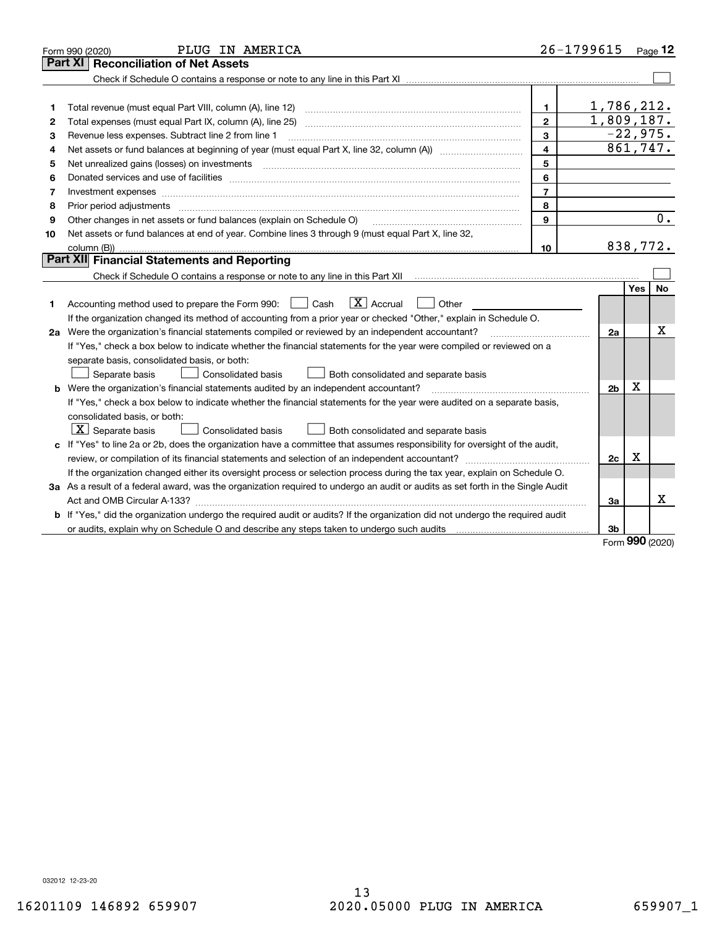|                | PLUG IN AMERICA<br>Form 990 (2020)                                                                                                                                                                                             |                | 26-1799615     |            | $Page$ 12  |
|----------------|--------------------------------------------------------------------------------------------------------------------------------------------------------------------------------------------------------------------------------|----------------|----------------|------------|------------|
| <b>Part XI</b> | <b>Reconciliation of Net Assets</b>                                                                                                                                                                                            |                |                |            |            |
|                |                                                                                                                                                                                                                                |                |                |            |            |
|                |                                                                                                                                                                                                                                |                |                |            |            |
| 1              | Total revenue (must equal Part VIII, column (A), line 12)                                                                                                                                                                      | $\mathbf{1}$   | 1,786,212.     |            |            |
| 2              | Total expenses (must equal Part IX, column (A), line 25)                                                                                                                                                                       | $\mathbf{2}$   | 1,809,187.     |            |            |
| з              | Revenue less expenses. Subtract line 2 from line 1                                                                                                                                                                             | 3              |                |            | $-22,975.$ |
| 4              |                                                                                                                                                                                                                                | 4              |                |            | 861,747.   |
| 5              |                                                                                                                                                                                                                                | 5              |                |            |            |
| 6              | Donated services and use of facilities [111] processes and the service of facilities [11] processes and use of facilities [11] processes and the service of facilities [11] processes and the service of the service of the se | 6              |                |            |            |
| 7              | Investment expenses www.communication.communication.com/www.communication.com/www.communication.com                                                                                                                            | $\overline{7}$ |                |            |            |
| 8              | Prior period adjustments                                                                                                                                                                                                       | 8              |                |            |            |
| 9              | Other changes in net assets or fund balances (explain on Schedule O)                                                                                                                                                           | 9              |                |            | 0.         |
| 10             | Net assets or fund balances at end of year. Combine lines 3 through 9 (must equal Part X, line 32,                                                                                                                             |                |                |            |            |
|                | column (B))                                                                                                                                                                                                                    | 10             |                |            | 838,772.   |
|                | Part XII Financial Statements and Reporting                                                                                                                                                                                    |                |                |            |            |
|                |                                                                                                                                                                                                                                |                |                |            |            |
|                |                                                                                                                                                                                                                                |                |                | <b>Yes</b> | No         |
| 1.             | $ X $ Accrual<br>Accounting method used to prepare the Form 990: <u>II</u> Cash<br>Other                                                                                                                                       |                |                |            |            |
|                | If the organization changed its method of accounting from a prior year or checked "Other," explain in Schedule O.                                                                                                              |                |                |            |            |
|                | 2a Were the organization's financial statements compiled or reviewed by an independent accountant?                                                                                                                             |                | 2a             |            | х          |
|                | If "Yes," check a box below to indicate whether the financial statements for the year were compiled or reviewed on a                                                                                                           |                |                |            |            |
|                | separate basis, consolidated basis, or both:                                                                                                                                                                                   |                |                |            |            |
|                | Separate basis<br><b>Consolidated basis</b><br>Both consolidated and separate basis                                                                                                                                            |                |                |            |            |
|                | <b>b</b> Were the organization's financial statements audited by an independent accountant?                                                                                                                                    |                | 2 <sub>b</sub> | х          |            |
|                | If "Yes," check a box below to indicate whether the financial statements for the year were audited on a separate basis,                                                                                                        |                |                |            |            |
|                | consolidated basis, or both:                                                                                                                                                                                                   |                |                |            |            |
|                | $\vert$ X $\vert$ Separate basis<br>Consolidated basis<br>Both consolidated and separate basis                                                                                                                                 |                |                |            |            |
|                | c If "Yes" to line 2a or 2b, does the organization have a committee that assumes responsibility for oversight of the audit,                                                                                                    |                |                |            |            |
|                |                                                                                                                                                                                                                                |                | 2c             | х          |            |
|                | If the organization changed either its oversight process or selection process during the tax year, explain on Schedule O.                                                                                                      |                |                |            |            |
|                | 3a As a result of a federal award, was the organization required to undergo an audit or audits as set forth in the Single Audit                                                                                                |                |                |            |            |
|                |                                                                                                                                                                                                                                |                | 3a             |            | х          |
|                | b If "Yes," did the organization undergo the required audit or audits? If the organization did not undergo the required audit                                                                                                  |                |                |            |            |
|                |                                                                                                                                                                                                                                |                | 3b             | ההה        |            |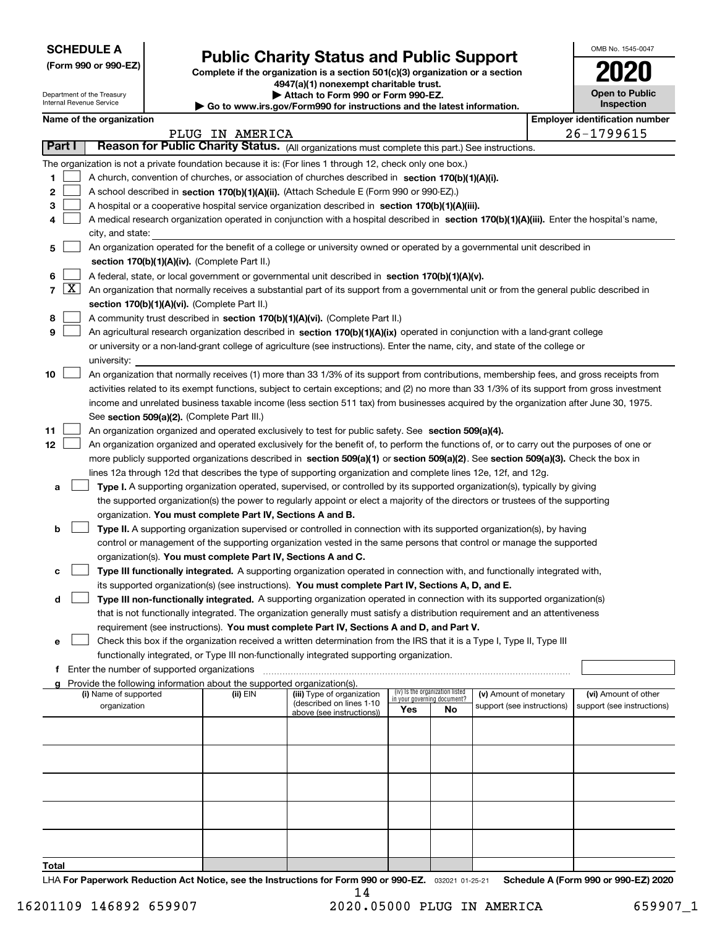| <b>SCHEDULE A</b> |  |
|-------------------|--|
|-------------------|--|

Department of the Treasury Internal Revenue Service

| (Form 990 or 990-EZ) |  |  |  |  |
|----------------------|--|--|--|--|
|----------------------|--|--|--|--|

### **Public Charity Status and Public Support**

**Complete if the organization is a section 501(c)(3) organization or a section 4947(a)(1) nonexempt charitable trust. | Attach to Form 990 or Form 990-EZ.** 

| <b>P</b> Allach to Form 330 or Form 330-LL. |  |                                                               |  |  |  |  |  |  |  |
|---------------------------------------------|--|---------------------------------------------------------------|--|--|--|--|--|--|--|
|                                             |  | ww irs aov/Form990 for instructions and the latest informatio |  |  |  |  |  |  |  |

| Go to www.irs.gov/Form990 for instructions and the latest information |  |  |
|-----------------------------------------------------------------------|--|--|
|                                                                       |  |  |

| OMB No. 1545-0047                     |
|---------------------------------------|
| 2020                                  |
| <b>Open to Public</b><br>Inspection   |
| <b>Employer identification number</b> |

|  | Name of the organization |
|--|--------------------------|
|--|--------------------------|

|              |                     |                                                                                                                                                                                                                                               | PLUG IN AMERICA |                            |                             |                                 |                                                      |  | $26 - 1799615$             |
|--------------|---------------------|-----------------------------------------------------------------------------------------------------------------------------------------------------------------------------------------------------------------------------------------------|-----------------|----------------------------|-----------------------------|---------------------------------|------------------------------------------------------|--|----------------------------|
|              | Part I              | Reason for Public Charity Status. (All organizations must complete this part.) See instructions.                                                                                                                                              |                 |                            |                             |                                 |                                                      |  |                            |
|              |                     | The organization is not a private foundation because it is: (For lines 1 through 12, check only one box.)                                                                                                                                     |                 |                            |                             |                                 |                                                      |  |                            |
| 1.           |                     | A church, convention of churches, or association of churches described in section 170(b)(1)(A)(i).                                                                                                                                            |                 |                            |                             |                                 |                                                      |  |                            |
| 2            |                     | A school described in section 170(b)(1)(A)(ii). (Attach Schedule E (Form 990 or 990-EZ).)                                                                                                                                                     |                 |                            |                             |                                 |                                                      |  |                            |
| з            |                     | A hospital or a cooperative hospital service organization described in section 170(b)(1)(A)(iii).                                                                                                                                             |                 |                            |                             |                                 |                                                      |  |                            |
| 4            |                     | A medical research organization operated in conjunction with a hospital described in section 170(b)(1)(A)(iii). Enter the hospital's name,                                                                                                    |                 |                            |                             |                                 |                                                      |  |                            |
|              |                     | city, and state:                                                                                                                                                                                                                              |                 |                            |                             |                                 |                                                      |  |                            |
| 5            |                     | An organization operated for the benefit of a college or university owned or operated by a governmental unit described in                                                                                                                     |                 |                            |                             |                                 |                                                      |  |                            |
|              |                     | section 170(b)(1)(A)(iv). (Complete Part II.)                                                                                                                                                                                                 |                 |                            |                             |                                 |                                                      |  |                            |
| 6            |                     | A federal, state, or local government or governmental unit described in section 170(b)(1)(A)(v).                                                                                                                                              |                 |                            |                             |                                 |                                                      |  |                            |
| 7            | $\lfloor x \rfloor$ | An organization that normally receives a substantial part of its support from a governmental unit or from the general public described in                                                                                                     |                 |                            |                             |                                 |                                                      |  |                            |
|              |                     | section 170(b)(1)(A)(vi). (Complete Part II.)                                                                                                                                                                                                 |                 |                            |                             |                                 |                                                      |  |                            |
| 8            |                     | A community trust described in section 170(b)(1)(A)(vi). (Complete Part II.)                                                                                                                                                                  |                 |                            |                             |                                 |                                                      |  |                            |
| 9            |                     | An agricultural research organization described in section 170(b)(1)(A)(ix) operated in conjunction with a land-grant college                                                                                                                 |                 |                            |                             |                                 |                                                      |  |                            |
|              |                     | or university or a non-land-grant college of agriculture (see instructions). Enter the name, city, and state of the college or                                                                                                                |                 |                            |                             |                                 |                                                      |  |                            |
|              |                     | university:                                                                                                                                                                                                                                   |                 |                            |                             |                                 |                                                      |  |                            |
| 10           |                     | An organization that normally receives (1) more than 33 1/3% of its support from contributions, membership fees, and gross receipts from                                                                                                      |                 |                            |                             |                                 |                                                      |  |                            |
|              |                     | activities related to its exempt functions, subject to certain exceptions; and (2) no more than 33 1/3% of its support from gross investment                                                                                                  |                 |                            |                             |                                 |                                                      |  |                            |
|              |                     | income and unrelated business taxable income (less section 511 tax) from businesses acquired by the organization after June 30, 1975.                                                                                                         |                 |                            |                             |                                 |                                                      |  |                            |
|              |                     | See section 509(a)(2). (Complete Part III.)                                                                                                                                                                                                   |                 |                            |                             |                                 |                                                      |  |                            |
| 11           |                     | An organization organized and operated exclusively to test for public safety. See section 509(a)(4).                                                                                                                                          |                 |                            |                             |                                 |                                                      |  |                            |
| 12           |                     | An organization organized and operated exclusively for the benefit of, to perform the functions of, or to carry out the purposes of one or                                                                                                    |                 |                            |                             |                                 |                                                      |  |                            |
|              |                     | more publicly supported organizations described in section 509(a)(1) or section 509(a)(2). See section 509(a)(3). Check the box in                                                                                                            |                 |                            |                             |                                 |                                                      |  |                            |
|              |                     | lines 12a through 12d that describes the type of supporting organization and complete lines 12e, 12f, and 12g.<br>Type I. A supporting organization operated, supervised, or controlled by its supported organization(s), typically by giving |                 |                            |                             |                                 |                                                      |  |                            |
|              | a                   | the supported organization(s) the power to regularly appoint or elect a majority of the directors or trustees of the supporting                                                                                                               |                 |                            |                             |                                 |                                                      |  |                            |
|              |                     | organization. You must complete Part IV, Sections A and B.                                                                                                                                                                                    |                 |                            |                             |                                 |                                                      |  |                            |
|              | b                   | Type II. A supporting organization supervised or controlled in connection with its supported organization(s), by having                                                                                                                       |                 |                            |                             |                                 |                                                      |  |                            |
|              |                     | control or management of the supporting organization vested in the same persons that control or manage the supported                                                                                                                          |                 |                            |                             |                                 |                                                      |  |                            |
|              |                     | organization(s). You must complete Part IV, Sections A and C.                                                                                                                                                                                 |                 |                            |                             |                                 |                                                      |  |                            |
|              | с                   | Type III functionally integrated. A supporting organization operated in connection with, and functionally integrated with,                                                                                                                    |                 |                            |                             |                                 |                                                      |  |                            |
|              |                     | its supported organization(s) (see instructions). You must complete Part IV, Sections A, D, and E.                                                                                                                                            |                 |                            |                             |                                 |                                                      |  |                            |
|              | d                   | Type III non-functionally integrated. A supporting organization operated in connection with its supported organization(s)                                                                                                                     |                 |                            |                             |                                 |                                                      |  |                            |
|              |                     | that is not functionally integrated. The organization generally must satisfy a distribution requirement and an attentiveness                                                                                                                  |                 |                            |                             |                                 |                                                      |  |                            |
|              |                     | requirement (see instructions). You must complete Part IV, Sections A and D, and Part V.                                                                                                                                                      |                 |                            |                             |                                 |                                                      |  |                            |
|              | е                   | Check this box if the organization received a written determination from the IRS that it is a Type I, Type II, Type III                                                                                                                       |                 |                            |                             |                                 |                                                      |  |                            |
|              |                     | functionally integrated, or Type III non-functionally integrated supporting organization.                                                                                                                                                     |                 |                            |                             |                                 |                                                      |  |                            |
|              |                     | Enter the number of supported organizations                                                                                                                                                                                                   |                 |                            |                             |                                 |                                                      |  |                            |
|              | a                   | Provide the following information about the supported organization(s).<br>(i) Name of supported                                                                                                                                               |                 | (iii) Type of organization |                             | (iv) Is the organization listed |                                                      |  | (vi) Amount of other       |
|              |                     | organization                                                                                                                                                                                                                                  | (ii) EIN        | (described on lines 1-10   | in your governing document? |                                 | (v) Amount of monetary<br>support (see instructions) |  | support (see instructions) |
|              |                     |                                                                                                                                                                                                                                               |                 | above (see instructions))  | Yes                         | No                              |                                                      |  |                            |
|              |                     |                                                                                                                                                                                                                                               |                 |                            |                             |                                 |                                                      |  |                            |
|              |                     |                                                                                                                                                                                                                                               |                 |                            |                             |                                 |                                                      |  |                            |
|              |                     |                                                                                                                                                                                                                                               |                 |                            |                             |                                 |                                                      |  |                            |
|              |                     |                                                                                                                                                                                                                                               |                 |                            |                             |                                 |                                                      |  |                            |
|              |                     |                                                                                                                                                                                                                                               |                 |                            |                             |                                 |                                                      |  |                            |
|              |                     |                                                                                                                                                                                                                                               |                 |                            |                             |                                 |                                                      |  |                            |
|              |                     |                                                                                                                                                                                                                                               |                 |                            |                             |                                 |                                                      |  |                            |
|              |                     |                                                                                                                                                                                                                                               |                 |                            |                             |                                 |                                                      |  |                            |
|              |                     |                                                                                                                                                                                                                                               |                 |                            |                             |                                 |                                                      |  |                            |
| <b>Total</b> |                     |                                                                                                                                                                                                                                               |                 |                            |                             |                                 |                                                      |  |                            |

LHA For Paperwork Reduction Act Notice, see the Instructions for Form 990 or 990-EZ. <sub>032021</sub> o1-25-21 Schedule A (Form 990 or 990-EZ) 2020 14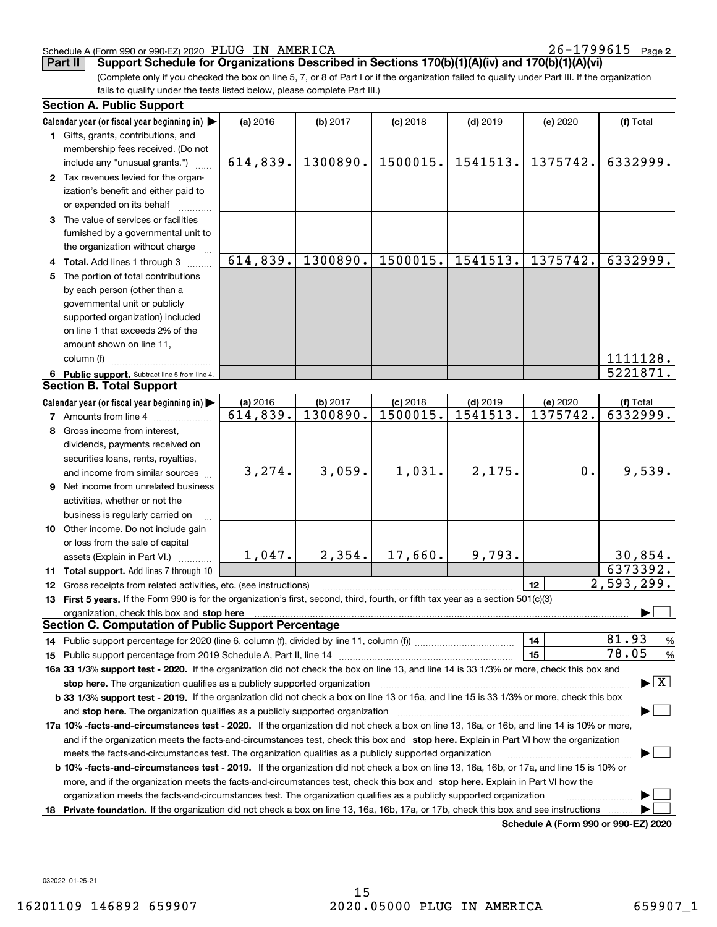### Schedule A (Form 990 or 990-EZ) 2020 Page PLUG IN AMERICA 26-1799615

**2**

**Part II** Support Schedule for Organizations Described in Sections 170(b)(1)(A)(iv) and 170(b)(1)(A)(vi)

(Complete only if you checked the box on line 5, 7, or 8 of Part I or if the organization failed to qualify under Part III. If the organization fails to qualify under the tests listed below, please complete Part III.)

| <b>Section A. Public Support</b>                                                                                                                                                                                               |          |          |            |            |                                      |                                          |
|--------------------------------------------------------------------------------------------------------------------------------------------------------------------------------------------------------------------------------|----------|----------|------------|------------|--------------------------------------|------------------------------------------|
| Calendar year (or fiscal year beginning in)                                                                                                                                                                                    | (a) 2016 | (b) 2017 | $(c)$ 2018 | $(d)$ 2019 | (e) 2020                             | (f) Total                                |
| 1 Gifts, grants, contributions, and                                                                                                                                                                                            |          |          |            |            |                                      |                                          |
| membership fees received. (Do not                                                                                                                                                                                              |          |          |            |            |                                      |                                          |
| include any "unusual grants.")                                                                                                                                                                                                 | 614,839. | 1300890. | 1500015.   | 1541513.   | 1375742.                             | 6332999.                                 |
| 2 Tax revenues levied for the organ-                                                                                                                                                                                           |          |          |            |            |                                      |                                          |
| ization's benefit and either paid to                                                                                                                                                                                           |          |          |            |            |                                      |                                          |
| or expended on its behalf                                                                                                                                                                                                      |          |          |            |            |                                      |                                          |
| 3 The value of services or facilities                                                                                                                                                                                          |          |          |            |            |                                      |                                          |
| furnished by a governmental unit to                                                                                                                                                                                            |          |          |            |            |                                      |                                          |
| the organization without charge                                                                                                                                                                                                |          |          |            |            |                                      |                                          |
| 4 Total. Add lines 1 through 3                                                                                                                                                                                                 | 614,839. | 1300890. | 1500015.   | 1541513.   | 1375742.                             | 6332999.                                 |
| 5 The portion of total contributions                                                                                                                                                                                           |          |          |            |            |                                      |                                          |
| by each person (other than a                                                                                                                                                                                                   |          |          |            |            |                                      |                                          |
| governmental unit or publicly                                                                                                                                                                                                  |          |          |            |            |                                      |                                          |
| supported organization) included                                                                                                                                                                                               |          |          |            |            |                                      |                                          |
| on line 1 that exceeds 2% of the                                                                                                                                                                                               |          |          |            |            |                                      |                                          |
| amount shown on line 11,                                                                                                                                                                                                       |          |          |            |            |                                      |                                          |
| column (f)                                                                                                                                                                                                                     |          |          |            |            |                                      | 1111128.                                 |
| 6 Public support. Subtract line 5 from line 4.                                                                                                                                                                                 |          |          |            |            |                                      | $\overline{5221871}$ .                   |
| <b>Section B. Total Support</b>                                                                                                                                                                                                |          |          |            |            |                                      |                                          |
| Calendar year (or fiscal year beginning in)                                                                                                                                                                                    | (a) 2016 | (b) 2017 | $(c)$ 2018 | $(d)$ 2019 | (e) 2020                             | (f) Total                                |
| <b>7</b> Amounts from line 4                                                                                                                                                                                                   | 614,839. | 1300890. | 1500015.   | 1541513.   | 1375742.                             | 6332999.                                 |
| 8 Gross income from interest,                                                                                                                                                                                                  |          |          |            |            |                                      |                                          |
| dividends, payments received on                                                                                                                                                                                                |          |          |            |            |                                      |                                          |
| securities loans, rents, royalties,                                                                                                                                                                                            |          |          |            |            |                                      |                                          |
| and income from similar sources                                                                                                                                                                                                | 3, 274.  | 3,059.   | 1,031.     | 2,175.     | 0.                                   | 9,539.                                   |
| 9 Net income from unrelated business                                                                                                                                                                                           |          |          |            |            |                                      |                                          |
| activities, whether or not the                                                                                                                                                                                                 |          |          |            |            |                                      |                                          |
| business is regularly carried on                                                                                                                                                                                               |          |          |            |            |                                      |                                          |
| 10 Other income. Do not include gain                                                                                                                                                                                           |          |          |            |            |                                      |                                          |
| or loss from the sale of capital                                                                                                                                                                                               |          |          |            |            |                                      |                                          |
| assets (Explain in Part VI.)                                                                                                                                                                                                   | 1,047.   | 2,354.   | 17,660.    | 9,793.     |                                      | 30,854.                                  |
| 11 Total support. Add lines 7 through 10                                                                                                                                                                                       |          |          |            |            |                                      | 6373392.                                 |
| 12 Gross receipts from related activities, etc. (see instructions)                                                                                                                                                             |          |          |            |            | 12                                   | 2,593,299.                               |
| 13 First 5 years. If the Form 990 is for the organization's first, second, third, fourth, or fifth tax year as a section 501(c)(3)                                                                                             |          |          |            |            |                                      |                                          |
| organization, check this box and stop here manufactured and according to the state of the state of the state of the state of the state of the state of the state of the state of the state of the state of the state of the st |          |          |            |            |                                      |                                          |
| <b>Section C. Computation of Public Support Percentage</b>                                                                                                                                                                     |          |          |            |            |                                      |                                          |
| 14 Public support percentage for 2020 (line 6, column (f), divided by line 11, column (f) <i>mummumumum</i>                                                                                                                    |          |          |            |            | 14                                   | 81.93<br>%                               |
|                                                                                                                                                                                                                                |          |          |            |            | 15                                   | 78.05<br>%                               |
| 16a 33 1/3% support test - 2020. If the organization did not check the box on line 13, and line 14 is 33 1/3% or more, check this box and                                                                                      |          |          |            |            |                                      |                                          |
| stop here. The organization qualifies as a publicly supported organization                                                                                                                                                     |          |          |            |            |                                      | $\blacktriangleright$ $\boxed{\text{X}}$ |
| b 33 1/3% support test - 2019. If the organization did not check a box on line 13 or 16a, and line 15 is 33 1/3% or more, check this box                                                                                       |          |          |            |            |                                      |                                          |
| and stop here. The organization qualifies as a publicly supported organization                                                                                                                                                 |          |          |            |            |                                      |                                          |
| 17a 10% -facts-and-circumstances test - 2020. If the organization did not check a box on line 13, 16a, or 16b, and line 14 is 10% or more,                                                                                     |          |          |            |            |                                      |                                          |
| and if the organization meets the facts-and-circumstances test, check this box and stop here. Explain in Part VI how the organization                                                                                          |          |          |            |            |                                      |                                          |
| meets the facts-and-circumstances test. The organization qualifies as a publicly supported organization                                                                                                                        |          |          |            |            |                                      |                                          |
| <b>b 10% -facts-and-circumstances test - 2019.</b> If the organization did not check a box on line 13, 16a, 16b, or 17a, and line 15 is 10% or                                                                                 |          |          |            |            |                                      |                                          |
| more, and if the organization meets the facts-and-circumstances test, check this box and stop here. Explain in Part VI how the                                                                                                 |          |          |            |            |                                      |                                          |
| organization meets the facts-and-circumstances test. The organization qualifies as a publicly supported organization                                                                                                           |          |          |            |            |                                      |                                          |
| 18 Private foundation. If the organization did not check a box on line 13, 16a, 16b, 17a, or 17b, check this box and see instructions                                                                                          |          |          |            |            |                                      |                                          |
|                                                                                                                                                                                                                                |          |          |            |            | Schodule A (Form 000 or 000 F7) 2020 |                                          |

**Schedule A (Form 990 or 990-EZ) 2020**

032022 01-25-21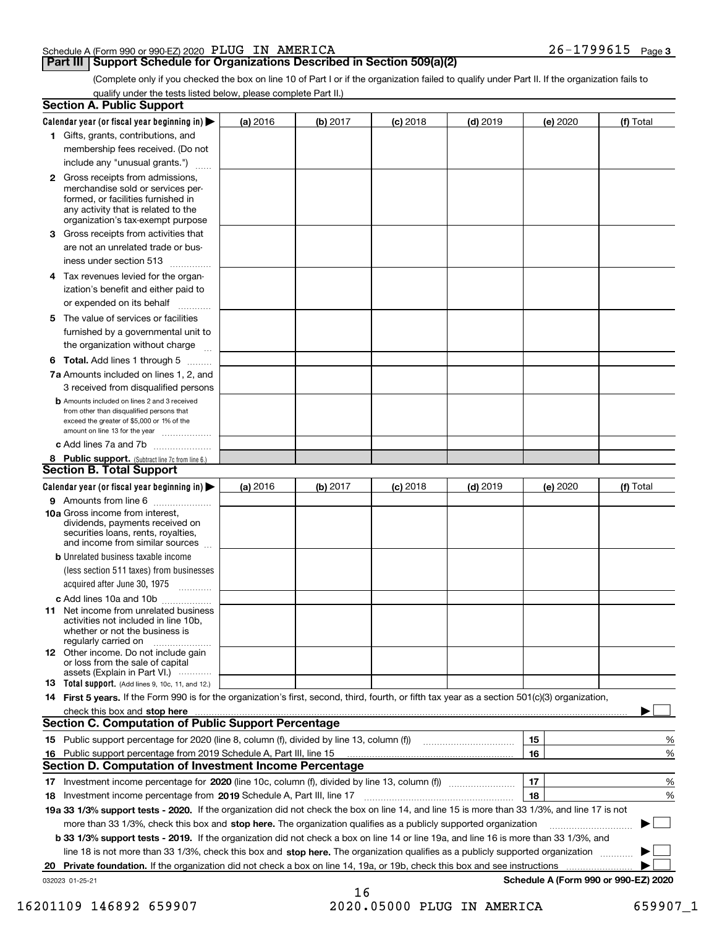### Schedule A (Form 990 or 990-EZ) 2020 Page PLUG IN AMERICA 26-1799615

### **Part III Support Schedule for Organizations Described in Section 509(a)(2)**

**3**

(Complete only if you checked the box on line 10 of Part I or if the organization failed to qualify under Part II. If the organization fails to qualify under the tests listed below, please complete Part II.)

| <b>Section A. Public Support</b>                                                                                                                                                                                               |          |          |            |            |                 |                                      |
|--------------------------------------------------------------------------------------------------------------------------------------------------------------------------------------------------------------------------------|----------|----------|------------|------------|-----------------|--------------------------------------|
| Calendar year (or fiscal year beginning in) $\blacktriangleright$                                                                                                                                                              | (a) 2016 | (b) 2017 | $(c)$ 2018 | $(d)$ 2019 | <b>(e)</b> 2020 | (f) Total                            |
| 1 Gifts, grants, contributions, and                                                                                                                                                                                            |          |          |            |            |                 |                                      |
| membership fees received. (Do not                                                                                                                                                                                              |          |          |            |            |                 |                                      |
| include any "unusual grants.")                                                                                                                                                                                                 |          |          |            |            |                 |                                      |
| <b>2</b> Gross receipts from admissions,<br>merchandise sold or services per-<br>formed, or facilities furnished in<br>any activity that is related to the<br>organization's tax-exempt purpose                                |          |          |            |            |                 |                                      |
| 3 Gross receipts from activities that<br>are not an unrelated trade or bus-                                                                                                                                                    |          |          |            |            |                 |                                      |
| iness under section 513                                                                                                                                                                                                        |          |          |            |            |                 |                                      |
| 4 Tax revenues levied for the organ-<br>ization's benefit and either paid to                                                                                                                                                   |          |          |            |            |                 |                                      |
| or expended on its behalf<br>5 The value of services or facilities                                                                                                                                                             |          |          |            |            |                 |                                      |
| furnished by a governmental unit to<br>the organization without charge                                                                                                                                                         |          |          |            |            |                 |                                      |
| <b>6 Total.</b> Add lines 1 through 5                                                                                                                                                                                          |          |          |            |            |                 |                                      |
| 7a Amounts included on lines 1, 2, and<br>3 received from disqualified persons                                                                                                                                                 |          |          |            |            |                 |                                      |
| <b>b</b> Amounts included on lines 2 and 3 received<br>from other than disqualified persons that<br>exceed the greater of \$5,000 or 1% of the<br>amount on line 13 for the year                                               |          |          |            |            |                 |                                      |
| c Add lines 7a and 7b                                                                                                                                                                                                          |          |          |            |            |                 |                                      |
| 8 Public support. (Subtract line 7c from line 6.)<br><b>Section B. Total Support</b>                                                                                                                                           |          |          |            |            |                 |                                      |
| Calendar year (or fiscal year beginning in) $\blacktriangleright$                                                                                                                                                              | (a) 2016 | (b) 2017 | $(c)$ 2018 | $(d)$ 2019 | (e) 2020        | (f) Total                            |
| 9 Amounts from line 6                                                                                                                                                                                                          |          |          |            |            |                 |                                      |
| <b>10a</b> Gross income from interest,<br>dividends, payments received on<br>securities loans, rents, royalties,<br>and income from similar sources                                                                            |          |          |            |            |                 |                                      |
| <b>b</b> Unrelated business taxable income                                                                                                                                                                                     |          |          |            |            |                 |                                      |
| (less section 511 taxes) from businesses<br>acquired after June 30, 1975                                                                                                                                                       |          |          |            |            |                 |                                      |
| c Add lines 10a and 10b                                                                                                                                                                                                        |          |          |            |            |                 |                                      |
| 11 Net income from unrelated business<br>activities not included in line 10b,<br>whether or not the business is<br>regularly carried on                                                                                        |          |          |            |            |                 |                                      |
| <b>12</b> Other income. Do not include gain<br>or loss from the sale of capital<br>assets (Explain in Part VI.)                                                                                                                |          |          |            |            |                 |                                      |
| <b>13</b> Total support. (Add lines 9, 10c, 11, and 12.)                                                                                                                                                                       |          |          |            |            |                 |                                      |
| 14 First 5 years. If the Form 990 is for the organization's first, second, third, fourth, or fifth tax year as a section 501(c)(3) organization,                                                                               |          |          |            |            |                 |                                      |
| check this box and stop here contained and stop here contained and stop here contained and stop here contained and stop here contained and stop here contained and stop here contained and stop here contained and stop here c |          |          |            |            |                 |                                      |
| <b>Section C. Computation of Public Support Percentage</b>                                                                                                                                                                     |          |          |            |            |                 |                                      |
| 15 Public support percentage for 2020 (line 8, column (f), divided by line 13, column (f))                                                                                                                                     |          |          |            |            | 15              | %                                    |
| 16 Public support percentage from 2019 Schedule A, Part III, line 15<br><b>Section D. Computation of Investment Income Percentage</b>                                                                                          |          |          |            |            | 16              | %                                    |
|                                                                                                                                                                                                                                |          |          |            |            | 17              | %                                    |
| 18 Investment income percentage from 2019 Schedule A, Part III, line 17                                                                                                                                                        |          |          |            |            | 18              | %                                    |
| 19a 33 1/3% support tests - 2020. If the organization did not check the box on line 14, and line 15 is more than 33 1/3%, and line 17 is not                                                                                   |          |          |            |            |                 |                                      |
| more than 33 1/3%, check this box and stop here. The organization qualifies as a publicly supported organization                                                                                                               |          |          |            |            |                 | $\sim$                               |
| b 33 1/3% support tests - 2019. If the organization did not check a box on line 14 or line 19a, and line 16 is more than 33 1/3%, and                                                                                          |          |          |            |            |                 |                                      |
| line 18 is not more than 33 1/3%, check this box and stop here. The organization qualifies as a publicly supported organization                                                                                                |          |          |            |            |                 |                                      |
| 20 Private foundation. If the organization did not check a box on line 14, 19a, or 19b, check this box and see instructions                                                                                                    |          |          |            |            |                 |                                      |
| 032023 01-25-21                                                                                                                                                                                                                |          |          |            |            |                 | Schedule A (Form 990 or 990-EZ) 2020 |
|                                                                                                                                                                                                                                |          | 16       |            |            |                 |                                      |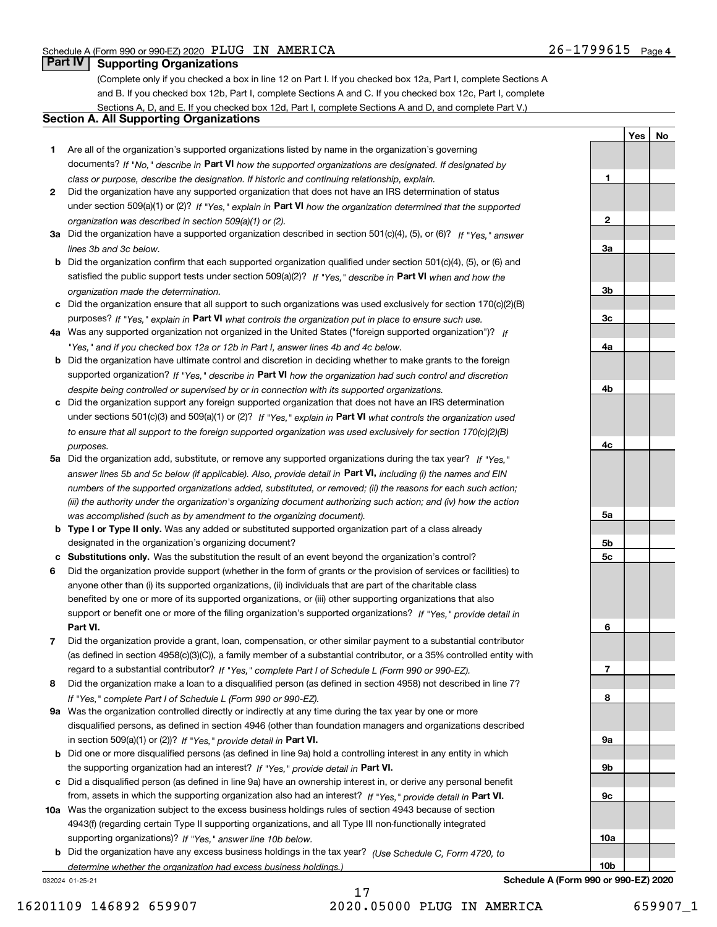**1**

**2**

**3a**

**3b**

**3c**

**4a**

**4b**

**4c**

**5a**

**5b5c** **YesNo**

### **Part IV Supporting Organizations**

(Complete only if you checked a box in line 12 on Part I. If you checked box 12a, Part I, complete Sections A and B. If you checked box 12b, Part I, complete Sections A and C. If you checked box 12c, Part I, complete Sections A, D, and E. If you checked box 12d, Part I, complete Sections A and D, and complete Part V.)

### **Section A. All Supporting Organizations**

- **1** Are all of the organization's supported organizations listed by name in the organization's governing documents? If "No," describe in **Part VI** how the supported organizations are designated. If designated by *class or purpose, describe the designation. If historic and continuing relationship, explain.*
- **2** Did the organization have any supported organization that does not have an IRS determination of status under section 509(a)(1) or (2)? If "Yes," explain in Part VI how the organization determined that the supported *organization was described in section 509(a)(1) or (2).*
- **3a** Did the organization have a supported organization described in section 501(c)(4), (5), or (6)? If "Yes," answer *lines 3b and 3c below.*
- **b** Did the organization confirm that each supported organization qualified under section 501(c)(4), (5), or (6) and satisfied the public support tests under section 509(a)(2)? If "Yes," describe in **Part VI** when and how the *organization made the determination.*
- **c**Did the organization ensure that all support to such organizations was used exclusively for section 170(c)(2)(B) purposes? If "Yes," explain in **Part VI** what controls the organization put in place to ensure such use.
- **4a***If* Was any supported organization not organized in the United States ("foreign supported organization")? *"Yes," and if you checked box 12a or 12b in Part I, answer lines 4b and 4c below.*
- **b** Did the organization have ultimate control and discretion in deciding whether to make grants to the foreign supported organization? If "Yes," describe in **Part VI** how the organization had such control and discretion *despite being controlled or supervised by or in connection with its supported organizations.*
- **c** Did the organization support any foreign supported organization that does not have an IRS determination under sections 501(c)(3) and 509(a)(1) or (2)? If "Yes," explain in **Part VI** what controls the organization used *to ensure that all support to the foreign supported organization was used exclusively for section 170(c)(2)(B) purposes.*
- **5a** Did the organization add, substitute, or remove any supported organizations during the tax year? If "Yes," answer lines 5b and 5c below (if applicable). Also, provide detail in **Part VI,** including (i) the names and EIN *numbers of the supported organizations added, substituted, or removed; (ii) the reasons for each such action; (iii) the authority under the organization's organizing document authorizing such action; and (iv) how the action was accomplished (such as by amendment to the organizing document).*
- **b** Type I or Type II only. Was any added or substituted supported organization part of a class already designated in the organization's organizing document?
- **cSubstitutions only.**  Was the substitution the result of an event beyond the organization's control?
- **6** Did the organization provide support (whether in the form of grants or the provision of services or facilities) to **Part VI.** *If "Yes," provide detail in* support or benefit one or more of the filing organization's supported organizations? anyone other than (i) its supported organizations, (ii) individuals that are part of the charitable class benefited by one or more of its supported organizations, or (iii) other supporting organizations that also
- **7**Did the organization provide a grant, loan, compensation, or other similar payment to a substantial contributor *If "Yes," complete Part I of Schedule L (Form 990 or 990-EZ).* regard to a substantial contributor? (as defined in section 4958(c)(3)(C)), a family member of a substantial contributor, or a 35% controlled entity with
- **8** Did the organization make a loan to a disqualified person (as defined in section 4958) not described in line 7? *If "Yes," complete Part I of Schedule L (Form 990 or 990-EZ).*
- **9a** Was the organization controlled directly or indirectly at any time during the tax year by one or more in section 509(a)(1) or (2))? If "Yes," *provide detail in* <code>Part VI.</code> disqualified persons, as defined in section 4946 (other than foundation managers and organizations described
- **b** Did one or more disqualified persons (as defined in line 9a) hold a controlling interest in any entity in which the supporting organization had an interest? If "Yes," provide detail in P**art VI**.
- **c**Did a disqualified person (as defined in line 9a) have an ownership interest in, or derive any personal benefit from, assets in which the supporting organization also had an interest? If "Yes," provide detail in P**art VI.**
- **10a** Was the organization subject to the excess business holdings rules of section 4943 because of section supporting organizations)? If "Yes," answer line 10b below. 4943(f) (regarding certain Type II supporting organizations, and all Type III non-functionally integrated
- **b** Did the organization have any excess business holdings in the tax year? (Use Schedule C, Form 4720, to *determine whether the organization had excess business holdings.)*

032024 01-25-21



17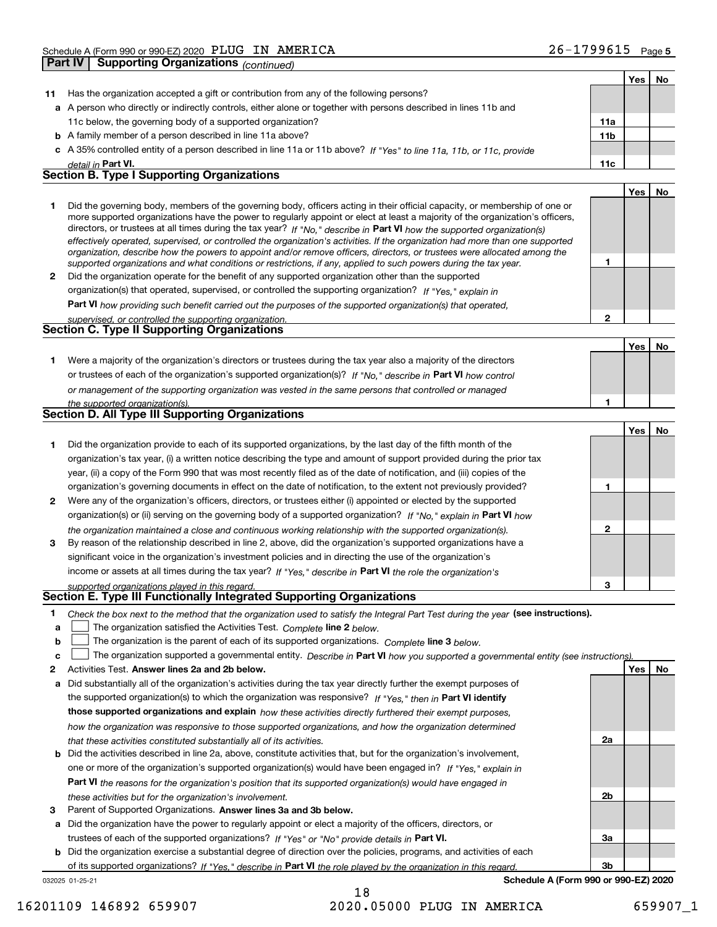| Yes<br>11a<br>11 <sub>b</sub><br>11c<br><b>Yes</b><br>Yes                                                                               | No<br>No<br>No |
|-----------------------------------------------------------------------------------------------------------------------------------------|----------------|
|                                                                                                                                         |                |
|                                                                                                                                         |                |
|                                                                                                                                         |                |
|                                                                                                                                         |                |
|                                                                                                                                         |                |
|                                                                                                                                         |                |
|                                                                                                                                         |                |
|                                                                                                                                         |                |
|                                                                                                                                         |                |
|                                                                                                                                         |                |
|                                                                                                                                         |                |
|                                                                                                                                         |                |
|                                                                                                                                         |                |
|                                                                                                                                         |                |
|                                                                                                                                         |                |
|                                                                                                                                         |                |
|                                                                                                                                         |                |
|                                                                                                                                         |                |
|                                                                                                                                         |                |
|                                                                                                                                         |                |
|                                                                                                                                         |                |
|                                                                                                                                         |                |
|                                                                                                                                         |                |
|                                                                                                                                         |                |
|                                                                                                                                         |                |
| Yes                                                                                                                                     | No             |
|                                                                                                                                         |                |
|                                                                                                                                         |                |
|                                                                                                                                         |                |
|                                                                                                                                         |                |
|                                                                                                                                         |                |
|                                                                                                                                         |                |
|                                                                                                                                         |                |
|                                                                                                                                         |                |
|                                                                                                                                         |                |
|                                                                                                                                         |                |
|                                                                                                                                         |                |
|                                                                                                                                         |                |
|                                                                                                                                         |                |
|                                                                                                                                         |                |
|                                                                                                                                         |                |
|                                                                                                                                         |                |
| The organization supported a governmental entity. Describe in Part VI how you supported a governmental entity (see instructions)<br>Yes | No             |
|                                                                                                                                         |                |
|                                                                                                                                         |                |
|                                                                                                                                         |                |
|                                                                                                                                         |                |

*that these activities constituted substantially all of its activities.*

- **b** Did the activities described in line 2a, above, constitute activities that, but for the organization's involvement, **Part VI**  *the reasons for the organization's position that its supported organization(s) would have engaged in* one or more of the organization's supported organization(s) would have been engaged in? If "Yes," e*xplain in these activities but for the organization's involvement.*
- **3** Parent of Supported Organizations. Answer lines 3a and 3b below.

**a** Did the organization have the power to regularly appoint or elect a majority of the officers, directors, or trustees of each of the supported organizations? If "Yes" or "No" provide details in **Part VI.** 

032025 01-25-21 **b** Did the organization exercise a substantial degree of direction over the policies, programs, and activities of each of its supported organizations? If "Yes," describe in Part VI the role played by the organization in this regard.

18

**Schedule A (Form 990 or 990-EZ) 2020**

**2a**

**2b**

**3a**

**3b**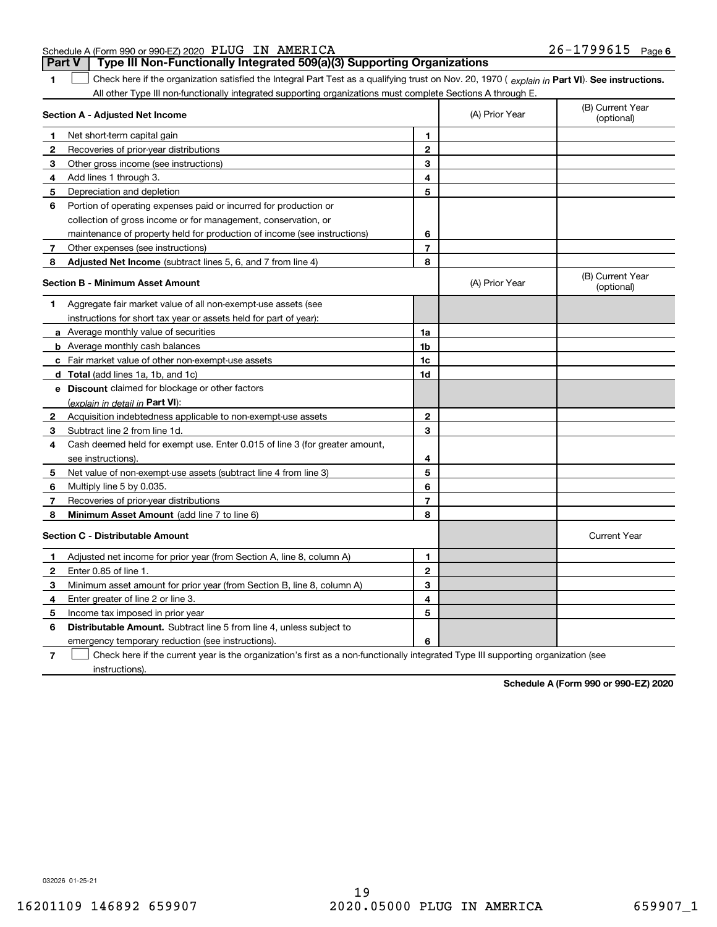### Schedule A (Form 990 or 990-EZ) 2020 Page PLUG IN AMERICA 26-1799615

**1**

**Part V Type III Non-Functionally Integrated 509(a)(3) Supporting Organizations** 

1 Check here if the organization satisfied the Integral Part Test as a qualifying trust on Nov. 20, 1970 (explain in Part VI). See instructions. All other Type III non-functionally integrated supporting organizations must complete Sections A through E.

|              | Section A - Adjusted Net Income                                             | (A) Prior Year | (B) Current Year<br>(optional) |                                |
|--------------|-----------------------------------------------------------------------------|----------------|--------------------------------|--------------------------------|
| -1           | Net short-term capital gain                                                 | 1.             |                                |                                |
| $\mathbf{2}$ | Recoveries of prior-year distributions                                      | $\mathbf{2}$   |                                |                                |
| 3            | Other gross income (see instructions)                                       | 3              |                                |                                |
| 4            | Add lines 1 through 3.                                                      | 4              |                                |                                |
| 5            | Depreciation and depletion                                                  | 5              |                                |                                |
| 6            | Portion of operating expenses paid or incurred for production or            |                |                                |                                |
|              | collection of gross income or for management, conservation, or              |                |                                |                                |
|              | maintenance of property held for production of income (see instructions)    | 6              |                                |                                |
| 7            | Other expenses (see instructions)                                           | $\overline{7}$ |                                |                                |
| 8            | <b>Adjusted Net Income</b> (subtract lines 5, 6, and 7 from line 4)         | 8              |                                |                                |
|              | <b>Section B - Minimum Asset Amount</b>                                     |                | (A) Prior Year                 | (B) Current Year<br>(optional) |
| 1            | Aggregate fair market value of all non-exempt-use assets (see               |                |                                |                                |
|              | instructions for short tax year or assets held for part of year):           |                |                                |                                |
|              | <b>a</b> Average monthly value of securities                                | 1a             |                                |                                |
|              | <b>b</b> Average monthly cash balances                                      | 1 <sub>b</sub> |                                |                                |
|              | <b>c</b> Fair market value of other non-exempt-use assets                   | 1c             |                                |                                |
|              | d Total (add lines 1a, 1b, and 1c)                                          | 1d             |                                |                                |
|              | <b>e</b> Discount claimed for blockage or other factors                     |                |                                |                                |
|              | (explain in detail in Part VI):                                             |                |                                |                                |
| 2            | Acquisition indebtedness applicable to non-exempt-use assets                | $\mathbf{2}$   |                                |                                |
| 3            | Subtract line 2 from line 1d.                                               | 3              |                                |                                |
| 4            | Cash deemed held for exempt use. Enter 0.015 of line 3 (for greater amount, |                |                                |                                |
|              | see instructions).                                                          | 4              |                                |                                |
| 5            | Net value of non-exempt-use assets (subtract line 4 from line 3)            | 5              |                                |                                |
| 6            | Multiply line 5 by 0.035.                                                   | 6              |                                |                                |
| 7            | Recoveries of prior-year distributions                                      | $\overline{7}$ |                                |                                |
| 8            | Minimum Asset Amount (add line 7 to line 6)                                 | 8              |                                |                                |
|              | <b>Section C - Distributable Amount</b>                                     |                |                                | <b>Current Year</b>            |
| 1            | Adjusted net income for prior year (from Section A, line 8, column A)       | 1              |                                |                                |
| 2            | Enter 0.85 of line 1.                                                       | $\mathbf{2}$   |                                |                                |
| 3            | Minimum asset amount for prior year (from Section B, line 8, column A)      | 3              |                                |                                |
| 4            | Enter greater of line 2 or line 3.                                          | 4              |                                |                                |
| 5            | Income tax imposed in prior year                                            | 5              |                                |                                |
| 6            | <b>Distributable Amount.</b> Subtract line 5 from line 4, unless subject to |                |                                |                                |
|              | emergency temporary reduction (see instructions).                           | 6              |                                |                                |
|              |                                                                             |                |                                |                                |

**7**Check here if the current year is the organization's first as a non-functionally integrated Type III supporting organization (see instructions).

**Schedule A (Form 990 or 990-EZ) 2020**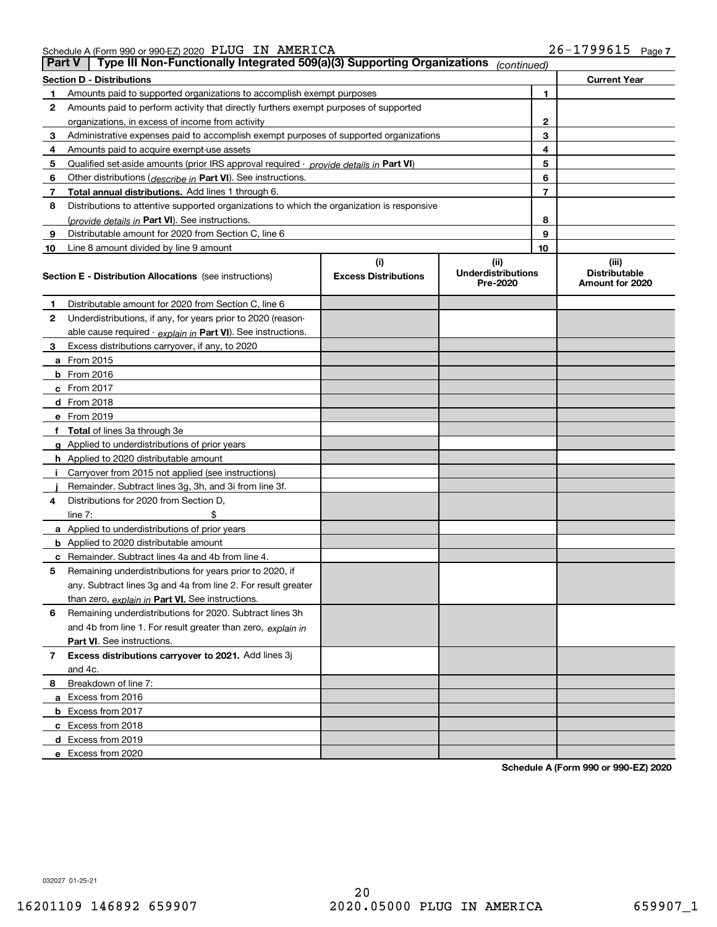| Schedule A (Form 990 or 990-EZ) 2020 $\>$ PLUG $\>$ IN $\>$ AMERICA |  | 26-1799615 | Page, |
|---------------------------------------------------------------------|--|------------|-------|
|                                                                     |  |            |       |

| <b>Part V</b> | Type III Non-Functionally Integrated 509(a)(3) Supporting Organizations                    |                             | (continued)                           |                                         |
|---------------|--------------------------------------------------------------------------------------------|-----------------------------|---------------------------------------|-----------------------------------------|
|               | <b>Section D - Distributions</b>                                                           |                             |                                       | <b>Current Year</b>                     |
| 1             | Amounts paid to supported organizations to accomplish exempt purposes                      |                             | 1                                     |                                         |
| 2             | Amounts paid to perform activity that directly furthers exempt purposes of supported       |                             |                                       |                                         |
|               | organizations, in excess of income from activity                                           | $\mathbf{2}$                |                                       |                                         |
| 3             | Administrative expenses paid to accomplish exempt purposes of supported organizations      | 3                           |                                       |                                         |
| 4             | Amounts paid to acquire exempt-use assets                                                  |                             | 4                                     |                                         |
| 5             | Qualified set-aside amounts (prior IRS approval required - provide details in Part VI)     |                             | 5                                     |                                         |
| 6             | Other distributions ( <i>describe in</i> Part VI). See instructions.                       |                             | 6                                     |                                         |
| 7             | Total annual distributions. Add lines 1 through 6.                                         |                             | $\overline{7}$                        |                                         |
| 8             | Distributions to attentive supported organizations to which the organization is responsive |                             |                                       |                                         |
|               | (provide details in Part VI). See instructions.                                            |                             | 8                                     |                                         |
| 9             | Distributable amount for 2020 from Section C, line 6                                       |                             | 9                                     |                                         |
| 10            | Line 8 amount divided by line 9 amount                                                     |                             | 10                                    |                                         |
|               |                                                                                            | (i)                         | (ii)                                  | (iii)                                   |
|               | <b>Section E - Distribution Allocations</b> (see instructions)                             | <b>Excess Distributions</b> | <b>Underdistributions</b><br>Pre-2020 | <b>Distributable</b><br>Amount for 2020 |
| 1             | Distributable amount for 2020 from Section C, line 6                                       |                             |                                       |                                         |
| 2             | Underdistributions, if any, for years prior to 2020 (reason-                               |                             |                                       |                                         |
|               | able cause required - explain in Part VI). See instructions.                               |                             |                                       |                                         |
| 3             | Excess distributions carryover, if any, to 2020                                            |                             |                                       |                                         |
|               | a From 2015                                                                                |                             |                                       |                                         |
|               | <b>b</b> From 2016                                                                         |                             |                                       |                                         |
|               | $c$ From 2017                                                                              |                             |                                       |                                         |
|               | d From 2018                                                                                |                             |                                       |                                         |
|               | e From 2019                                                                                |                             |                                       |                                         |
|               | f Total of lines 3a through 3e                                                             |                             |                                       |                                         |
|               | g Applied to underdistributions of prior years                                             |                             |                                       |                                         |
|               | <b>h</b> Applied to 2020 distributable amount                                              |                             |                                       |                                         |
|               | Carryover from 2015 not applied (see instructions)                                         |                             |                                       |                                         |
|               | Remainder. Subtract lines 3g, 3h, and 3i from line 3f.                                     |                             |                                       |                                         |
| 4             | Distributions for 2020 from Section D,                                                     |                             |                                       |                                         |
|               | line $7:$                                                                                  |                             |                                       |                                         |
|               | a Applied to underdistributions of prior years                                             |                             |                                       |                                         |
|               | <b>b</b> Applied to 2020 distributable amount                                              |                             |                                       |                                         |
|               | c Remainder. Subtract lines 4a and 4b from line 4.                                         |                             |                                       |                                         |
| 5.            | Remaining underdistributions for years prior to 2020, if                                   |                             |                                       |                                         |
|               | any. Subtract lines 3g and 4a from line 2. For result greater                              |                             |                                       |                                         |
|               | than zero, explain in Part VI. See instructions.                                           |                             |                                       |                                         |
| 6             | Remaining underdistributions for 2020. Subtract lines 3h                                   |                             |                                       |                                         |
|               | and 4b from line 1. For result greater than zero, explain in                               |                             |                                       |                                         |
|               | Part VI. See instructions.                                                                 |                             |                                       |                                         |
| 7             | Excess distributions carryover to 2021. Add lines 3j                                       |                             |                                       |                                         |
|               | and 4c.                                                                                    |                             |                                       |                                         |
| 8             | Breakdown of line 7:                                                                       |                             |                                       |                                         |
|               | a Excess from 2016                                                                         |                             |                                       |                                         |
|               | <b>b</b> Excess from 2017                                                                  |                             |                                       |                                         |
|               | c Excess from 2018                                                                         |                             |                                       |                                         |
|               | d Excess from 2019                                                                         |                             |                                       |                                         |
|               | e Excess from 2020                                                                         |                             |                                       |                                         |

**Schedule A (Form 990 or 990-EZ) 2020**

032027 01-25-21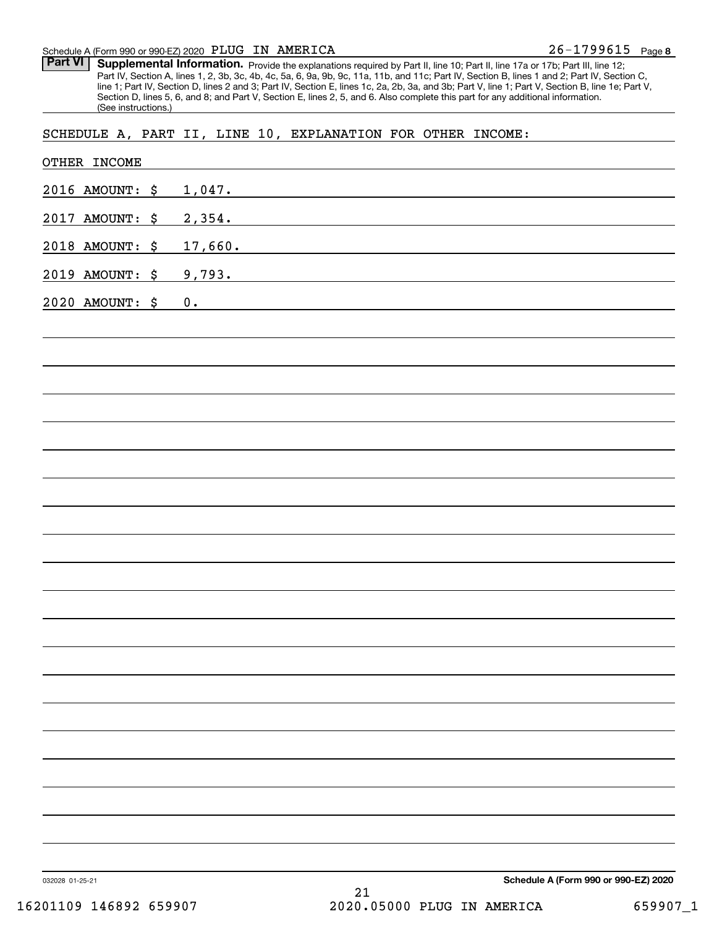#### Schedule A (Form 990 or 990-EZ) 2020 Page PLUG IN AMERICA

Part VI | Supplemental Information. Provide the explanations required by Part II, line 10; Part II, line 17a or 17b; Part III, line 12; Part IV, Section A, lines 1, 2, 3b, 3c, 4b, 4c, 5a, 6, 9a, 9b, 9c, 11a, 11b, and 11c; Part IV, Section B, lines 1 and 2; Part IV, Section C, line 1; Part IV, Section D, lines 2 and 3; Part IV, Section E, lines 1c, 2a, 2b, 3a, and 3b; Part V, line 1; Part V, Section B, line 1e; Part V, Section D, lines 5, 6, and 8; and Part V, Section E, lines 2, 5, and 6. Also complete this part for any additional information. (See instructions.)

### SCHEDULE A, PART II, LINE 10, EXPLANATION FOR OTHER INCOME:

| 032028 01-25-21<br>16201109 146892 659907 | Schedule A (Form 990 or 990-EZ) 2020<br>21<br>2020.05000 PLUG IN AMERICA<br>659907_1                                             |
|-------------------------------------------|----------------------------------------------------------------------------------------------------------------------------------|
|                                           |                                                                                                                                  |
|                                           |                                                                                                                                  |
|                                           |                                                                                                                                  |
|                                           |                                                                                                                                  |
|                                           |                                                                                                                                  |
|                                           |                                                                                                                                  |
|                                           |                                                                                                                                  |
|                                           |                                                                                                                                  |
|                                           |                                                                                                                                  |
|                                           |                                                                                                                                  |
|                                           |                                                                                                                                  |
|                                           |                                                                                                                                  |
|                                           |                                                                                                                                  |
|                                           |                                                                                                                                  |
|                                           |                                                                                                                                  |
|                                           |                                                                                                                                  |
|                                           |                                                                                                                                  |
|                                           |                                                                                                                                  |
|                                           |                                                                                                                                  |
|                                           |                                                                                                                                  |
| 2020 AMOUNT: \$                           | 0.                                                                                                                               |
| 2019 AMOUNT: \$                           | 9,793.<br><u> 1989 - Johann Stein, mars an deutscher Stein und der Stein und der Stein und der Stein und der Stein und der</u>   |
| 2018 AMOUNT: \$                           | 17,660.<br><u> 1980 - Johann John Stein, fransk politik (f. 1980)</u>                                                            |
| 2017 AMOUNT: \$                           | 2,354.<br><u> 1980 - Jan Stern Harry Harry Harry Harry Harry Harry Harry Harry Harry Harry Harry Harry Harry Harry Harry Har</u> |
| 2016 AMOUNT: \$                           | 1,047.                                                                                                                           |
|                                           |                                                                                                                                  |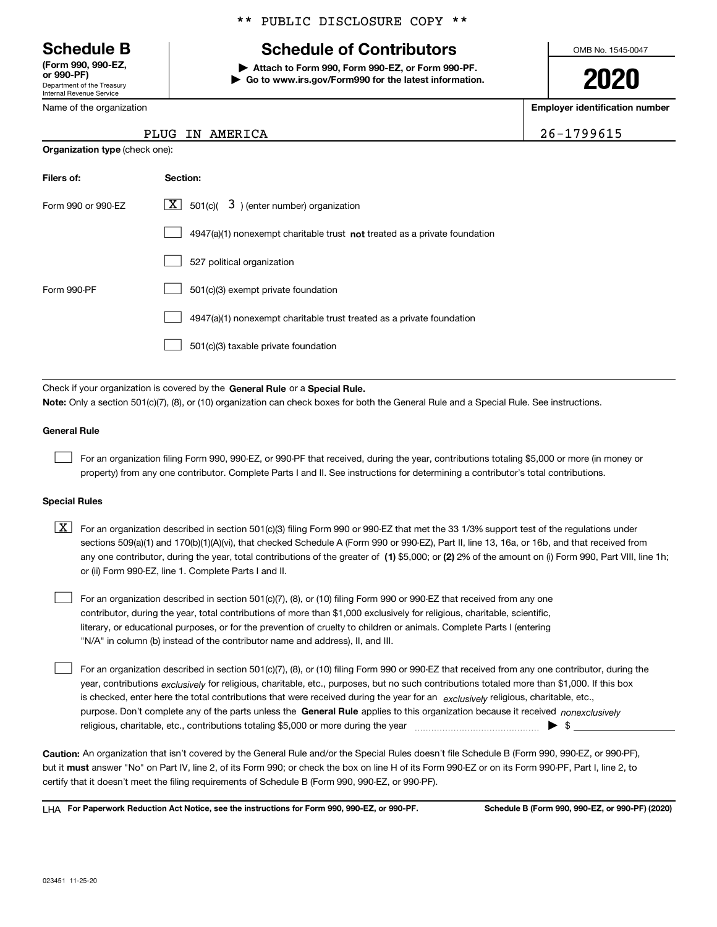Department of the Treasury Internal Revenue Service **(Form 990, 990-EZ, or 990-PF)**

Name of the organization

**Organization type** (check one):

### \*\* PUBLIC DISCLOSURE COPY \*\*

### **Schedule B Schedule of Contributors**

**| Attach to Form 990, Form 990-EZ, or Form 990-PF. | Go to www.irs.gov/Form990 for the latest information.** OMB No. 1545-0047

**2020**

**Employer identification number**

26-1799615

| PLUG IN AMERICA |  |
|-----------------|--|
|-----------------|--|

| Filers of:         | Section:                                                                    |
|--------------------|-----------------------------------------------------------------------------|
| Form 990 or 990-FZ | $X$ 501(c)( 3) (enter number) organization                                  |
|                    | $4947(a)(1)$ nonexempt charitable trust not treated as a private foundation |
|                    | 527 political organization                                                  |
| Form 990-PF        | 501(c)(3) exempt private foundation                                         |
|                    | 4947(a)(1) nonexempt charitable trust treated as a private foundation       |
|                    | 501(c)(3) taxable private foundation                                        |

Check if your organization is covered by the **General Rule** or a **Special Rule. Note:**  Only a section 501(c)(7), (8), or (10) organization can check boxes for both the General Rule and a Special Rule. See instructions.

### **General Rule**

 $\mathcal{L}^{\text{max}}$ 

For an organization filing Form 990, 990-EZ, or 990-PF that received, during the year, contributions totaling \$5,000 or more (in money or property) from any one contributor. Complete Parts I and II. See instructions for determining a contributor's total contributions.

#### **Special Rules**

any one contributor, during the year, total contributions of the greater of  $\,$  (1) \$5,000; or **(2)** 2% of the amount on (i) Form 990, Part VIII, line 1h;  $\boxed{\textbf{X}}$  For an organization described in section 501(c)(3) filing Form 990 or 990-EZ that met the 33 1/3% support test of the regulations under sections 509(a)(1) and 170(b)(1)(A)(vi), that checked Schedule A (Form 990 or 990-EZ), Part II, line 13, 16a, or 16b, and that received from or (ii) Form 990-EZ, line 1. Complete Parts I and II.

For an organization described in section 501(c)(7), (8), or (10) filing Form 990 or 990-EZ that received from any one contributor, during the year, total contributions of more than \$1,000 exclusively for religious, charitable, scientific, literary, or educational purposes, or for the prevention of cruelty to children or animals. Complete Parts I (entering "N/A" in column (b) instead of the contributor name and address), II, and III.  $\mathcal{L}^{\text{max}}$ 

purpose. Don't complete any of the parts unless the **General Rule** applies to this organization because it received *nonexclusively* year, contributions <sub>exclusively</sub> for religious, charitable, etc., purposes, but no such contributions totaled more than \$1,000. If this box is checked, enter here the total contributions that were received during the year for an  $\;$ exclusively religious, charitable, etc., For an organization described in section 501(c)(7), (8), or (10) filing Form 990 or 990-EZ that received from any one contributor, during the religious, charitable, etc., contributions totaling \$5,000 or more during the year  $\Box$ — $\Box$   $\Box$  $\mathcal{L}^{\text{max}}$ 

**Caution:**  An organization that isn't covered by the General Rule and/or the Special Rules doesn't file Schedule B (Form 990, 990-EZ, or 990-PF),  **must** but it answer "No" on Part IV, line 2, of its Form 990; or check the box on line H of its Form 990-EZ or on its Form 990-PF, Part I, line 2, to certify that it doesn't meet the filing requirements of Schedule B (Form 990, 990-EZ, or 990-PF).

**For Paperwork Reduction Act Notice, see the instructions for Form 990, 990-EZ, or 990-PF. Schedule B (Form 990, 990-EZ, or 990-PF) (2020)** LHA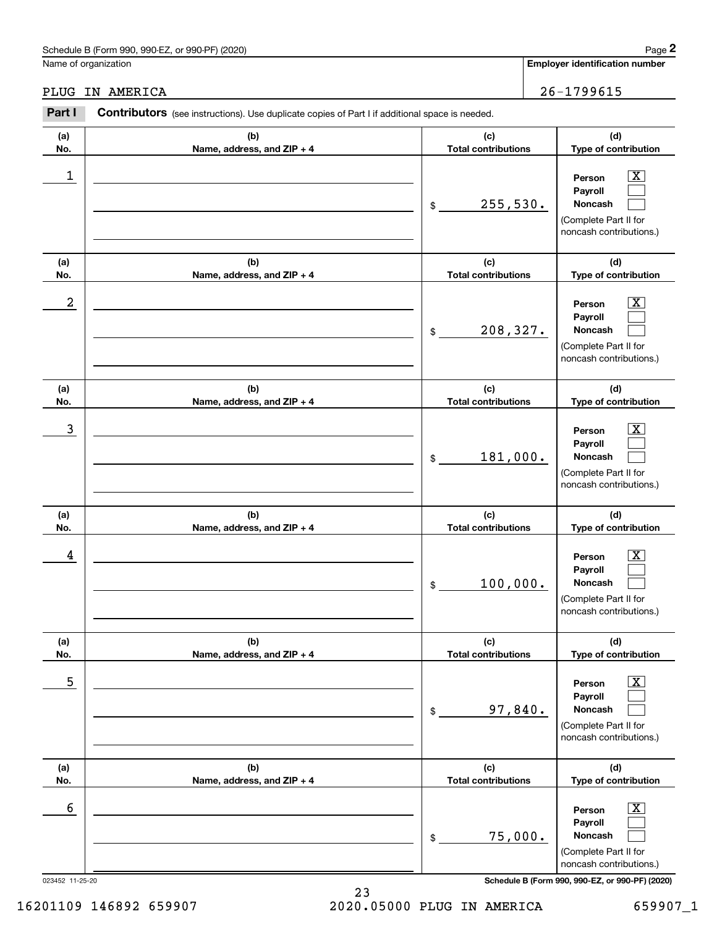|                  | Schedule B (Form 990, 990-EZ, or 990-PF) (2020)                                                |                                   | Page 2                                                                                                    |
|------------------|------------------------------------------------------------------------------------------------|-----------------------------------|-----------------------------------------------------------------------------------------------------------|
|                  | Name of organization                                                                           |                                   | <b>Employer identification number</b>                                                                     |
| PLUG             | IN AMERICA                                                                                     |                                   | 26-1799615                                                                                                |
| Part I           | Contributors (see instructions). Use duplicate copies of Part I if additional space is needed. |                                   |                                                                                                           |
| (a)<br>No.       | (b)<br>Name, address, and ZIP + 4                                                              | (c)<br><b>Total contributions</b> | (d)<br>Type of contribution                                                                               |
| $\mathbf 1$      |                                                                                                | 255,530.<br>\$                    | $\overline{\text{X}}$<br>Person<br>Payroll<br>Noncash<br>(Complete Part II for<br>noncash contributions.) |
| (a)<br>No.       | (b)<br>Name, address, and ZIP + 4                                                              | (c)<br><b>Total contributions</b> | (d)<br>Type of contribution                                                                               |
| $\boldsymbol{2}$ |                                                                                                | 208,327.<br>\$                    | $\overline{\text{X}}$<br>Person<br>Payroll<br>Noncash<br>(Complete Part II for<br>noncash contributions.) |
| (a)<br>No.       | (b)<br>Name, address, and ZIP + 4                                                              | (c)<br><b>Total contributions</b> | (d)<br>Type of contribution                                                                               |
| 3                |                                                                                                | 181,000.<br>\$                    | $\overline{\text{X}}$<br>Person<br>Payroll<br>Noncash<br>(Complete Part II for<br>noncash contributions.) |
| (a)<br>No.       | (b)<br>Name, address, and ZIP + 4                                                              | (c)<br><b>Total contributions</b> | (d)<br>Type of contribution                                                                               |
| 4                |                                                                                                | 100,000.<br>\$                    | $\mathbf{X}$<br>Person<br>Payroll<br>Noncash<br>(Complete Part II for<br>noncash contributions.)          |
| (a)<br>No.       | (b)<br>Name, address, and ZIP + 4                                                              | (c)<br><b>Total contributions</b> | (d)<br>Type of contribution                                                                               |
| 5                |                                                                                                | 97,840.<br>\$                     | $\boxed{\text{X}}$<br>Person<br>Payroll<br>Noncash<br>(Complete Part II for<br>noncash contributions.)    |
| (a)<br>No.       | (b)<br>Name, address, and ZIP + 4                                                              | (c)<br><b>Total contributions</b> | (d)<br>Type of contribution                                                                               |
| 6                |                                                                                                | 75,000.<br>\$                     | $\boxed{\text{X}}$<br>Person<br>Payroll<br>Noncash<br>(Complete Part II for<br>noncash contributions.)    |
| 023452 11-25-20  |                                                                                                |                                   | Schedule B (Form 990, 990-EZ, or 990-PF) (2020)                                                           |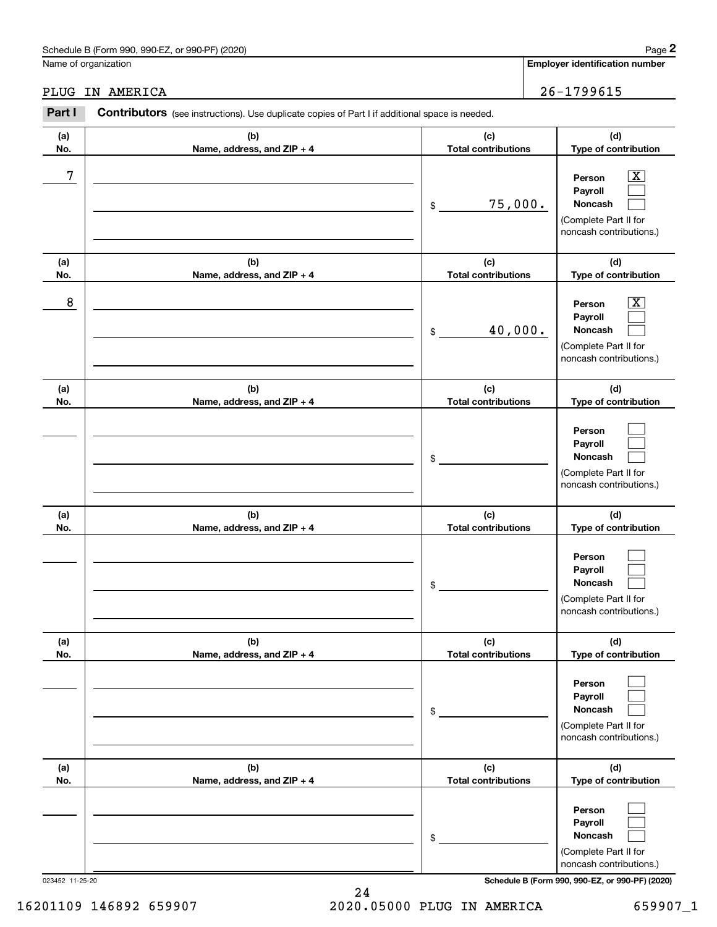|            | Schedule B (Form 990, 990-EZ, or 990-PF) (2020)                                                       |                                   | Page 2                                                                                                      |
|------------|-------------------------------------------------------------------------------------------------------|-----------------------------------|-------------------------------------------------------------------------------------------------------------|
|            | Name of organization                                                                                  |                                   | <b>Employer identification number</b>                                                                       |
| PLUG       | IN AMERICA                                                                                            |                                   | 26-1799615                                                                                                  |
| Part I     | <b>Contributors</b> (see instructions). Use duplicate copies of Part I if additional space is needed. |                                   |                                                                                                             |
| (a)<br>No. | (b)<br>Name, address, and ZIP + 4                                                                     | (c)<br><b>Total contributions</b> | (d)<br>Type of contribution                                                                                 |
| 7          |                                                                                                       | 75,000.<br>\$                     | $\overline{\mathbf{X}}$<br>Person<br>Payroll<br>Noncash<br>(Complete Part II for<br>noncash contributions.) |
| (a)<br>No. | (b)<br>Name, address, and ZIP + 4                                                                     | (c)<br><b>Total contributions</b> | (d)<br>Type of contribution                                                                                 |
| 8          |                                                                                                       | 40,000.<br>\$                     | $\overline{\mathbf{X}}$<br>Person<br>Payroll<br>Noncash<br>(Complete Part II for<br>noncash contributions.) |
| (a)<br>No. | (b)<br>Name, address, and ZIP + 4                                                                     | (c)<br><b>Total contributions</b> | (d)<br>Type of contribution                                                                                 |
|            |                                                                                                       | \$                                | Person<br>Payroll<br>Noncash<br>(Complete Part II for<br>noncash contributions.)                            |
| (a)<br>No. | (b)<br>Name, address, and ZIP + 4                                                                     | (c)<br><b>Total contributions</b> | (d)<br>Type of contribution                                                                                 |
|            |                                                                                                       | \$                                | Person<br>Payroll<br>Noncash<br>(Complete Part II for<br>noncash contributions.)                            |
| (a)<br>No. | (b)<br>Name, address, and ZIP + 4                                                                     | (c)<br><b>Total contributions</b> | (d)<br>Type of contribution                                                                                 |
|            |                                                                                                       | \$                                | Person<br>Payroll<br>Noncash<br>(Complete Part II for<br>noncash contributions.)                            |
| (a)<br>No. | (b)<br>Name, address, and ZIP + 4                                                                     | (c)<br><b>Total contributions</b> | (d)<br>Type of contribution                                                                                 |
|            |                                                                                                       | \$                                | Person<br>Payroll<br>Noncash<br>(Complete Part II for<br>noncash contributions.)                            |

023452 11-25-20 **Schedule B (Form 990, 990-EZ, or 990-PF) (2020)**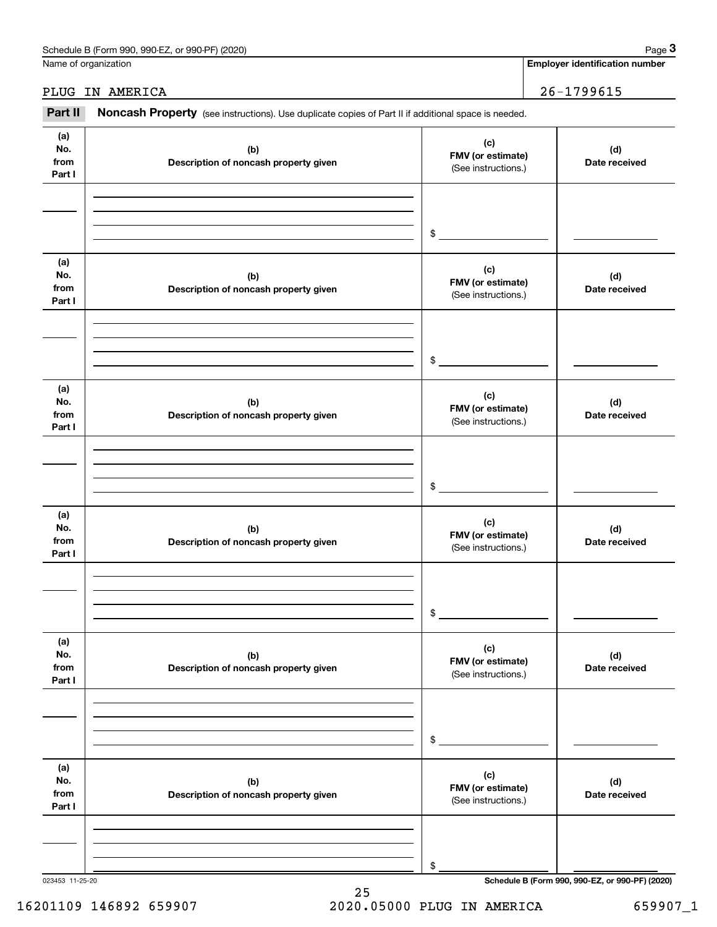| (2020)<br>990-EZ<br>Schedule<br>or 990-PF <sup>\</sup><br>: В (Form 990. |  |      | Page |  |
|--------------------------------------------------------------------------|--|------|------|--|
|                                                                          |  | ____ |      |  |

### **Employer identification number**

|                              | Schedule B (Form 990, 990-EZ, or 990-PF) (2020)                                                     |                                                 | Page 3                                          |
|------------------------------|-----------------------------------------------------------------------------------------------------|-------------------------------------------------|-------------------------------------------------|
|                              | Name of organization                                                                                |                                                 | <b>Employer identification number</b>           |
|                              | PLUG IN AMERICA                                                                                     | $26 - 1799615$                                  |                                                 |
| Part II                      | Noncash Property (see instructions). Use duplicate copies of Part II if additional space is needed. |                                                 |                                                 |
| (a)<br>No.<br>from<br>Part I | (b)<br>Description of noncash property given                                                        | (c)<br>FMV (or estimate)<br>(See instructions.) | (d)<br>Date received                            |
|                              |                                                                                                     | \$                                              |                                                 |
| (a)<br>No.<br>from<br>Part I | (b)<br>Description of noncash property given                                                        | (c)<br>FMV (or estimate)<br>(See instructions.) | (d)<br>Date received                            |
|                              |                                                                                                     | \$                                              |                                                 |
| (a)<br>No.<br>from<br>Part I | (b)<br>Description of noncash property given                                                        | (c)<br>FMV (or estimate)<br>(See instructions.) | (d)<br>Date received                            |
|                              |                                                                                                     | \$                                              |                                                 |
| (a)<br>No.<br>from<br>Part I | (b)<br>Description of noncash property given                                                        | (c)<br>FMV (or estimate)<br>(See instructions.) | (d)<br>Date received                            |
|                              |                                                                                                     | \$                                              |                                                 |
| (a)<br>No.<br>from<br>Part I | (b)<br>Description of noncash property given                                                        | (c)<br>FMV (or estimate)<br>(See instructions.) | (d)<br>Date received                            |
|                              |                                                                                                     | \$                                              |                                                 |
| (a)<br>No.<br>from<br>Part I | (b)<br>Description of noncash property given                                                        | (c)<br>FMV (or estimate)<br>(See instructions.) | (d)<br>Date received                            |
|                              |                                                                                                     | \$                                              |                                                 |
| 023453 11-25-20              |                                                                                                     |                                                 | Schedule B (Form 990, 990-EZ, or 990-PF) (2020) |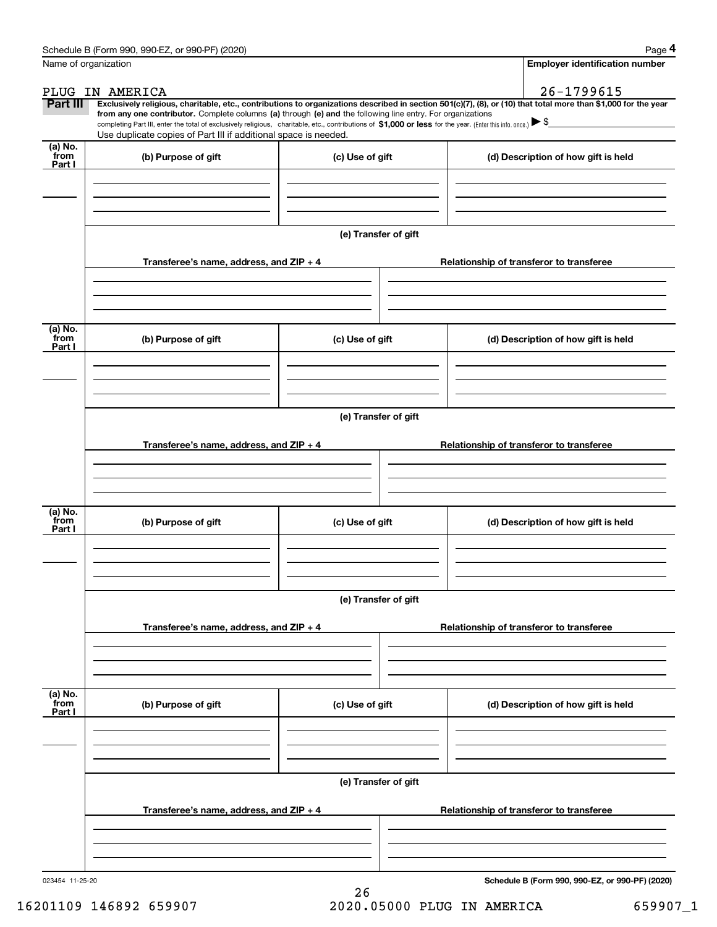|                           | Schedule B (Form 990, 990-EZ, or 990-PF) (2020)                                                                                                                                                                                                                                                 |                      | Page 4                                                                                                                                                         |
|---------------------------|-------------------------------------------------------------------------------------------------------------------------------------------------------------------------------------------------------------------------------------------------------------------------------------------------|----------------------|----------------------------------------------------------------------------------------------------------------------------------------------------------------|
|                           | Name of organization                                                                                                                                                                                                                                                                            |                      | <b>Employer identification number</b>                                                                                                                          |
|                           | PLUG IN AMERICA                                                                                                                                                                                                                                                                                 |                      | $26 - 1799615$                                                                                                                                                 |
| Part III                  |                                                                                                                                                                                                                                                                                                 |                      | Exclusively religious, charitable, etc., contributions to organizations described in section 501(c)(7), (8), or (10) that total more than \$1,000 for the year |
|                           | from any one contributor. Complete columns (a) through (e) and the following line entry. For organizations<br>completing Part III, enter the total of exclusively religious, charitable, etc., contributions of \$1,000 or less for the year. (Enter this info. once.) $\blacktriangleright$ \$ |                      |                                                                                                                                                                |
|                           | Use duplicate copies of Part III if additional space is needed.                                                                                                                                                                                                                                 |                      |                                                                                                                                                                |
| (a) No.<br>from<br>Part I | (b) Purpose of gift                                                                                                                                                                                                                                                                             | (c) Use of gift      | (d) Description of how gift is held                                                                                                                            |
|                           |                                                                                                                                                                                                                                                                                                 |                      |                                                                                                                                                                |
|                           |                                                                                                                                                                                                                                                                                                 |                      |                                                                                                                                                                |
|                           |                                                                                                                                                                                                                                                                                                 | (e) Transfer of gift |                                                                                                                                                                |
|                           | Transferee's name, address, and ZIP + 4                                                                                                                                                                                                                                                         |                      | Relationship of transferor to transferee                                                                                                                       |
|                           |                                                                                                                                                                                                                                                                                                 |                      |                                                                                                                                                                |
| (a) No.<br>from<br>Part I | (b) Purpose of gift                                                                                                                                                                                                                                                                             | (c) Use of gift      | (d) Description of how gift is held                                                                                                                            |
|                           |                                                                                                                                                                                                                                                                                                 |                      |                                                                                                                                                                |
|                           |                                                                                                                                                                                                                                                                                                 |                      |                                                                                                                                                                |
|                           |                                                                                                                                                                                                                                                                                                 | (e) Transfer of gift |                                                                                                                                                                |
|                           | Transferee's name, address, and ZIP + 4                                                                                                                                                                                                                                                         |                      | Relationship of transferor to transferee                                                                                                                       |
|                           |                                                                                                                                                                                                                                                                                                 |                      |                                                                                                                                                                |
|                           |                                                                                                                                                                                                                                                                                                 |                      |                                                                                                                                                                |
| (a) No.<br>from<br>Part I | (b) Purpose of gift                                                                                                                                                                                                                                                                             | (c) Use of gift      | (d) Description of how gift is held                                                                                                                            |
|                           |                                                                                                                                                                                                                                                                                                 |                      |                                                                                                                                                                |
|                           |                                                                                                                                                                                                                                                                                                 | (e) Transfer of gift |                                                                                                                                                                |
|                           | Transferee's name, address, and ZIP + 4                                                                                                                                                                                                                                                         |                      | Relationship of transferor to transferee                                                                                                                       |
|                           |                                                                                                                                                                                                                                                                                                 |                      |                                                                                                                                                                |
|                           |                                                                                                                                                                                                                                                                                                 |                      |                                                                                                                                                                |
| (a) No.<br>from<br>Part I | (b) Purpose of gift                                                                                                                                                                                                                                                                             | (c) Use of gift      | (d) Description of how gift is held                                                                                                                            |
|                           |                                                                                                                                                                                                                                                                                                 |                      |                                                                                                                                                                |
|                           |                                                                                                                                                                                                                                                                                                 |                      |                                                                                                                                                                |
|                           |                                                                                                                                                                                                                                                                                                 | (e) Transfer of gift |                                                                                                                                                                |
|                           | Transferee's name, address, and ZIP + 4                                                                                                                                                                                                                                                         |                      | Relationship of transferor to transferee                                                                                                                       |
|                           |                                                                                                                                                                                                                                                                                                 |                      |                                                                                                                                                                |
| 023454 11-25-20           |                                                                                                                                                                                                                                                                                                 |                      | Schedule B (Form 990, 990-EZ, or 990-PF) (2020)                                                                                                                |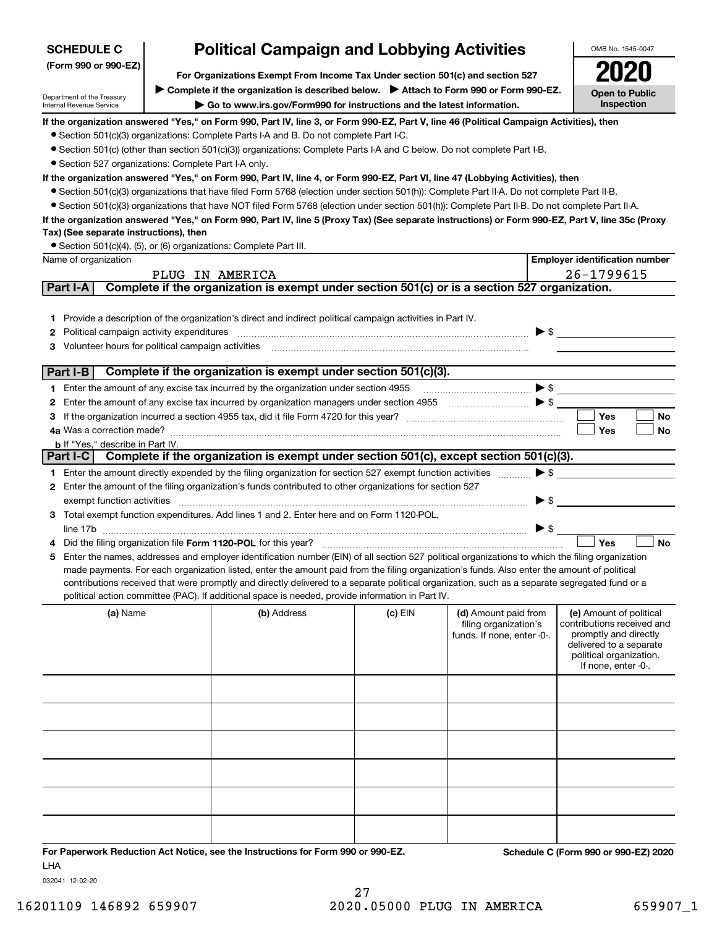| <b>SCHEDULE C</b>                                      | <b>Political Campaign and Lobbying Activities</b>                                                                                                                                                                                                                                                |           |                                                                             |                          | OMB No. 1545-0047                                                                                                                                           |
|--------------------------------------------------------|--------------------------------------------------------------------------------------------------------------------------------------------------------------------------------------------------------------------------------------------------------------------------------------------------|-----------|-----------------------------------------------------------------------------|--------------------------|-------------------------------------------------------------------------------------------------------------------------------------------------------------|
| (Form 990 or 990-EZ)                                   | For Organizations Exempt From Income Tax Under section 501(c) and section 527                                                                                                                                                                                                                    |           |                                                                             |                          |                                                                                                                                                             |
| Department of the Treasury                             | > Complete if the organization is described below. > Attach to Form 990 or Form 990-EZ.                                                                                                                                                                                                          |           |                                                                             |                          | <b>Open to Public</b>                                                                                                                                       |
| Internal Revenue Service                               | Go to www.irs.gov/Form990 for instructions and the latest information.                                                                                                                                                                                                                           |           |                                                                             |                          | Inspection                                                                                                                                                  |
|                                                        | If the organization answered "Yes," on Form 990, Part IV, line 3, or Form 990-EZ, Part V, line 46 (Political Campaign Activities), then                                                                                                                                                          |           |                                                                             |                          |                                                                                                                                                             |
|                                                        | • Section 501(c)(3) organizations: Complete Parts I-A and B. Do not complete Part I-C.<br>• Section 501(c) (other than section 501(c)(3)) organizations: Complete Parts I-A and C below. Do not complete Part I-B.                                                                               |           |                                                                             |                          |                                                                                                                                                             |
| • Section 527 organizations: Complete Part I-A only.   |                                                                                                                                                                                                                                                                                                  |           |                                                                             |                          |                                                                                                                                                             |
|                                                        | If the organization answered "Yes," on Form 990, Part IV, line 4, or Form 990-EZ, Part VI, line 47 (Lobbying Activities), then                                                                                                                                                                   |           |                                                                             |                          |                                                                                                                                                             |
|                                                        | • Section 501(c)(3) organizations that have filed Form 5768 (election under section 501(h)): Complete Part II-A. Do not complete Part II-B.                                                                                                                                                      |           |                                                                             |                          |                                                                                                                                                             |
|                                                        | • Section 501(c)(3) organizations that have NOT filed Form 5768 (election under section 501(h)): Complete Part II-B. Do not complete Part II-A.                                                                                                                                                  |           |                                                                             |                          |                                                                                                                                                             |
|                                                        | If the organization answered "Yes," on Form 990, Part IV, line 5 (Proxy Tax) (See separate instructions) or Form 990-EZ, Part V, line 35c (Proxy                                                                                                                                                 |           |                                                                             |                          |                                                                                                                                                             |
| Tax) (See separate instructions), then                 |                                                                                                                                                                                                                                                                                                  |           |                                                                             |                          |                                                                                                                                                             |
|                                                        | • Section 501(c)(4), (5), or (6) organizations: Complete Part III.                                                                                                                                                                                                                               |           |                                                                             |                          |                                                                                                                                                             |
| Name of organization                                   | PLUG IN AMERICA                                                                                                                                                                                                                                                                                  |           |                                                                             |                          | <b>Employer identification number</b><br>26-1799615                                                                                                         |
| Part I-A                                               | Complete if the organization is exempt under section 501(c) or is a section 527 organization.                                                                                                                                                                                                    |           |                                                                             |                          |                                                                                                                                                             |
|                                                        |                                                                                                                                                                                                                                                                                                  |           |                                                                             |                          |                                                                                                                                                             |
|                                                        | 1 Provide a description of the organization's direct and indirect political campaign activities in Part IV.                                                                                                                                                                                      |           |                                                                             |                          |                                                                                                                                                             |
| <b>2</b> Political campaign activity expenditures      |                                                                                                                                                                                                                                                                                                  |           |                                                                             |                          | $\blacktriangleright$ \$                                                                                                                                    |
| Volunteer hours for political campaign activities<br>З |                                                                                                                                                                                                                                                                                                  |           |                                                                             |                          |                                                                                                                                                             |
|                                                        |                                                                                                                                                                                                                                                                                                  |           |                                                                             |                          |                                                                                                                                                             |
| Part I-B                                               | Complete if the organization is exempt under section 501(c)(3).                                                                                                                                                                                                                                  |           |                                                                             |                          |                                                                                                                                                             |
|                                                        | 1 Enter the amount of any excise tax incurred by the organization under section 4955                                                                                                                                                                                                             |           |                                                                             |                          |                                                                                                                                                             |
| 2                                                      |                                                                                                                                                                                                                                                                                                  |           |                                                                             |                          |                                                                                                                                                             |
| З                                                      |                                                                                                                                                                                                                                                                                                  |           |                                                                             |                          | <b>Yes</b><br><b>No</b><br>Yes<br>No                                                                                                                        |
| <b>b</b> If "Yes," describe in Part IV.                |                                                                                                                                                                                                                                                                                                  |           |                                                                             |                          |                                                                                                                                                             |
|                                                        | Part I-C Complete if the organization is exempt under section 501(c), except section 501(c)(3).                                                                                                                                                                                                  |           |                                                                             |                          |                                                                                                                                                             |
|                                                        | 1 Enter the amount directly expended by the filing organization for section 527 exempt function activities                                                                                                                                                                                       |           |                                                                             | $\blacktriangleright$ \$ |                                                                                                                                                             |
|                                                        | 2 Enter the amount of the filing organization's funds contributed to other organizations for section 527                                                                                                                                                                                         |           |                                                                             |                          |                                                                                                                                                             |
| exempt function activities                             |                                                                                                                                                                                                                                                                                                  |           |                                                                             | $\blacktriangleright$ \$ |                                                                                                                                                             |
|                                                        | 3 Total exempt function expenditures. Add lines 1 and 2. Enter here and on Form 1120-POL,                                                                                                                                                                                                        |           |                                                                             |                          |                                                                                                                                                             |
|                                                        |                                                                                                                                                                                                                                                                                                  |           |                                                                             |                          |                                                                                                                                                             |
|                                                        | Did the filing organization file Form 1120-POL for this year?                                                                                                                                                                                                                                    |           |                                                                             |                          | Yes<br><b>No</b>                                                                                                                                            |
|                                                        | 5 Enter the names, addresses and employer identification number (EIN) of all section 527 political organizations to which the filing organization<br>made payments. For each organization listed, enter the amount paid from the filing organization's funds. Also enter the amount of political |           |                                                                             |                          |                                                                                                                                                             |
|                                                        | contributions received that were promptly and directly delivered to a separate political organization, such as a separate segregated fund or a                                                                                                                                                   |           |                                                                             |                          |                                                                                                                                                             |
|                                                        | political action committee (PAC). If additional space is needed, provide information in Part IV.                                                                                                                                                                                                 |           |                                                                             |                          |                                                                                                                                                             |
| (a) Name                                               | (b) Address                                                                                                                                                                                                                                                                                      | $(c)$ EIN | (d) Amount paid from<br>filing organization's<br>funds. If none, enter -0-. |                          | (e) Amount of political<br>contributions received and<br>promptly and directly<br>delivered to a separate<br>political organization.<br>If none, enter -0-. |
|                                                        |                                                                                                                                                                                                                                                                                                  |           |                                                                             |                          |                                                                                                                                                             |
|                                                        |                                                                                                                                                                                                                                                                                                  |           |                                                                             |                          |                                                                                                                                                             |
|                                                        |                                                                                                                                                                                                                                                                                                  |           |                                                                             |                          |                                                                                                                                                             |
|                                                        |                                                                                                                                                                                                                                                                                                  |           |                                                                             |                          |                                                                                                                                                             |
|                                                        |                                                                                                                                                                                                                                                                                                  |           |                                                                             |                          |                                                                                                                                                             |

### **For Paperwork Reduction Act Notice, see the Instructions for Form 990 or 990-EZ. Schedule C (Form 990 or 990-EZ) 2020** LHA

032041 12-02-20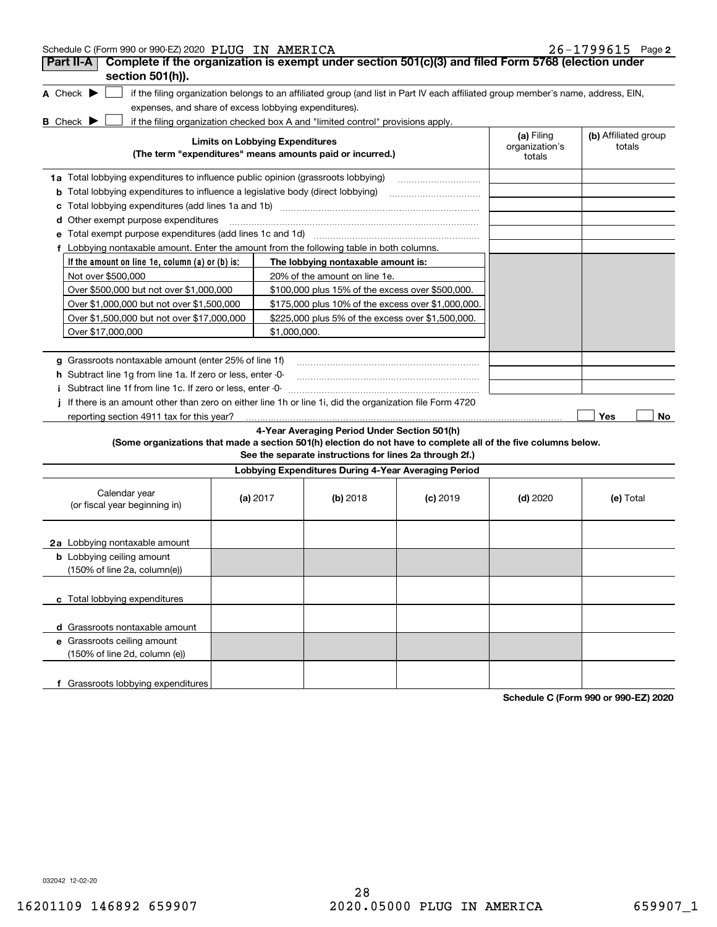| Schedule C (Form 990 or 990-EZ) 2020 PLUG IN AMERICA |  |  | $26 - 1799615$ Page 2 |  |
|------------------------------------------------------|--|--|-----------------------|--|
|------------------------------------------------------|--|--|-----------------------|--|

| Complete if the organization is exempt under section 501(c)(3) and filed Form 5768 (election under<br>Part II-A<br>section 501(h)).                                |                                        |                                                         |            |                                        |                                |
|--------------------------------------------------------------------------------------------------------------------------------------------------------------------|----------------------------------------|---------------------------------------------------------|------------|----------------------------------------|--------------------------------|
| A Check $\blacktriangleright$<br>if the filing organization belongs to an affiliated group (and list in Part IV each affiliated group member's name, address, EIN, |                                        |                                                         |            |                                        |                                |
| expenses, and share of excess lobbying expenditures).                                                                                                              |                                        |                                                         |            |                                        |                                |
| <b>B</b> Check $\blacktriangleright$<br>if the filing organization checked box A and "limited control" provisions apply.                                           |                                        |                                                         |            |                                        |                                |
| (The term "expenditures" means amounts paid or incurred.)                                                                                                          | <b>Limits on Lobbying Expenditures</b> |                                                         |            | (a) Filing<br>organization's<br>totals | (b) Affiliated group<br>totals |
| 1a Total lobbying expenditures to influence public opinion (grassroots lobbying)                                                                                   |                                        |                                                         |            |                                        |                                |
| <b>b</b> Total lobbying expenditures to influence a legislative body (direct lobbying)                                                                             |                                        |                                                         |            |                                        |                                |
|                                                                                                                                                                    |                                        |                                                         |            |                                        |                                |
| d Other exempt purpose expenditures                                                                                                                                |                                        |                                                         |            |                                        |                                |
|                                                                                                                                                                    |                                        |                                                         |            |                                        |                                |
| f Lobbying nontaxable amount. Enter the amount from the following table in both columns.                                                                           |                                        |                                                         |            |                                        |                                |
| If the amount on line 1e, column (a) or (b) is:                                                                                                                    |                                        | The lobbying nontaxable amount is:                      |            |                                        |                                |
| Not over \$500,000                                                                                                                                                 |                                        | 20% of the amount on line 1e.                           |            |                                        |                                |
| Over \$500,000 but not over \$1,000,000                                                                                                                            |                                        | \$100,000 plus 15% of the excess over \$500,000.        |            |                                        |                                |
| Over \$1,000,000 but not over \$1,500,000                                                                                                                          |                                        | \$175,000 plus 10% of the excess over \$1,000,000.      |            |                                        |                                |
| Over \$1,500,000 but not over \$17,000,000                                                                                                                         |                                        | \$225,000 plus 5% of the excess over \$1,500,000.       |            |                                        |                                |
| Over \$17.000.000                                                                                                                                                  | \$1,000,000.                           |                                                         |            |                                        |                                |
|                                                                                                                                                                    |                                        |                                                         |            |                                        |                                |
| Grassroots nontaxable amount (enter 25% of line 1f)                                                                                                                |                                        |                                                         |            |                                        |                                |
| <b>h</b> Subtract line 1g from line 1a. If zero or less, enter 0-                                                                                                  |                                        |                                                         |            |                                        |                                |
| i Subtract line 1f from line 1c. If zero or less, enter 0                                                                                                          |                                        |                                                         |            |                                        |                                |
| If there is an amount other than zero on either line 1h or line 1i, did the organization file Form 4720                                                            |                                        |                                                         |            |                                        |                                |
| reporting section 4911 tax for this year?                                                                                                                          |                                        |                                                         |            |                                        | Yes<br>No.                     |
| (Some organizations that made a section 501(h) election do not have to complete all of the five columns below.                                                     |                                        | 4-Year Averaging Period Under Section 501(h)            |            |                                        |                                |
|                                                                                                                                                                    |                                        | See the separate instructions for lines 2a through 2f.) |            |                                        |                                |
|                                                                                                                                                                    |                                        | Lobbying Expenditures During 4-Year Averaging Period    |            |                                        |                                |
| Calendar year                                                                                                                                                      |                                        |                                                         |            |                                        |                                |
| (or fiscal year beginning in)                                                                                                                                      | (a) $2017$                             | $(b)$ 2018                                              | $(c)$ 2019 | $(d)$ 2020                             | (e) Total                      |
|                                                                                                                                                                    |                                        |                                                         |            |                                        |                                |
|                                                                                                                                                                    |                                        |                                                         |            |                                        |                                |
| 2a Lobbying nontaxable amount                                                                                                                                      |                                        |                                                         |            |                                        |                                |
| <b>b</b> Lobbying ceiling amount                                                                                                                                   |                                        |                                                         |            |                                        |                                |
| (150% of line 2a, column(e))                                                                                                                                       |                                        |                                                         |            |                                        |                                |
|                                                                                                                                                                    |                                        |                                                         |            |                                        |                                |
| c Total lobbying expenditures                                                                                                                                      |                                        |                                                         |            |                                        |                                |
| d Grassroots nontaxable amount                                                                                                                                     |                                        |                                                         |            |                                        |                                |
| e Grassroots ceiling amount                                                                                                                                        |                                        |                                                         |            |                                        |                                |
| (150% of line 2d, column (e))                                                                                                                                      |                                        |                                                         |            |                                        |                                |
|                                                                                                                                                                    |                                        |                                                         |            |                                        |                                |
| f Grassroots lobbying expenditures                                                                                                                                 |                                        |                                                         |            |                                        |                                |

**Schedule C (Form 990 or 990-EZ) 2020**

032042 12-02-20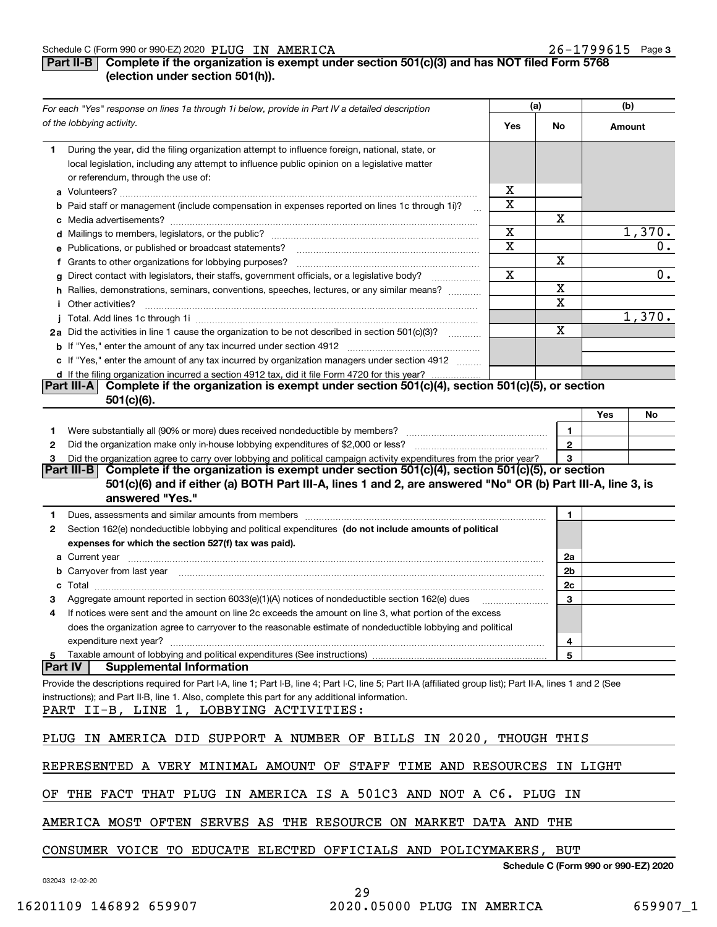### **Part II-B Complete if the organization is exempt under section 501(c)(3) and has NOT filed Form 5768 (election under section 501(h)).**

|      | For each "Yes" response on lines 1a through 1i below, provide in Part IV a detailed description                                                                                                                                      |     | (a)          |          | (b)                                  |
|------|--------------------------------------------------------------------------------------------------------------------------------------------------------------------------------------------------------------------------------------|-----|--------------|----------|--------------------------------------|
|      | of the lobbying activity.                                                                                                                                                                                                            | Yes | No           |          | Amount                               |
| 1    | During the year, did the filing organization attempt to influence foreign, national, state, or<br>local legislation, including any attempt to influence public opinion on a legislative matter<br>or referendum, through the use of: |     |              |          |                                      |
|      |                                                                                                                                                                                                                                      | x   |              |          |                                      |
|      | <b>b</b> Paid staff or management (include compensation in expenses reported on lines 1c through 1i)?                                                                                                                                | Χ   |              |          |                                      |
|      |                                                                                                                                                                                                                                      |     | Х            |          |                                      |
|      |                                                                                                                                                                                                                                      | Х   |              |          | 1,370.                               |
|      | e Publications, or published or broadcast statements?                                                                                                                                                                                | X   |              |          | 0.                                   |
|      | f Grants to other organizations for lobbying purposes?                                                                                                                                                                               |     | Х            |          |                                      |
|      | g Direct contact with legislators, their staffs, government officials, or a legislative body?                                                                                                                                        | X   |              |          | 0.                                   |
|      | .<br>h Rallies, demonstrations, seminars, conventions, speeches, lectures, or any similar means?                                                                                                                                     |     | $\mathbf X$  |          |                                      |
|      | i Other activities?                                                                                                                                                                                                                  |     | $\mathbf X$  |          |                                      |
|      |                                                                                                                                                                                                                                      |     |              |          | 1,370.                               |
|      | 2a Did the activities in line 1 cause the organization to be not described in section 501(c)(3)?                                                                                                                                     |     | X            |          |                                      |
|      |                                                                                                                                                                                                                                      |     |              |          |                                      |
|      | c If "Yes," enter the amount of any tax incurred by organization managers under section 4912                                                                                                                                         |     |              |          |                                      |
|      | d If the filing organization incurred a section 4912 tax, did it file Form 4720 for this year?                                                                                                                                       |     |              |          |                                      |
|      | Complete if the organization is exempt under section 501(c)(4), section 501(c)(5), or section<br> Part III-A                                                                                                                         |     |              |          |                                      |
|      | $501(c)(6)$ .                                                                                                                                                                                                                        |     |              |          |                                      |
|      |                                                                                                                                                                                                                                      |     |              | Yes      | No                                   |
| 1    |                                                                                                                                                                                                                                      |     | 1.           |          |                                      |
| 2    |                                                                                                                                                                                                                                      |     | $\mathbf{2}$ |          |                                      |
| з    | Did the organization agree to carry over lobbying and political campaign activity expenditures from the prior year?                                                                                                                  |     | 3            |          |                                      |
|      | Complete if the organization is exempt under section 501(c)(4), section 501(c)(5), or section<br> Part III-B                                                                                                                         |     |              |          |                                      |
|      | 501(c)(6) and if either (a) BOTH Part III-A, lines 1 and 2, are answered "No" OR (b) Part III-A, line 3, is<br>answered "Yes."                                                                                                       |     |              |          |                                      |
| 1    | Dues, assessments and similar amounts from members [11] matter contracts and similar amounts from members [11] matter and similar amounts from members [11] matter and similar amounts from members [11] matter and similar am       |     | 1            |          |                                      |
| 2    | Section 162(e) nondeductible lobbying and political expenditures (do not include amounts of political                                                                                                                                |     |              |          |                                      |
|      | expenses for which the section 527(f) tax was paid).                                                                                                                                                                                 |     |              |          |                                      |
|      |                                                                                                                                                                                                                                      |     | 2a           |          |                                      |
|      | b Carryover from last year manufactured and contain a series of the contract of the contract of the contract of the contract of the contract of the contract of the contract of the contract of the contract of the contract o       |     | 2b           |          |                                      |
|      |                                                                                                                                                                                                                                      |     | 2c           |          |                                      |
| з    | Aggregate amount reported in section 6033(e)(1)(A) notices of nondeductible section 162(e) dues                                                                                                                                      |     | 3            |          |                                      |
| 4    | If notices were sent and the amount on line 2c exceeds the amount on line 3, what portion of the excess                                                                                                                              |     |              |          |                                      |
|      | does the organization agree to carryover to the reasonable estimate of nondeductible lobbying and political                                                                                                                          |     |              |          |                                      |
|      | expenditure next year?                                                                                                                                                                                                               |     | 4            |          |                                      |
| 5    | Taxable amount of lobbying and political expenditures (See instructions)                                                                                                                                                             |     | 5            |          |                                      |
|      | Part IV  <br><b>Supplemental Information</b>                                                                                                                                                                                         |     |              |          |                                      |
|      | Provide the descriptions required for Part I-A, line 1; Part I-B, line 4; Part I-C, line 5; Part II-A (affiliated group list); Part II-A, lines 1 and 2 (See                                                                         |     |              |          |                                      |
|      | instructions); and Part II-B, line 1. Also, complete this part for any additional information.                                                                                                                                       |     |              |          |                                      |
|      | PART II-B, LINE 1, LOBBYING ACTIVITIES:                                                                                                                                                                                              |     |              |          |                                      |
|      |                                                                                                                                                                                                                                      |     |              |          |                                      |
| PLUG | IN AMERICA DID SUPPORT A NUMBER OF BILLS IN 2020, THOUGH THIS                                                                                                                                                                        |     |              |          |                                      |
|      |                                                                                                                                                                                                                                      |     |              |          |                                      |
|      | REPRESENTED A VERY MINIMAL AMOUNT OF STAFF TIME AND RESOURCES                                                                                                                                                                        |     |              | IN LIGHT |                                      |
| OF.  | THE FACT THAT PLUG IN AMERICA IS A 501C3 AND NOT A C6. PLUG IN                                                                                                                                                                       |     |              |          |                                      |
|      | AMERICA MOST OFTEN SERVES AS THE RESOURCE ON MARKET DATA AND                                                                                                                                                                         |     | THE          |          |                                      |
|      |                                                                                                                                                                                                                                      |     |              |          |                                      |
|      | CONSUMER VOICE TO EDUCATE ELECTED OFFICIALS AND POLICYMAKERS, BUT                                                                                                                                                                    |     |              |          | Schedule C (Form 990 or 990-EZ) 2020 |
|      | 032043 12-02-20                                                                                                                                                                                                                      |     |              |          |                                      |

29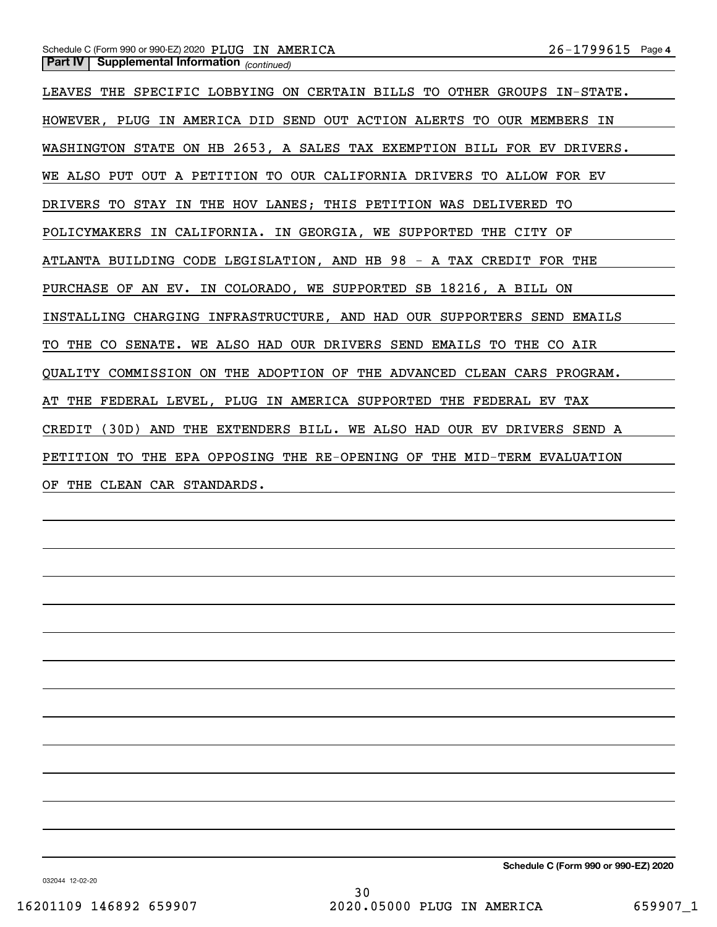### *(continued)* **Part IV Supplemental Information**  Schedule C (Form 990 or 990-EZ) 2020 Page PLUG IN AMERICA 26-1799615

LEAVES THE SPECIFIC LOBBYING ON CERTAIN BILLS TO OTHER GROUPS IN-STATE. HOWEVER, PLUG IN AMERICA DID SEND OUT ACTION ALERTS TO OUR MEMBERS IN WASHINGTON STATE ON HB 2653, A SALES TAX EXEMPTION BILL FOR EV DRIVERS. WE ALSO PUT OUT A PETITION TO OUR CALIFORNIA DRIVERS TO ALLOW FOR EV DRIVERS TO STAY IN THE HOV LANES; THIS PETITION WAS DELIVERED TO POLICYMAKERS IN CALIFORNIA. IN GEORGIA, WE SUPPORTED THE CITY OF ATLANTA BUILDING CODE LEGISLATION, AND HB 98 - A TAX CREDIT FOR THE PURCHASE OF AN EV. IN COLORADO, WE SUPPORTED SB 18216, A BILL ON INSTALLING CHARGING INFRASTRUCTURE, AND HAD OUR SUPPORTERS SEND EMAILS TO THE CO SENATE. WE ALSO HAD OUR DRIVERS SEND EMAILS TO THE CO AIR QUALITY COMMISSION ON THE ADOPTION OF THE ADVANCED CLEAN CARS PROGRAM. AT THE FEDERAL LEVEL, PLUG IN AMERICA SUPPORTED THE FEDERAL EV TAX CREDIT (30D) AND THE EXTENDERS BILL. WE ALSO HAD OUR EV DRIVERS SEND A PETITION TO THE EPA OPPOSING THE RE-OPENING OF THE MID-TERM EVALUATION OF THE CLEAN CAR STANDARDS.

**Schedule C (Form 990 or 990-EZ) 2020**

032044 12-02-20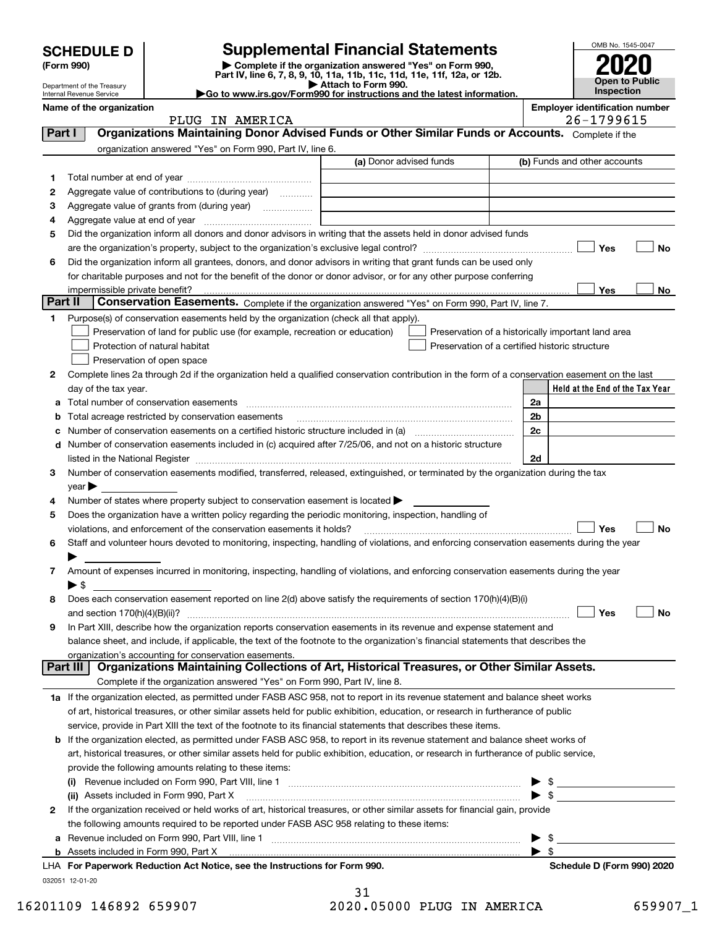|  |  |  | <b>SCHEDULE D</b> |  |
|--|--|--|-------------------|--|
|  |  |  |                   |  |

## **SCHEDULE D Supplemental Financial Statements**

**(Form 990) | Complete if the organization answered "Yes" on Form 990, Part IV, line 6, 7, 8, 9, 10, 11a, 11b, 11c, 11d, 11e, 11f, 12a, or 12b.**



Internal Revenue Service

Department of the Treasury

| Part IV, line 6, 7, 8, 9, 10, 118, 116, 116, 116, 117, 128, or 120.    |
|------------------------------------------------------------------------|
| Attach to Form 990.                                                    |
| Go to www.irs.gov/Form990 for instructions and the latest information. |

**Name of the organization Employer identification number**

PLUG IN AMERICA 26-1799615

| Part I  | Organizations Maintaining Donor Advised Funds or Other Similar Funds or Accounts. Complete if the                                                                 |                         |                                                    |                         |                                 |    |
|---------|-------------------------------------------------------------------------------------------------------------------------------------------------------------------|-------------------------|----------------------------------------------------|-------------------------|---------------------------------|----|
|         | organization answered "Yes" on Form 990, Part IV, line 6.                                                                                                         |                         |                                                    |                         |                                 |    |
|         |                                                                                                                                                                   | (a) Donor advised funds |                                                    |                         | (b) Funds and other accounts    |    |
| 1       |                                                                                                                                                                   |                         |                                                    |                         |                                 |    |
| 2       | Aggregate value of contributions to (during year)                                                                                                                 |                         |                                                    |                         |                                 |    |
| З       |                                                                                                                                                                   |                         |                                                    |                         |                                 |    |
| 4       |                                                                                                                                                                   |                         |                                                    |                         |                                 |    |
| 5       | Did the organization inform all donors and donor advisors in writing that the assets held in donor advised funds                                                  |                         |                                                    |                         |                                 |    |
|         |                                                                                                                                                                   |                         |                                                    |                         | Yes                             | No |
| 6       | Did the organization inform all grantees, donors, and donor advisors in writing that grant funds can be used only                                                 |                         |                                                    |                         |                                 |    |
|         | for charitable purposes and not for the benefit of the donor or donor advisor, or for any other purpose conferring                                                |                         |                                                    |                         |                                 |    |
|         | impermissible private benefit?                                                                                                                                    |                         |                                                    |                         | Yes                             | No |
| Part II | Conservation Easements. Complete if the organization answered "Yes" on Form 990, Part IV, line 7.                                                                 |                         |                                                    |                         |                                 |    |
| 1       | Purpose(s) of conservation easements held by the organization (check all that apply).                                                                             |                         |                                                    |                         |                                 |    |
|         | Preservation of land for public use (for example, recreation or education)                                                                                        |                         | Preservation of a historically important land area |                         |                                 |    |
|         | Protection of natural habitat                                                                                                                                     |                         | Preservation of a certified historic structure     |                         |                                 |    |
|         | Preservation of open space                                                                                                                                        |                         |                                                    |                         |                                 |    |
| 2       | Complete lines 2a through 2d if the organization held a qualified conservation contribution in the form of a conservation easement on the last                    |                         |                                                    |                         |                                 |    |
|         | day of the tax year.                                                                                                                                              |                         |                                                    |                         | Held at the End of the Tax Year |    |
| а       | Total number of conservation easements                                                                                                                            |                         |                                                    | 2a                      |                                 |    |
|         | Total acreage restricted by conservation easements                                                                                                                |                         |                                                    | 2 <sub>b</sub>          |                                 |    |
|         | Number of conservation easements on a certified historic structure included in (a) manufacture included in (a)                                                    |                         |                                                    | 2c                      |                                 |    |
| d       | Number of conservation easements included in (c) acquired after 7/25/06, and not on a historic structure                                                          |                         |                                                    |                         |                                 |    |
|         |                                                                                                                                                                   |                         |                                                    | 2d                      |                                 |    |
| з       | Number of conservation easements modified, transferred, released, extinguished, or terminated by the organization during the tax                                  |                         |                                                    |                         |                                 |    |
|         | $year \blacktriangleright$                                                                                                                                        |                         |                                                    |                         |                                 |    |
| 4       | Number of states where property subject to conservation easement is located >                                                                                     |                         |                                                    |                         |                                 |    |
| 5       | Does the organization have a written policy regarding the periodic monitoring, inspection, handling of                                                            |                         |                                                    |                         |                                 |    |
|         | violations, and enforcement of the conservation easements it holds?                                                                                               |                         |                                                    |                         | Yes                             | No |
| 6       | Staff and volunteer hours devoted to monitoring, inspecting, handling of violations, and enforcing conservation easements during the year                         |                         |                                                    |                         |                                 |    |
|         |                                                                                                                                                                   |                         |                                                    |                         |                                 |    |
| 7       | Amount of expenses incurred in monitoring, inspecting, handling of violations, and enforcing conservation easements during the year                               |                         |                                                    |                         |                                 |    |
|         | $\blacktriangleright$ \$                                                                                                                                          |                         |                                                    |                         |                                 |    |
| 8       | Does each conservation easement reported on line 2(d) above satisfy the requirements of section 170(h)(4)(B)(i)                                                   |                         |                                                    |                         |                                 |    |
|         |                                                                                                                                                                   |                         |                                                    |                         | Yes                             | No |
| 9       | In Part XIII, describe how the organization reports conservation easements in its revenue and expense statement and                                               |                         |                                                    |                         |                                 |    |
|         | balance sheet, and include, if applicable, the text of the footnote to the organization's financial statements that describes the                                 |                         |                                                    |                         |                                 |    |
|         | organization's accounting for conservation easements.<br>Organizations Maintaining Collections of Art, Historical Treasures, or Other Similar Assets.<br>Part III |                         |                                                    |                         |                                 |    |
|         | Complete if the organization answered "Yes" on Form 990, Part IV, line 8.                                                                                         |                         |                                                    |                         |                                 |    |
|         | 1a If the organization elected, as permitted under FASB ASC 958, not to report in its revenue statement and balance sheet works                                   |                         |                                                    |                         |                                 |    |
|         | of art, historical treasures, or other similar assets held for public exhibition, education, or research in furtherance of public                                 |                         |                                                    |                         |                                 |    |
|         | service, provide in Part XIII the text of the footnote to its financial statements that describes these items.                                                    |                         |                                                    |                         |                                 |    |
| b       | If the organization elected, as permitted under FASB ASC 958, to report in its revenue statement and balance sheet works of                                       |                         |                                                    |                         |                                 |    |
|         | art, historical treasures, or other similar assets held for public exhibition, education, or research in furtherance of public service,                           |                         |                                                    |                         |                                 |    |
|         | provide the following amounts relating to these items:                                                                                                            |                         |                                                    |                         |                                 |    |
|         |                                                                                                                                                                   |                         |                                                    |                         | $\blacktriangleright$ \$        |    |
|         | (ii) Assets included in Form 990, Part X                                                                                                                          |                         |                                                    |                         |                                 |    |
| 2       | If the organization received or held works of art, historical treasures, or other similar assets for financial gain, provide                                      |                         |                                                    |                         |                                 |    |
|         | the following amounts required to be reported under FASB ASC 958 relating to these items:                                                                         |                         |                                                    |                         |                                 |    |
| а       | Revenue included on Form 990, Part VIII, line 1 manufactured contracts and contracts and contracts and contracts                                                  |                         |                                                    |                         | $\triangleright$ \$             |    |
|         | <b>b</b> Assets included in Form 990, Part X                                                                                                                      |                         |                                                    | $\blacktriangleright$ s |                                 |    |
|         | LHA For Paperwork Reduction Act Notice, see the Instructions for Form 990.                                                                                        |                         |                                                    |                         | Schedule D (Form 990) 2020      |    |
|         | 032051 12-01-20                                                                                                                                                   |                         |                                                    |                         |                                 |    |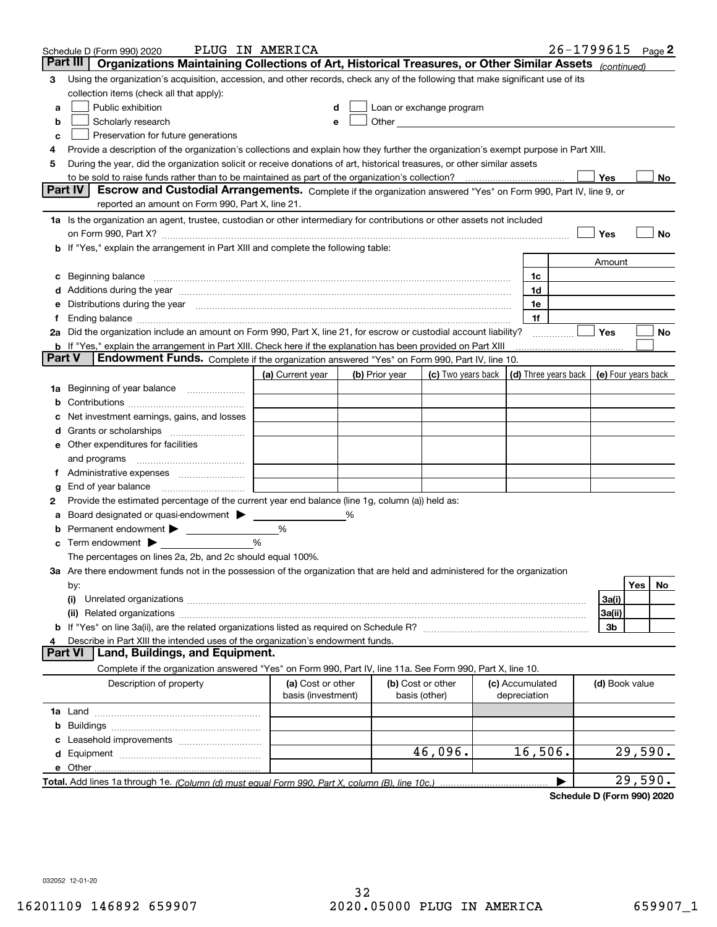|    | Schedule D (Form 990) 2020                                                                                                                                                                                                     | PLUG IN AMERICA                         |                |                                    |                                                                                                                                                                                                                                |                                            | 26-1799615 |                |         | Page $2$ |
|----|--------------------------------------------------------------------------------------------------------------------------------------------------------------------------------------------------------------------------------|-----------------------------------------|----------------|------------------------------------|--------------------------------------------------------------------------------------------------------------------------------------------------------------------------------------------------------------------------------|--------------------------------------------|------------|----------------|---------|----------|
|    | Organizations Maintaining Collections of Art, Historical Treasures, or Other Similar Assets (continued)<br>Part III                                                                                                            |                                         |                |                                    |                                                                                                                                                                                                                                |                                            |            |                |         |          |
| 3  | Using the organization's acquisition, accession, and other records, check any of the following that make significant use of its                                                                                                |                                         |                |                                    |                                                                                                                                                                                                                                |                                            |            |                |         |          |
|    | collection items (check all that apply):                                                                                                                                                                                       |                                         |                |                                    |                                                                                                                                                                                                                                |                                            |            |                |         |          |
| а  | Public exhibition                                                                                                                                                                                                              |                                         |                |                                    | Loan or exchange program                                                                                                                                                                                                       |                                            |            |                |         |          |
| b  | Scholarly research                                                                                                                                                                                                             | е                                       |                |                                    | Other and the control of the control of the control of the control of the control of the control of the control of the control of the control of the control of the control of the control of the control of the control of th |                                            |            |                |         |          |
| c  | Preservation for future generations                                                                                                                                                                                            |                                         |                |                                    |                                                                                                                                                                                                                                |                                            |            |                |         |          |
| 4  | Provide a description of the organization's collections and explain how they further the organization's exempt purpose in Part XIII.                                                                                           |                                         |                |                                    |                                                                                                                                                                                                                                |                                            |            |                |         |          |
| 5  | During the year, did the organization solicit or receive donations of art, historical treasures, or other similar assets                                                                                                       |                                         |                |                                    |                                                                                                                                                                                                                                |                                            |            |                |         |          |
|    | to be sold to raise funds rather than to be maintained as part of the organization's collection?                                                                                                                               |                                         |                |                                    |                                                                                                                                                                                                                                |                                            |            | Yes            |         | No       |
|    | <b>Part IV</b><br>Escrow and Custodial Arrangements. Complete if the organization answered "Yes" on Form 990, Part IV, line 9, or                                                                                              |                                         |                |                                    |                                                                                                                                                                                                                                |                                            |            |                |         |          |
|    | reported an amount on Form 990, Part X, line 21.                                                                                                                                                                               |                                         |                |                                    |                                                                                                                                                                                                                                |                                            |            |                |         |          |
|    | 1a Is the organization an agent, trustee, custodian or other intermediary for contributions or other assets not included                                                                                                       |                                         |                |                                    |                                                                                                                                                                                                                                |                                            |            |                |         |          |
|    |                                                                                                                                                                                                                                |                                         |                |                                    |                                                                                                                                                                                                                                |                                            |            | Yes            |         | No       |
| b  | If "Yes," explain the arrangement in Part XIII and complete the following table:                                                                                                                                               |                                         |                |                                    |                                                                                                                                                                                                                                |                                            |            |                |         |          |
|    |                                                                                                                                                                                                                                |                                         |                |                                    |                                                                                                                                                                                                                                |                                            |            | Amount         |         |          |
| с  | Beginning balance measurements and the contract of the contract of the contract of the contract of the contract of the contract of the contract of the contract of the contract of the contract of the contract of the contrac |                                         |                |                                    |                                                                                                                                                                                                                                | 1c                                         |            |                |         |          |
|    | Additions during the year manufactured and an account of the year manufactured and account of the year manufactured and account of the state of the state of the state of the state of the state of the state of the state of  |                                         |                |                                    |                                                                                                                                                                                                                                | 1d                                         |            |                |         |          |
|    | Distributions during the year manufactured and continuum and contact the year manufactured and contact the year                                                                                                                |                                         |                |                                    |                                                                                                                                                                                                                                | 1e                                         |            |                |         |          |
|    |                                                                                                                                                                                                                                |                                         |                |                                    |                                                                                                                                                                                                                                | 1f                                         |            |                |         |          |
|    | 2a Did the organization include an amount on Form 990, Part X, line 21, for escrow or custodial account liability?                                                                                                             |                                         |                |                                    |                                                                                                                                                                                                                                |                                            |            | Yes            |         | No       |
|    | <b>b</b> If "Yes," explain the arrangement in Part XIII. Check here if the explanation has been provided on Part XIII<br>Part V<br>Endowment Funds. Complete if the organization answered "Yes" on Form 990, Part IV, line 10. |                                         |                |                                    |                                                                                                                                                                                                                                |                                            |            |                |         |          |
|    |                                                                                                                                                                                                                                | (a) Current year                        | (b) Prior year |                                    | (c) Two years back                                                                                                                                                                                                             | (d) Three years back   (e) Four years back |            |                |         |          |
|    |                                                                                                                                                                                                                                |                                         |                |                                    |                                                                                                                                                                                                                                |                                            |            |                |         |          |
| 1a | Beginning of year balance                                                                                                                                                                                                      |                                         |                |                                    |                                                                                                                                                                                                                                |                                            |            |                |         |          |
|    |                                                                                                                                                                                                                                |                                         |                |                                    |                                                                                                                                                                                                                                |                                            |            |                |         |          |
|    | Net investment earnings, gains, and losses                                                                                                                                                                                     |                                         |                |                                    |                                                                                                                                                                                                                                |                                            |            |                |         |          |
|    | e Other expenditures for facilities                                                                                                                                                                                            |                                         |                |                                    |                                                                                                                                                                                                                                |                                            |            |                |         |          |
|    | and programs                                                                                                                                                                                                                   |                                         |                |                                    |                                                                                                                                                                                                                                |                                            |            |                |         |          |
|    |                                                                                                                                                                                                                                |                                         |                |                                    |                                                                                                                                                                                                                                |                                            |            |                |         |          |
|    | End of year balance                                                                                                                                                                                                            |                                         |                |                                    |                                                                                                                                                                                                                                |                                            |            |                |         |          |
| 2  | Provide the estimated percentage of the current year end balance (line 1g, column (a)) held as:                                                                                                                                |                                         |                |                                    |                                                                                                                                                                                                                                |                                            |            |                |         |          |
|    | Board designated or quasi-endowment                                                                                                                                                                                            |                                         | %              |                                    |                                                                                                                                                                                                                                |                                            |            |                |         |          |
|    | Permanent endowment > <u>example</u>                                                                                                                                                                                           | %                                       |                |                                    |                                                                                                                                                                                                                                |                                            |            |                |         |          |
| с  | Term endowment $\blacktriangleright$                                                                                                                                                                                           | %                                       |                |                                    |                                                                                                                                                                                                                                |                                            |            |                |         |          |
|    | The percentages on lines 2a, 2b, and 2c should equal 100%.                                                                                                                                                                     |                                         |                |                                    |                                                                                                                                                                                                                                |                                            |            |                |         |          |
|    | 3a Are there endowment funds not in the possession of the organization that are held and administered for the organization                                                                                                     |                                         |                |                                    |                                                                                                                                                                                                                                |                                            |            |                |         |          |
|    | by:                                                                                                                                                                                                                            |                                         |                |                                    |                                                                                                                                                                                                                                |                                            |            |                | Yes     | No       |
|    | (i)                                                                                                                                                                                                                            |                                         |                |                                    |                                                                                                                                                                                                                                |                                            |            | 3a(i)          |         |          |
|    |                                                                                                                                                                                                                                |                                         |                |                                    |                                                                                                                                                                                                                                |                                            |            | 3a(ii)         |         |          |
|    |                                                                                                                                                                                                                                |                                         |                |                                    |                                                                                                                                                                                                                                |                                            |            | 3b             |         |          |
|    | Describe in Part XIII the intended uses of the organization's endowment funds.                                                                                                                                                 |                                         |                |                                    |                                                                                                                                                                                                                                |                                            |            |                |         |          |
|    | Land, Buildings, and Equipment.<br><b>Part VI</b>                                                                                                                                                                              |                                         |                |                                    |                                                                                                                                                                                                                                |                                            |            |                |         |          |
|    | Complete if the organization answered "Yes" on Form 990, Part IV, line 11a. See Form 990, Part X, line 10.                                                                                                                     |                                         |                |                                    |                                                                                                                                                                                                                                |                                            |            |                |         |          |
|    | Description of property                                                                                                                                                                                                        | (a) Cost or other<br>basis (investment) |                | (b) Cost or other<br>basis (other) |                                                                                                                                                                                                                                | (c) Accumulated<br>depreciation            |            | (d) Book value |         |          |
|    |                                                                                                                                                                                                                                |                                         |                |                                    |                                                                                                                                                                                                                                |                                            |            |                |         |          |
| b  |                                                                                                                                                                                                                                |                                         |                |                                    |                                                                                                                                                                                                                                |                                            |            |                |         |          |
|    |                                                                                                                                                                                                                                |                                         |                |                                    |                                                                                                                                                                                                                                |                                            |            |                |         |          |
| d  |                                                                                                                                                                                                                                |                                         |                |                                    | 46,096.                                                                                                                                                                                                                        | 16,506.                                    |            |                | 29,590. |          |
|    |                                                                                                                                                                                                                                |                                         |                |                                    |                                                                                                                                                                                                                                |                                            |            |                |         |          |
|    |                                                                                                                                                                                                                                |                                         |                |                                    |                                                                                                                                                                                                                                |                                            |            |                | 29,590. |          |

**Schedule D (Form 990) 2020**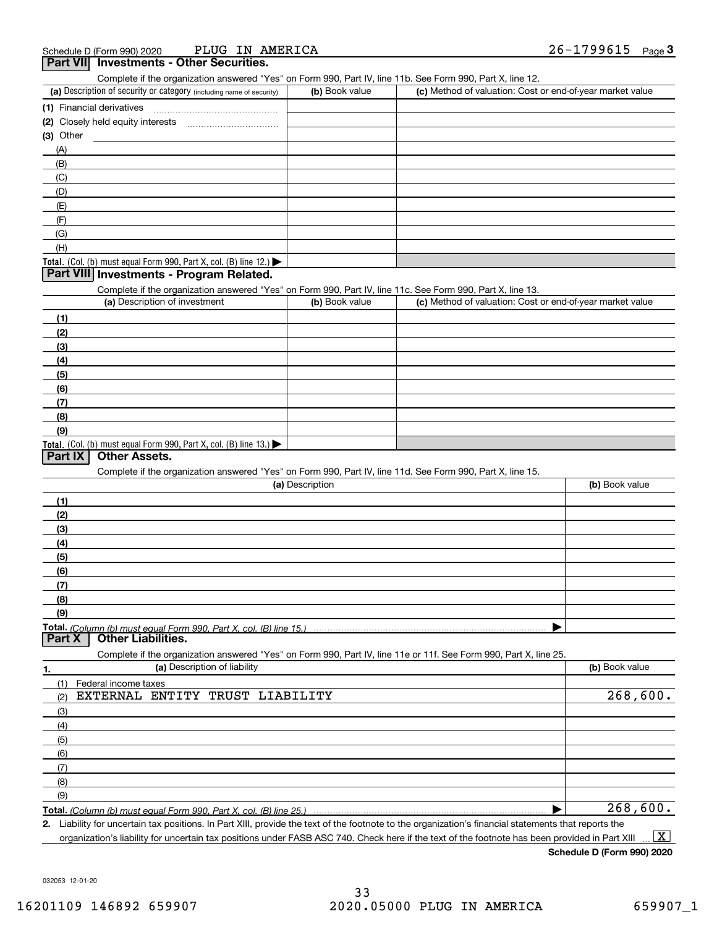| Complete if the organization answered "Yes" on Form 990, Part IV, line 11b. See Form 990, Part X, line 12.        |                 |                                                           |                |
|-------------------------------------------------------------------------------------------------------------------|-----------------|-----------------------------------------------------------|----------------|
| (a) Description of security or category (including name of security)                                              | (b) Book value  | (c) Method of valuation: Cost or end-of-year market value |                |
|                                                                                                                   |                 |                                                           |                |
|                                                                                                                   |                 |                                                           |                |
| (3) Other                                                                                                         |                 |                                                           |                |
| (A)                                                                                                               |                 |                                                           |                |
| (B)                                                                                                               |                 |                                                           |                |
| (C)                                                                                                               |                 |                                                           |                |
| (D)                                                                                                               |                 |                                                           |                |
| (E)                                                                                                               |                 |                                                           |                |
| (F)                                                                                                               |                 |                                                           |                |
| (G)                                                                                                               |                 |                                                           |                |
| (H)                                                                                                               |                 |                                                           |                |
| Total. (Col. (b) must equal Form 990, Part X, col. (B) line 12.)                                                  |                 |                                                           |                |
| Part VIII Investments - Program Related.                                                                          |                 |                                                           |                |
| Complete if the organization answered "Yes" on Form 990, Part IV, line 11c. See Form 990, Part X, line 13.        |                 |                                                           |                |
| (a) Description of investment                                                                                     | (b) Book value  | (c) Method of valuation: Cost or end-of-year market value |                |
| (1)                                                                                                               |                 |                                                           |                |
| (2)                                                                                                               |                 |                                                           |                |
| (3)                                                                                                               |                 |                                                           |                |
| (4)                                                                                                               |                 |                                                           |                |
| (5)                                                                                                               |                 |                                                           |                |
| (6)                                                                                                               |                 |                                                           |                |
| (7)                                                                                                               |                 |                                                           |                |
| (8)                                                                                                               |                 |                                                           |                |
| (9)                                                                                                               |                 |                                                           |                |
| Total. (Col. (b) must equal Form 990, Part X, col. (B) line 13.)                                                  |                 |                                                           |                |
| <b>Other Assets.</b><br><b>Part IX</b>                                                                            |                 |                                                           |                |
| Complete if the organization answered "Yes" on Form 990, Part IV, line 11d. See Form 990, Part X, line 15.        |                 |                                                           |                |
|                                                                                                                   | (a) Description |                                                           | (b) Book value |
| (1)                                                                                                               |                 |                                                           |                |
| (2)                                                                                                               |                 |                                                           |                |
| (3)                                                                                                               |                 |                                                           |                |
| (4)                                                                                                               |                 |                                                           |                |
| (5)                                                                                                               |                 |                                                           |                |
| (6)                                                                                                               |                 |                                                           |                |
| (7)                                                                                                               |                 |                                                           |                |
| (8)                                                                                                               |                 |                                                           |                |
| (9)                                                                                                               |                 |                                                           |                |
| Total. (Column (b) must equal Form 990, Part X, col. (B) line 15.)<br><b>Other Liabilities.</b><br>Part X         |                 |                                                           |                |
| Complete if the organization answered "Yes" on Form 990, Part IV, line 11e or 11f. See Form 990, Part X, line 25. |                 |                                                           |                |
| (a) Description of liability<br><u>1.</u>                                                                         |                 |                                                           | (b) Book value |
| (1)<br>Federal income taxes                                                                                       |                 |                                                           |                |
| EXTERNAL ENTITY TRUST LIABILITY<br>(2)                                                                            |                 |                                                           | 268,600.       |
| (3)                                                                                                               |                 |                                                           |                |
| (4)                                                                                                               |                 |                                                           |                |
| (5)                                                                                                               |                 |                                                           |                |
| (6)                                                                                                               |                 |                                                           |                |
| (7)                                                                                                               |                 |                                                           |                |
| (8)                                                                                                               |                 |                                                           |                |
| (9)                                                                                                               |                 |                                                           |                |
|                                                                                                                   |                 |                                                           | 268,600.       |

**2.** Liability for uncertain tax positions. In Part XIII, provide the text of the footnote to the organization's financial statements that reports the organization's liability for uncertain tax positions under FASB ASC 740. Check here if the text of the footnote has been provided in Part XIII  $\boxed{\text{X}}$ 

**Schedule D (Form 990) 2020**

032053 12-01-20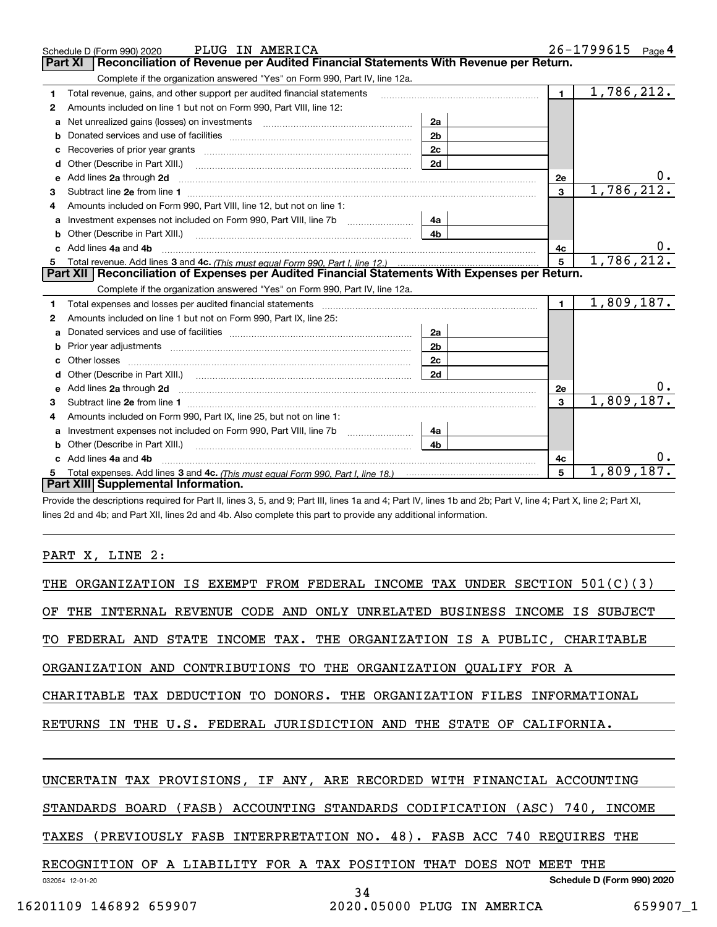|              | PLUG IN AMERICA<br>Schedule D (Form 990) 2020                                                                                                                                                                                        |                |                | $26 - 1799615$ Page 4 |
|--------------|--------------------------------------------------------------------------------------------------------------------------------------------------------------------------------------------------------------------------------------|----------------|----------------|-----------------------|
|              | Reconciliation of Revenue per Audited Financial Statements With Revenue per Return.<br><b>Part XI</b>                                                                                                                                |                |                |                       |
|              | Complete if the organization answered "Yes" on Form 990, Part IV, line 12a.                                                                                                                                                          |                |                |                       |
| 1            | Total revenue, gains, and other support per audited financial statements                                                                                                                                                             |                | $\mathbf 1$    | 1,786,212.            |
| $\mathbf{2}$ | Amounts included on line 1 but not on Form 990, Part VIII, line 12:                                                                                                                                                                  |                |                |                       |
| a            | Net unrealized gains (losses) on investments [11] matter contracts and the unrealized gains (losses) on investments                                                                                                                  | 2a             |                |                       |
| b            |                                                                                                                                                                                                                                      | 2 <sub>b</sub> |                |                       |
| с            |                                                                                                                                                                                                                                      | 2c             |                |                       |
|              | <b>d</b> Other (Describe in Part XIII.)<br>the contract of the contract of the contract of the contract of the contract of the contract of the contract of                                                                           | 2d             |                |                       |
| е            | Add lines 2a through 2d                                                                                                                                                                                                              |                | 2e             |                       |
| З            |                                                                                                                                                                                                                                      |                | $\overline{3}$ | 1,786,212.            |
|              | Amounts included on Form 990, Part VIII, line 12, but not on line 1:                                                                                                                                                                 |                |                |                       |
| a            | Investment expenses not included on Form 990, Part VIII, line 7b                                                                                                                                                                     | 4a             |                |                       |
|              |                                                                                                                                                                                                                                      | 4 <sub>b</sub> |                |                       |
|              | Add lines 4a and 4b                                                                                                                                                                                                                  |                | 4c             |                       |
| 5            |                                                                                                                                                                                                                                      |                | 5              | 1,786,212.            |
|              | Part XII   Reconciliation of Expenses per Audited Financial Statements With Expenses per Return.                                                                                                                                     |                |                |                       |
|              |                                                                                                                                                                                                                                      |                |                |                       |
|              | Complete if the organization answered "Yes" on Form 990, Part IV, line 12a.                                                                                                                                                          |                |                |                       |
| 1.           |                                                                                                                                                                                                                                      |                | $\blacksquare$ | 1,809,187.            |
| 2            | Amounts included on line 1 but not on Form 990, Part IX, line 25:                                                                                                                                                                    |                |                |                       |
| a            |                                                                                                                                                                                                                                      | 2a             |                |                       |
| b            |                                                                                                                                                                                                                                      | 2 <sub>b</sub> |                |                       |
| c            | Other losses <b>with a contract the contract of the contract of the contract of the contract of the contract of the contract of the contract of the contract of the contract of the contract of the contract of the contract of </b> | 2c             |                |                       |
|              | Other (Describe in Part XIII.) (Contract and Contract and Chern Contract) (Chern Chern Chern Chern Chern Chern                                                                                                                       | 2d             |                |                       |
|              | Add lines 2a through 2d <b>contained a contained a contained a contained a</b> contained a contained a contained a contained a contained a contained a contained a contained a contained a contained a contained a contained a cont  |                | 2e             |                       |
| з            |                                                                                                                                                                                                                                      |                | 3              | 1,809,187.            |
| 4            | Amounts included on Form 990, Part IX, line 25, but not on line 1:                                                                                                                                                                   |                |                |                       |
| a            |                                                                                                                                                                                                                                      | 4a             |                |                       |
| b            |                                                                                                                                                                                                                                      | 4b             |                |                       |
|              | c Add lines 4a and 4b                                                                                                                                                                                                                |                | 4c             |                       |
|              | Part XIII Supplemental Information.                                                                                                                                                                                                  |                | 5              | 1,809,187.            |

Provide the descriptions required for Part II, lines 3, 5, and 9; Part III, lines 1a and 4; Part IV, lines 1b and 2b; Part V, line 4; Part X, line 2; Part XI, lines 2d and 4b; and Part XII, lines 2d and 4b. Also complete this part to provide any additional information.

### PART X, LINE 2:

| THE ORGANIZATION IS EXEMPT FROM FEDERAL INCOME TAX UNDER SECTION 501(C)(3)    |  |  |  |  |  |
|-------------------------------------------------------------------------------|--|--|--|--|--|
| OF THE INTERNAL REVENUE CODE AND ONLY UNRELATED BUSINESS INCOME IS SUBJECT    |  |  |  |  |  |
| TO FEDERAL AND STATE INCOME TAX. THE ORGANIZATION IS A PUBLIC, CHARITABLE     |  |  |  |  |  |
| ORGANIZATION AND CONTRIBUTIONS TO THE ORGANIZATION QUALIFY FOR A              |  |  |  |  |  |
| CHARITABLE TAX DEDUCTION TO DONORS. THE ORGANIZATION FILES INFORMATIONAL      |  |  |  |  |  |
| RETURNS IN THE U.S. FEDERAL JURISDICTION AND THE STATE<br>OF CALIFORNIA.      |  |  |  |  |  |
|                                                                               |  |  |  |  |  |
| UNCERTAIN TAX PROVISIONS, IF ANY, ARE RECORDED WITH FINANCIAL ACCOUNTING      |  |  |  |  |  |
| (FASB) ACCOUNTING STANDARDS CODIFICATION (ASC) 740, INCOME<br>STANDARDS BOARD |  |  |  |  |  |
| (PREVIOUSLY FASB INTERPRETATION NO. 48). FASB ACC 740 REQUIRES THE<br>TAXES   |  |  |  |  |  |
| RECOGNITION OF A LIABILITY FOR A TAX POSITION THAT DOES<br>NOT MEET<br>THE    |  |  |  |  |  |
| Schedule D (Form 990) 2020<br>032054 12-01-20<br>34                           |  |  |  |  |  |
|                                                                               |  |  |  |  |  |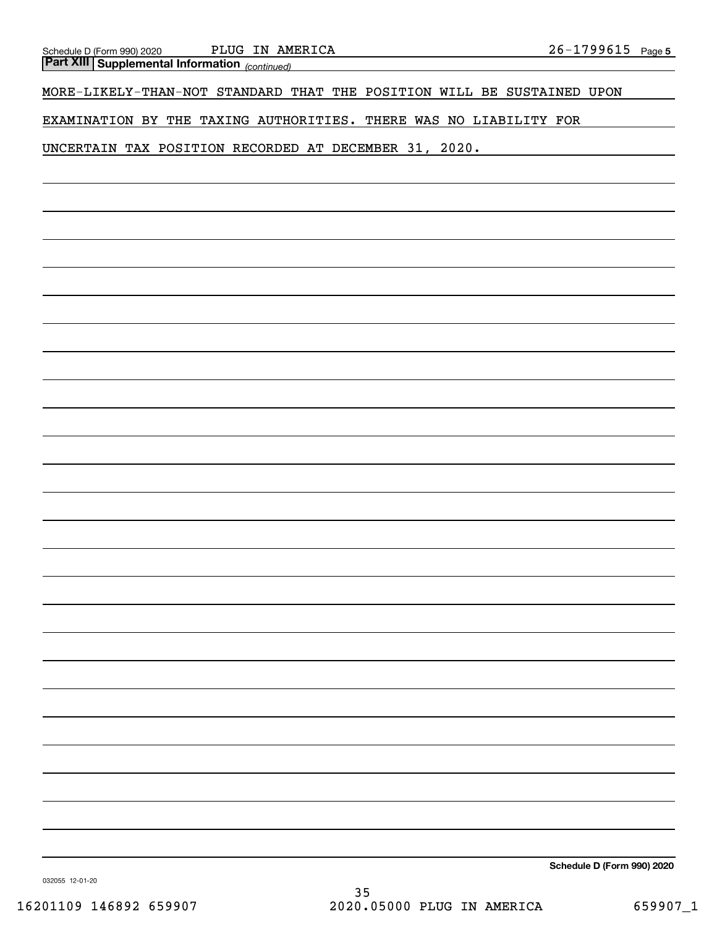*(continued)* **Part XIII Supplemental Information** 

MORE-LIKELY-THAN-NOT STANDARD THAT THE POSITION WILL BE SUSTAINED UPON

EXAMINATION BY THE TAXING AUTHORITIES. THERE WAS NO LIABILITY FOR

UNCERTAIN TAX POSITION RECORDED AT DECEMBER 31, 2020.

**Schedule D (Form 990) 2020**

032055 12-01-20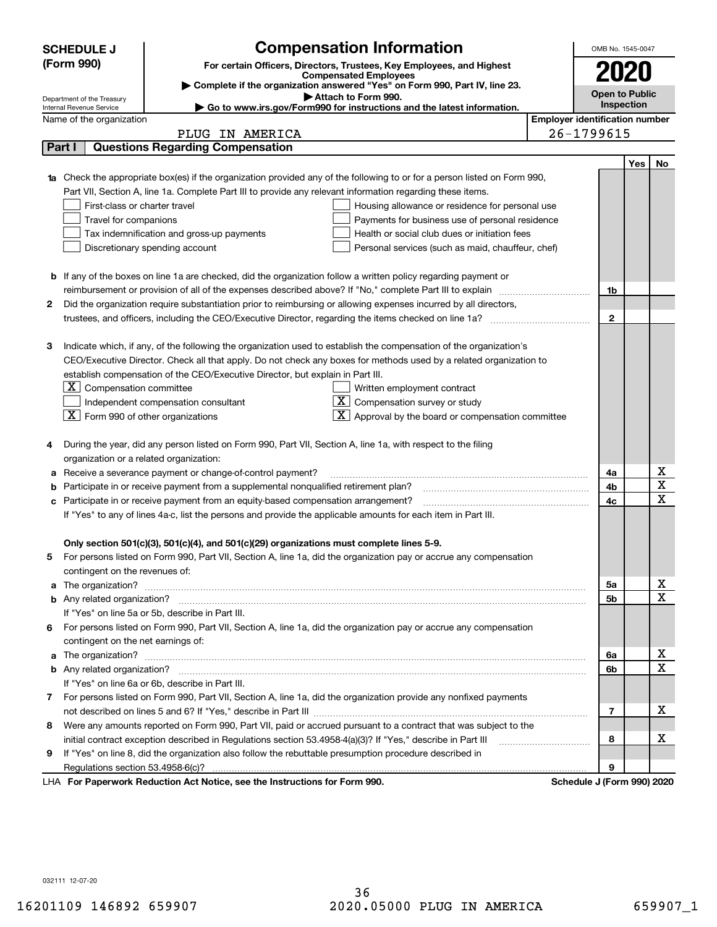|                                                                                                               | <b>Compensation Information</b><br><b>SCHEDULE J</b>                                                                             |  |                                       | OMB No. 1545-0047          |     |              |  |
|---------------------------------------------------------------------------------------------------------------|----------------------------------------------------------------------------------------------------------------------------------|--|---------------------------------------|----------------------------|-----|--------------|--|
|                                                                                                               | (Form 990)<br>For certain Officers, Directors, Trustees, Key Employees, and Highest                                              |  |                                       | 2020                       |     |              |  |
|                                                                                                               | <b>Compensated Employees</b>                                                                                                     |  |                                       |                            |     |              |  |
|                                                                                                               | Complete if the organization answered "Yes" on Form 990, Part IV, line 23.<br>Attach to Form 990.                                |  |                                       | <b>Open to Public</b>      |     |              |  |
|                                                                                                               | Department of the Treasury<br>Go to www.irs.gov/Form990 for instructions and the latest information.<br>Internal Revenue Service |  |                                       | Inspection                 |     |              |  |
|                                                                                                               | Name of the organization                                                                                                         |  | <b>Employer identification number</b> |                            |     |              |  |
|                                                                                                               | PLUG IN AMERICA                                                                                                                  |  |                                       | 26-1799615                 |     |              |  |
|                                                                                                               | <b>Questions Regarding Compensation</b><br>Part I                                                                                |  |                                       |                            |     |              |  |
|                                                                                                               |                                                                                                                                  |  |                                       |                            | Yes | No           |  |
|                                                                                                               | Check the appropriate box(es) if the organization provided any of the following to or for a person listed on Form 990,           |  |                                       |                            |     |              |  |
|                                                                                                               | Part VII, Section A, line 1a. Complete Part III to provide any relevant information regarding these items.                       |  |                                       |                            |     |              |  |
|                                                                                                               | First-class or charter travel<br>Housing allowance or residence for personal use                                                 |  |                                       |                            |     |              |  |
|                                                                                                               | Travel for companions<br>Payments for business use of personal residence                                                         |  |                                       |                            |     |              |  |
|                                                                                                               | Tax indemnification and gross-up payments<br>Health or social club dues or initiation fees                                       |  |                                       |                            |     |              |  |
|                                                                                                               | Discretionary spending account<br>Personal services (such as maid, chauffeur, chef)                                              |  |                                       |                            |     |              |  |
|                                                                                                               |                                                                                                                                  |  |                                       |                            |     |              |  |
|                                                                                                               | <b>b</b> If any of the boxes on line 1a are checked, did the organization follow a written policy regarding payment or           |  |                                       |                            |     |              |  |
|                                                                                                               | reimbursement or provision of all of the expenses described above? If "No," complete Part III to explain                         |  |                                       | 1b                         |     |              |  |
| 2                                                                                                             | Did the organization require substantiation prior to reimbursing or allowing expenses incurred by all directors,                 |  |                                       |                            |     |              |  |
|                                                                                                               |                                                                                                                                  |  |                                       | $\mathbf{2}$               |     |              |  |
|                                                                                                               |                                                                                                                                  |  |                                       |                            |     |              |  |
| з                                                                                                             | Indicate which, if any, of the following the organization used to establish the compensation of the organization's               |  |                                       |                            |     |              |  |
|                                                                                                               | CEO/Executive Director. Check all that apply. Do not check any boxes for methods used by a related organization to               |  |                                       |                            |     |              |  |
|                                                                                                               | establish compensation of the CEO/Executive Director, but explain in Part III.                                                   |  |                                       |                            |     |              |  |
|                                                                                                               | $ \mathbf{X} $ Compensation committee<br>Written employment contract                                                             |  |                                       |                            |     |              |  |
|                                                                                                               | $X$ Compensation survey or study<br>Independent compensation consultant                                                          |  |                                       |                            |     |              |  |
|                                                                                                               | $\boxed{\textbf{X}}$ Form 990 of other organizations<br>$\mathbf{X}$ Approval by the board or compensation committee             |  |                                       |                            |     |              |  |
|                                                                                                               |                                                                                                                                  |  |                                       |                            |     |              |  |
| 4                                                                                                             | During the year, did any person listed on Form 990, Part VII, Section A, line 1a, with respect to the filing                     |  |                                       |                            |     |              |  |
|                                                                                                               | organization or a related organization:                                                                                          |  |                                       |                            |     |              |  |
| а                                                                                                             | Receive a severance payment or change-of-control payment?                                                                        |  |                                       |                            |     | х<br>X       |  |
|                                                                                                               | Participate in or receive payment from a supplemental nonqualified retirement plan?<br>b                                         |  |                                       |                            |     | $\mathbf x$  |  |
|                                                                                                               | Participate in or receive payment from an equity-based compensation arrangement?<br>c                                            |  |                                       |                            |     |              |  |
| If "Yes" to any of lines 4a-c, list the persons and provide the applicable amounts for each item in Part III. |                                                                                                                                  |  |                                       |                            |     |              |  |
|                                                                                                               | Only section 501(c)(3), 501(c)(4), and 501(c)(29) organizations must complete lines 5-9.                                         |  |                                       |                            |     |              |  |
|                                                                                                               | For persons listed on Form 990, Part VII, Section A, line 1a, did the organization pay or accrue any compensation                |  |                                       |                            |     |              |  |
|                                                                                                               | contingent on the revenues of:                                                                                                   |  |                                       |                            |     |              |  |
| a                                                                                                             |                                                                                                                                  |  |                                       | 5а                         |     | x            |  |
|                                                                                                               |                                                                                                                                  |  |                                       | <b>5b</b>                  |     | X            |  |
|                                                                                                               | If "Yes" on line 5a or 5b, describe in Part III.                                                                                 |  |                                       |                            |     |              |  |
| 6.                                                                                                            | For persons listed on Form 990, Part VII, Section A, line 1a, did the organization pay or accrue any compensation                |  |                                       |                            |     |              |  |
|                                                                                                               | contingent on the net earnings of:                                                                                               |  |                                       |                            |     |              |  |
| a                                                                                                             |                                                                                                                                  |  |                                       | 6a                         |     | х            |  |
|                                                                                                               |                                                                                                                                  |  |                                       | 6b                         |     | $\mathbf{x}$ |  |
|                                                                                                               | If "Yes" on line 6a or 6b, describe in Part III.                                                                                 |  |                                       |                            |     |              |  |
|                                                                                                               | 7 For persons listed on Form 990, Part VII, Section A, line 1a, did the organization provide any nonfixed payments               |  |                                       |                            |     |              |  |
|                                                                                                               |                                                                                                                                  |  |                                       | 7                          |     | x            |  |
| 8                                                                                                             | Were any amounts reported on Form 990, Part VII, paid or accrued pursuant to a contract that was subject to the                  |  |                                       |                            |     |              |  |
|                                                                                                               | initial contract exception described in Regulations section 53.4958-4(a)(3)? If "Yes," describe in Part III                      |  |                                       |                            |     | х            |  |
| 9                                                                                                             | If "Yes" on line 8, did the organization also follow the rebuttable presumption procedure described in                           |  |                                       |                            |     |              |  |
|                                                                                                               | Regulations section 53.4958-6(c)?                                                                                                |  |                                       | 9                          |     |              |  |
|                                                                                                               | LHA For Paperwork Reduction Act Notice, see the Instructions for Form 990.                                                       |  |                                       | Schedule J (Form 990) 2020 |     |              |  |

032111 12-07-20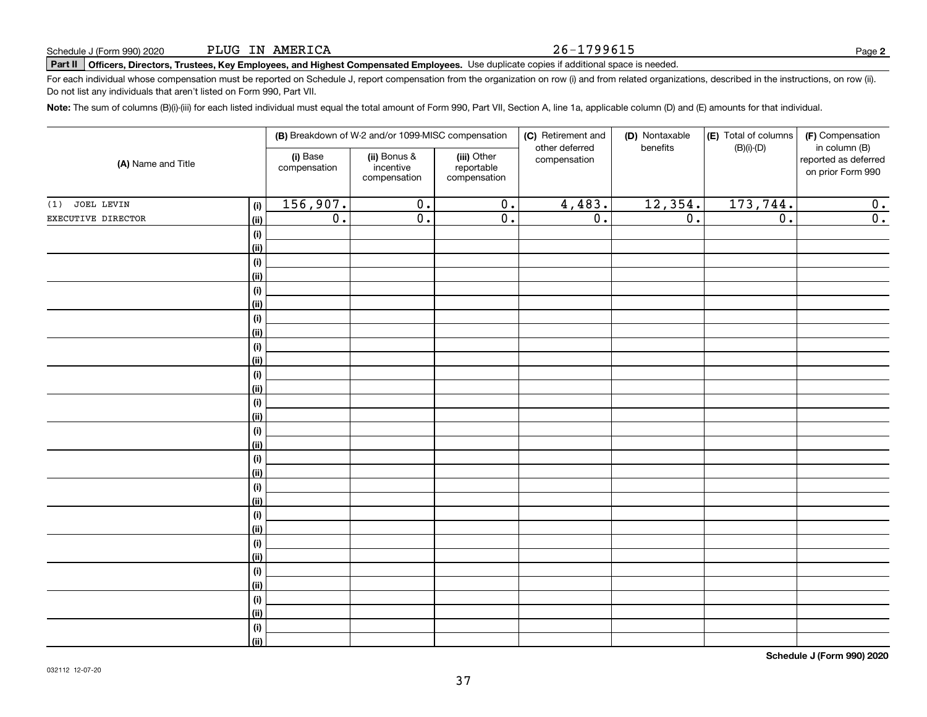PLUG IN AMERICA

# **Part II Officers, Directors, Trustees, Key Employees, and Highest Compensated Employees.**  Schedule J (Form 990) 2020 Page Use duplicate copies if additional space is needed.

For each individual whose compensation must be reported on Schedule J, report compensation from the organization on row (i) and from related organizations, described in the instructions, on row (ii). Do not list any individuals that aren't listed on Form 990, Part VII.

**Note:**  The sum of columns (B)(i)-(iii) for each listed individual must equal the total amount of Form 990, Part VII, Section A, line 1a, applicable column (D) and (E) amounts for that individual.

|                    |                              | (B) Breakdown of W-2 and/or 1099-MISC compensation |                                           |                                           | (C) Retirement and<br>other deferred | (D) Nontaxable<br>benefits | (E) Total of columns | (F) Compensation<br>in column (B)         |
|--------------------|------------------------------|----------------------------------------------------|-------------------------------------------|-------------------------------------------|--------------------------------------|----------------------------|----------------------|-------------------------------------------|
| (A) Name and Title |                              | (i) Base<br>compensation                           | (ii) Bonus &<br>incentive<br>compensation | (iii) Other<br>reportable<br>compensation | compensation                         |                            | $(B)(i)$ - $(D)$     | reported as deferred<br>on prior Form 990 |
| JOEL LEVIN<br>(1)  | (i)                          | 156,907.                                           | $\overline{0}$ .                          | $\overline{0}$ .                          | 4,483.                               | 12,354.                    | 173, 744.            | 0.                                        |
| EXECUTIVE DIRECTOR | (ii)                         | $\overline{0}$ .                                   | $\overline{\mathfrak{o}}$ .               | $\overline{0}$ .                          | $\overline{0}$ .                     | $\overline{0}$ .           | $\overline{0}$ .     | $\overline{\mathfrak{0}}$ .               |
|                    | $\qquad \qquad \textbf{(i)}$ |                                                    |                                           |                                           |                                      |                            |                      |                                           |
|                    | (ii)                         |                                                    |                                           |                                           |                                      |                            |                      |                                           |
|                    | $(\sf{i})$                   |                                                    |                                           |                                           |                                      |                            |                      |                                           |
|                    | (ii)                         |                                                    |                                           |                                           |                                      |                            |                      |                                           |
|                    | $(\sf{i})$                   |                                                    |                                           |                                           |                                      |                            |                      |                                           |
|                    | (ii)                         |                                                    |                                           |                                           |                                      |                            |                      |                                           |
|                    | (i)                          |                                                    |                                           |                                           |                                      |                            |                      |                                           |
|                    | (ii)                         |                                                    |                                           |                                           |                                      |                            |                      |                                           |
|                    | (i)                          |                                                    |                                           |                                           |                                      |                            |                      |                                           |
|                    | (ii)                         |                                                    |                                           |                                           |                                      |                            |                      |                                           |
|                    | (i)                          |                                                    |                                           |                                           |                                      |                            |                      |                                           |
|                    | (ii)                         |                                                    |                                           |                                           |                                      |                            |                      |                                           |
|                    | (i)<br>(ii)                  |                                                    |                                           |                                           |                                      |                            |                      |                                           |
|                    | (i)                          |                                                    |                                           |                                           |                                      |                            |                      |                                           |
|                    | (ii)                         |                                                    |                                           |                                           |                                      |                            |                      |                                           |
|                    | (i)                          |                                                    |                                           |                                           |                                      |                            |                      |                                           |
|                    | (ii)                         |                                                    |                                           |                                           |                                      |                            |                      |                                           |
|                    | (i)                          |                                                    |                                           |                                           |                                      |                            |                      |                                           |
|                    | (ii)                         |                                                    |                                           |                                           |                                      |                            |                      |                                           |
|                    | (i)                          |                                                    |                                           |                                           |                                      |                            |                      |                                           |
|                    | (ii)                         |                                                    |                                           |                                           |                                      |                            |                      |                                           |
|                    | (i)                          |                                                    |                                           |                                           |                                      |                            |                      |                                           |
|                    | (ii)                         |                                                    |                                           |                                           |                                      |                            |                      |                                           |
|                    | $(\sf{i})$                   |                                                    |                                           |                                           |                                      |                            |                      |                                           |
|                    | (ii)                         |                                                    |                                           |                                           |                                      |                            |                      |                                           |
|                    | (i)                          |                                                    |                                           |                                           |                                      |                            |                      |                                           |
|                    | (ii)                         |                                                    |                                           |                                           |                                      |                            |                      |                                           |
|                    | (i)                          |                                                    |                                           |                                           |                                      |                            |                      |                                           |
|                    | (ii)                         |                                                    |                                           |                                           |                                      |                            |                      |                                           |

**Schedule J (Form 990) 2020**

26-1799615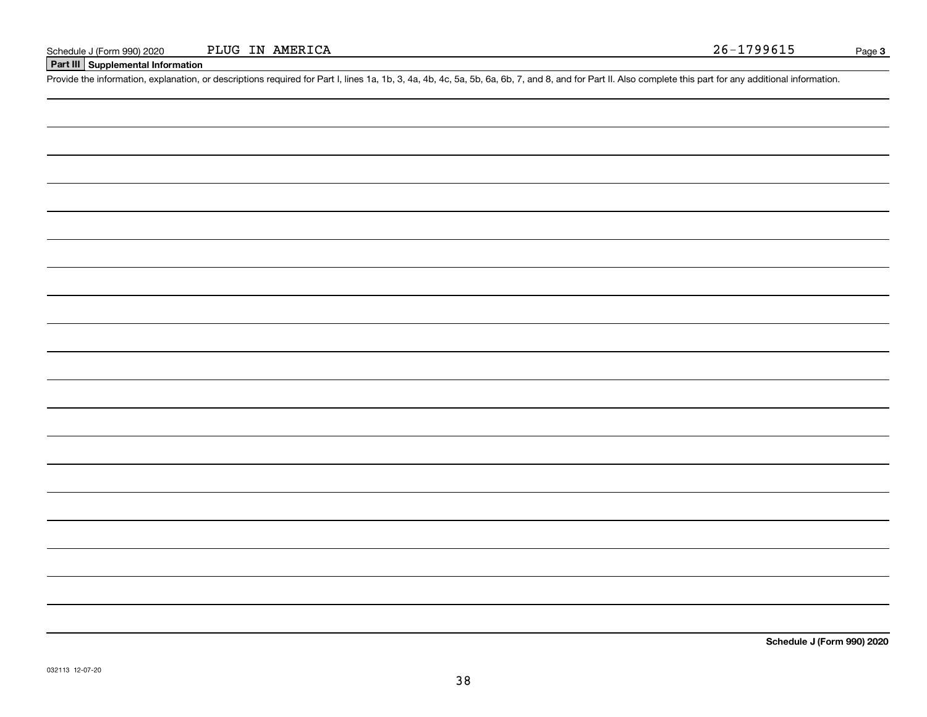### **Part III Supplemental Information**

Schedule J (Form 990) 2020 PLUG IN AMERICA<br>
Part III Supplemental Information<br>
Provide the information, explanation, or descriptions required for Part I, lines 1a, 1b, 3, 4a, 4b, 4c, 5a, 5b, 6a, 6b, 7, and 8, and for Part

**Schedule J (Form 990) 2020**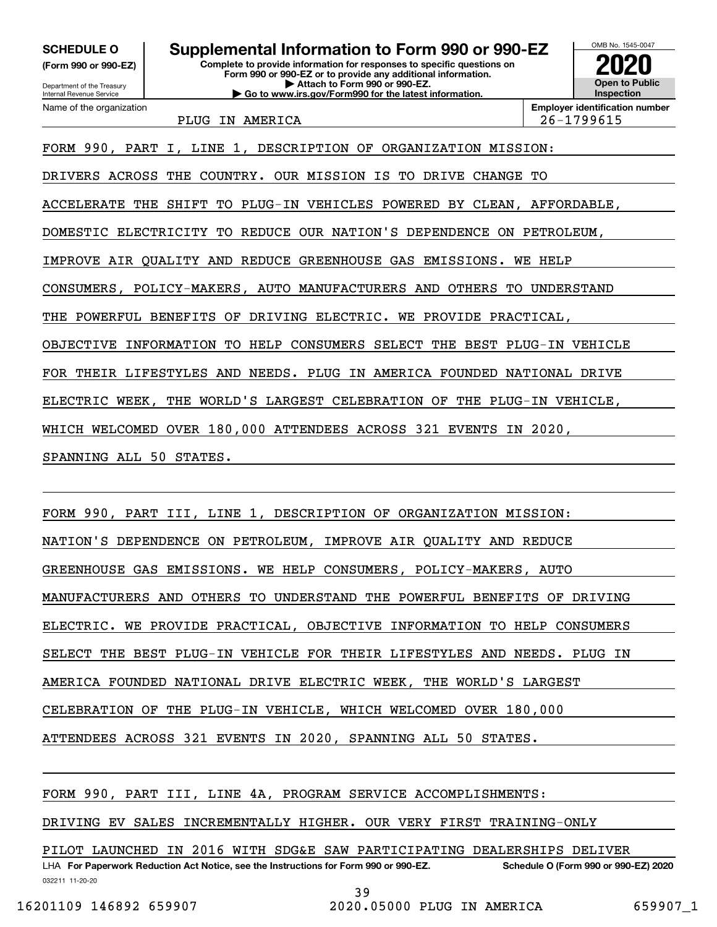**(Form 990 or 990-EZ)**

Department of the Treasury Internal Revenue Service Name of the organization

**Complete to provide information for responses to specific questions on Form 990 or 990-EZ or to provide any additional information. | Attach to Form 990 or 990-EZ. SCHEDULE O Supplemental Information to Form 990 or 990-EZ**

**| Go to www.irs.gov/Form990 for the latest information.**



PLUG IN AMERICA 26-1799615

**Employer identification number**

FORM 990, PART I, LINE 1, DESCRIPTION OF ORGANIZATION MISSION: DRIVERS ACROSS THE COUNTRY. OUR MISSION IS TO DRIVE CHANGE TO ACCELERATE THE SHIFT TO PLUG-IN VEHICLES POWERED BY CLEAN, AFFORDABLE, DOMESTIC ELECTRICITY TO REDUCE OUR NATION'S DEPENDENCE ON PETROLEUM, IMPROVE AIR QUALITY AND REDUCE GREENHOUSE GAS EMISSIONS. WE HELP CONSUMERS, POLICY-MAKERS, AUTO MANUFACTURERS AND OTHERS TO UNDERSTAND THE POWERFUL BENEFITS OF DRIVING ELECTRIC. WE PROVIDE PRACTICAL, OBJECTIVE INFORMATION TO HELP CONSUMERS SELECT THE BEST PLUG-IN VEHICLE FOR THEIR LIFESTYLES AND NEEDS. PLUG IN AMERICA FOUNDED NATIONAL DRIVE ELECTRIC WEEK, THE WORLD'S LARGEST CELEBRATION OF THE PLUG-IN VEHICLE, WHICH WELCOMED OVER 180,000 ATTENDEES ACROSS 321 EVENTS IN 2020,

SPANNING ALL 50 STATES.

FORM 990, PART III, LINE 1, DESCRIPTION OF ORGANIZATION MISSION:

NATION'S DEPENDENCE ON PETROLEUM, IMPROVE AIR QUALITY AND REDUCE

GREENHOUSE GAS EMISSIONS. WE HELP CONSUMERS, POLICY-MAKERS, AUTO

MANUFACTURERS AND OTHERS TO UNDERSTAND THE POWERFUL BENEFITS OF DRIVING

ELECTRIC. WE PROVIDE PRACTICAL, OBJECTIVE INFORMATION TO HELP CONSUMERS

SELECT THE BEST PLUG-IN VEHICLE FOR THEIR LIFESTYLES AND NEEDS. PLUG IN

AMERICA FOUNDED NATIONAL DRIVE ELECTRIC WEEK, THE WORLD'S LARGEST

CELEBRATION OF THE PLUG-IN VEHICLE, WHICH WELCOMED OVER 180,000

ATTENDEES ACROSS 321 EVENTS IN 2020, SPANNING ALL 50 STATES.

FORM 990, PART III, LINE 4A, PROGRAM SERVICE ACCOMPLISHMENTS:

DRIVING EV SALES INCREMENTALLY HIGHER. OUR VERY FIRST TRAINING-ONLY

PILOT LAUNCHED IN 2016 WITH SDG&E SAW PARTICIPATING DEALERSHIPS DELIVER

032211 11-20-20 LHA For Paperwork Reduction Act Notice, see the Instructions for Form 990 or 990-EZ. Schedule O (Form 990 or 990-EZ) 2020 39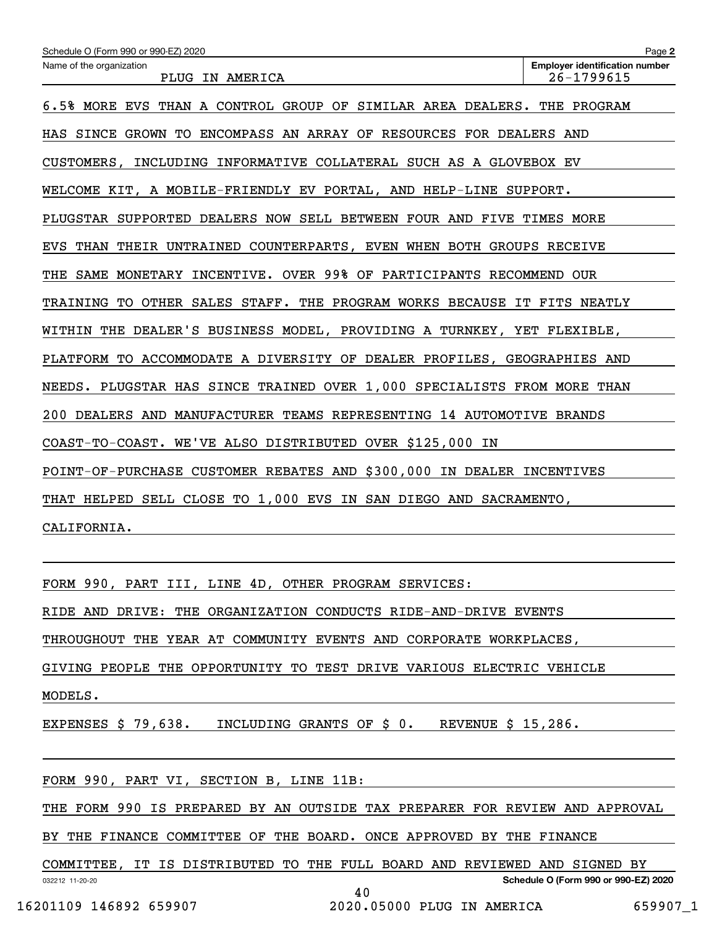| Schedule O (Form 990 or 990-EZ) 2020                                         | Page 2                                                  |  |  |  |  |  |
|------------------------------------------------------------------------------|---------------------------------------------------------|--|--|--|--|--|
| Name of the organization<br>PLUG IN AMERICA                                  | <b>Employer identification number</b><br>$26 - 1799615$ |  |  |  |  |  |
| 6.5% MORE EVS THAN A CONTROL GROUP OF SIMILAR AREA DEALERS. THE PROGRAM      |                                                         |  |  |  |  |  |
| ENCOMPASS AN ARRAY OF RESOURCES FOR DEALERS AND<br>HAS SINCE GROWN TO        |                                                         |  |  |  |  |  |
| INCLUDING INFORMATIVE COLLATERAL SUCH AS A GLOVEBOX EV<br>CUSTOMERS,         |                                                         |  |  |  |  |  |
| WELCOME KIT, A MOBILE-FRIENDLY EV PORTAL, AND HELP-LINE SUPPORT.             |                                                         |  |  |  |  |  |
| PLUGSTAR SUPPORTED DEALERS NOW SELL BETWEEN FOUR AND FIVE TIMES MORE         |                                                         |  |  |  |  |  |
| THAN THEIR UNTRAINED COUNTERPARTS, EVEN WHEN BOTH GROUPS RECEIVE<br>EVS      |                                                         |  |  |  |  |  |
| INCENTIVE. OVER 99% OF PARTICIPANTS RECOMMEND OUR<br>THE<br>SAME<br>MONETARY |                                                         |  |  |  |  |  |
| TRAINING TO OTHER SALES STAFF. THE PROGRAM WORKS BECAUSE IT FITS NEATLY      |                                                         |  |  |  |  |  |
| WITHIN THE DEALER'S BUSINESS MODEL, PROVIDING A TURNKEY, YET FLEXIBLE,       |                                                         |  |  |  |  |  |
| PLATFORM TO ACCOMMODATE A DIVERSITY OF DEALER PROFILES, GEOGRAPHIES AND      |                                                         |  |  |  |  |  |
| NEEDS. PLUGSTAR HAS SINCE TRAINED OVER 1,000 SPECIALISTS FROM MORE THAN      |                                                         |  |  |  |  |  |
| 200 DEALERS AND MANUFACTURER TEAMS REPRESENTING 14 AUTOMOTIVE BRANDS         |                                                         |  |  |  |  |  |
| COAST-TO-COAST. WE'VE ALSO DISTRIBUTED OVER \$125,000 IN                     |                                                         |  |  |  |  |  |
| POINT-OF-PURCHASE CUSTOMER REBATES AND \$300,000 IN DEALER INCENTIVES        |                                                         |  |  |  |  |  |
| THAT HELPED SELL CLOSE TO 1,000 EVS IN SAN DIEGO AND SACRAMENTO,             |                                                         |  |  |  |  |  |
| CALIFORNIA.                                                                  |                                                         |  |  |  |  |  |
|                                                                              |                                                         |  |  |  |  |  |
| FORM 990, PART III, LINE 4D, OTHER PROGRAM SERVICES:                         |                                                         |  |  |  |  |  |
| RIDE AND DRIVE: THE ORGANIZATION CONDUCTS RIDE-AND-DRIVE EVENTS              |                                                         |  |  |  |  |  |
| THROUGHOUT THE YEAR AT COMMUNITY EVENTS AND CORPORATE WORKPLACES,            |                                                         |  |  |  |  |  |
| GIVING PEOPLE THE OPPORTUNITY TO TEST DRIVE VARIOUS ELECTRIC VEHICLE         |                                                         |  |  |  |  |  |
| MODELS.                                                                      |                                                         |  |  |  |  |  |
|                                                                              |                                                         |  |  |  |  |  |

EXPENSES \$ 79,638. INCLUDING GRANTS OF \$ 0. REVENUE \$ 15,286.

FORM 990, PART VI, SECTION B, LINE 11B:

THE FORM 990 IS PREPARED BY AN OUTSIDE TAX PREPARER FOR REVIEW AND APPROVAL

BY THE FINANCE COMMITTEE OF THE BOARD. ONCE APPROVED BY THE FINANCE

032212 11-20-20 **Schedule O (Form 990 or 990-EZ) 2020** COMMITTEE, IT IS DISTRIBUTED TO THE FULL BOARD AND REVIEWED AND SIGNED BY 40